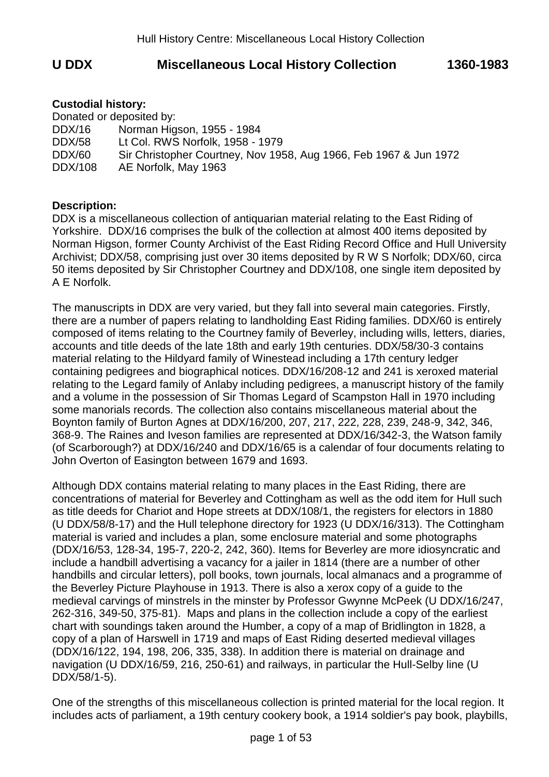# **U DDX Miscellaneous Local History Collection 1360-1983**

### **Custodial history:**

|         | Donated or deposited by:                                          |
|---------|-------------------------------------------------------------------|
| DDX/16  | Norman Higson, 1955 - 1984                                        |
| DDX/58  | Lt Col. RWS Norfolk, 1958 - 1979                                  |
| DDX/60  | Sir Christopher Courtney, Nov 1958, Aug 1966, Feb 1967 & Jun 1972 |
| DDX/108 | AE Norfolk, May 1963                                              |

#### **Description:**

DDX is a miscellaneous collection of antiquarian material relating to the East Riding of Yorkshire. DDX/16 comprises the bulk of the collection at almost 400 items deposited by Norman Higson, former County Archivist of the East Riding Record Office and Hull University Archivist; DDX/58, comprising just over 30 items deposited by R W S Norfolk; DDX/60, circa 50 items deposited by Sir Christopher Courtney and DDX/108, one single item deposited by A E Norfolk.

The manuscripts in DDX are very varied, but they fall into several main categories. Firstly, there are a number of papers relating to landholding East Riding families. DDX/60 is entirely composed of items relating to the Courtney family of Beverley, including wills, letters, diaries, accounts and title deeds of the late 18th and early 19th centuries. DDX/58/30-3 contains material relating to the Hildyard family of Winestead including a 17th century ledger containing pedigrees and biographical notices. DDX/16/208-12 and 241 is xeroxed material relating to the Legard family of Anlaby including pedigrees, a manuscript history of the family and a volume in the possession of Sir Thomas Legard of Scampston Hall in 1970 including some manorials records. The collection also contains miscellaneous material about the Boynton family of Burton Agnes at DDX/16/200, 207, 217, 222, 228, 239, 248-9, 342, 346, 368-9. The Raines and Iveson families are represented at DDX/16/342-3, the Watson family (of Scarborough?) at DDX/16/240 and DDX/16/65 is a calendar of four documents relating to John Overton of Easington between 1679 and 1693.

Although DDX contains material relating to many places in the East Riding, there are concentrations of material for Beverley and Cottingham as well as the odd item for Hull such as title deeds for Chariot and Hope streets at DDX/108/1, the registers for electors in 1880 (U DDX/58/8-17) and the Hull telephone directory for 1923 (U DDX/16/313). The Cottingham material is varied and includes a plan, some enclosure material and some photographs (DDX/16/53, 128-34, 195-7, 220-2, 242, 360). Items for Beverley are more idiosyncratic and include a handbill advertising a vacancy for a jailer in 1814 (there are a number of other handbills and circular letters), poll books, town journals, local almanacs and a programme of the Beverley Picture Playhouse in 1913. There is also a xerox copy of a guide to the medieval carvings of minstrels in the minster by Professor Gwynne McPeek (U DDX/16/247, 262-316, 349-50, 375-81). Maps and plans in the collection include a copy of the earliest chart with soundings taken around the Humber, a copy of a map of Bridlington in 1828, a copy of a plan of Harswell in 1719 and maps of East Riding deserted medieval villages (DDX/16/122, 194, 198, 206, 335, 338). In addition there is material on drainage and navigation (U DDX/16/59, 216, 250-61) and railways, in particular the Hull-Selby line (U DDX/58/1-5).

One of the strengths of this miscellaneous collection is printed material for the local region. It includes acts of parliament, a 19th century cookery book, a 1914 soldier's pay book, playbills,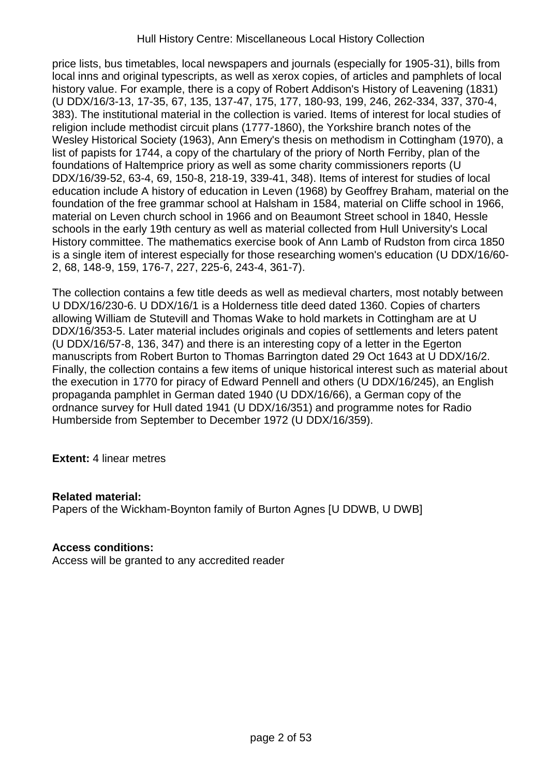price lists, bus timetables, local newspapers and journals (especially for 1905-31), bills from local inns and original typescripts, as well as xerox copies, of articles and pamphlets of local history value. For example, there is a copy of Robert Addison's History of Leavening (1831) (U DDX/16/3-13, 17-35, 67, 135, 137-47, 175, 177, 180-93, 199, 246, 262-334, 337, 370-4, 383). The institutional material in the collection is varied. Items of interest for local studies of religion include methodist circuit plans (1777-1860), the Yorkshire branch notes of the Wesley Historical Society (1963), Ann Emery's thesis on methodism in Cottingham (1970), a list of papists for 1744, a copy of the chartulary of the priory of North Ferriby, plan of the foundations of Haltemprice priory as well as some charity commissioners reports (U DDX/16/39-52, 63-4, 69, 150-8, 218-19, 339-41, 348). Items of interest for studies of local education include A history of education in Leven (1968) by Geoffrey Braham, material on the foundation of the free grammar school at Halsham in 1584, material on Cliffe school in 1966, material on Leven church school in 1966 and on Beaumont Street school in 1840, Hessle schools in the early 19th century as well as material collected from Hull University's Local History committee. The mathematics exercise book of Ann Lamb of Rudston from circa 1850 is a single item of interest especially for those researching women's education (U DDX/16/60- 2, 68, 148-9, 159, 176-7, 227, 225-6, 243-4, 361-7).

The collection contains a few title deeds as well as medieval charters, most notably between U DDX/16/230-6. U DDX/16/1 is a Holderness title deed dated 1360. Copies of charters allowing William de Stutevill and Thomas Wake to hold markets in Cottingham are at U DDX/16/353-5. Later material includes originals and copies of settlements and leters patent (U DDX/16/57-8, 136, 347) and there is an interesting copy of a letter in the Egerton manuscripts from Robert Burton to Thomas Barrington dated 29 Oct 1643 at U DDX/16/2. Finally, the collection contains a few items of unique historical interest such as material about the execution in 1770 for piracy of Edward Pennell and others (U DDX/16/245), an English propaganda pamphlet in German dated 1940 (U DDX/16/66), a German copy of the ordnance survey for Hull dated 1941 (U DDX/16/351) and programme notes for Radio Humberside from September to December 1972 (U DDX/16/359).

**Extent:** 4 linear metres

### **Related material:**

Papers of the Wickham-Boynton family of Burton Agnes [U DDWB, U DWB]

## **Access conditions:**

Access will be granted to any accredited reader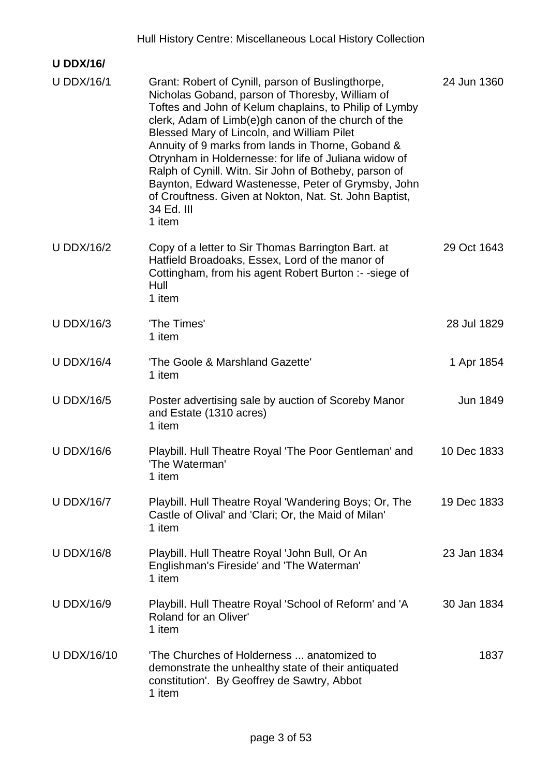|                    | Hull History Centre: Miscellaneous Local History Collection                                                                                                                                                                                                                                                                                                                                                                                                                                                                                                                        |             |
|--------------------|------------------------------------------------------------------------------------------------------------------------------------------------------------------------------------------------------------------------------------------------------------------------------------------------------------------------------------------------------------------------------------------------------------------------------------------------------------------------------------------------------------------------------------------------------------------------------------|-------------|
| <b>U DDX/16/</b>   |                                                                                                                                                                                                                                                                                                                                                                                                                                                                                                                                                                                    |             |
| <b>U DDX/16/1</b>  | Grant: Robert of Cynill, parson of Buslingthorpe,<br>Nicholas Goband, parson of Thoresby, William of<br>Toftes and John of Kelum chaplains, to Philip of Lymby<br>clerk, Adam of Limb(e)gh canon of the church of the<br>Blessed Mary of Lincoln, and William Pilet<br>Annuity of 9 marks from lands in Thorne, Goband &<br>Otrynham in Holdernesse: for life of Juliana widow of<br>Ralph of Cynill. Witn. Sir John of Botheby, parson of<br>Baynton, Edward Wastenesse, Peter of Grymsby, John<br>of Crouftness. Given at Nokton, Nat. St. John Baptist,<br>34 Ed. III<br>1 item | 24 Jun 1360 |
| <b>U DDX/16/2</b>  | Copy of a letter to Sir Thomas Barrington Bart. at<br>Hatfield Broadoaks, Essex, Lord of the manor of<br>Cottingham, from his agent Robert Burton :- -siege of<br>Hull<br>1 item                                                                                                                                                                                                                                                                                                                                                                                                   | 29 Oct 1643 |
| <b>U DDX/16/3</b>  | 'The Times'<br>1 item                                                                                                                                                                                                                                                                                                                                                                                                                                                                                                                                                              | 28 Jul 1829 |
| <b>U DDX/16/4</b>  | 'The Goole & Marshland Gazette'<br>1 item                                                                                                                                                                                                                                                                                                                                                                                                                                                                                                                                          | 1 Apr 1854  |
| <b>U DDX/16/5</b>  | Poster advertising sale by auction of Scoreby Manor<br>and Estate (1310 acres)<br>1 item                                                                                                                                                                                                                                                                                                                                                                                                                                                                                           | Jun 1849    |
| <b>U DDX/16/6</b>  | Playbill. Hull Theatre Royal 'The Poor Gentleman' and<br>'The Waterman'<br>1 item                                                                                                                                                                                                                                                                                                                                                                                                                                                                                                  | 10 Dec 1833 |
| <b>U DDX/16/7</b>  | Playbill. Hull Theatre Royal 'Wandering Boys; Or, The<br>Castle of Olival' and 'Clari; Or, the Maid of Milan'<br>1 item                                                                                                                                                                                                                                                                                                                                                                                                                                                            | 19 Dec 1833 |
| <b>U DDX/16/8</b>  | Playbill. Hull Theatre Royal 'John Bull, Or An<br>Englishman's Fireside' and 'The Waterman'<br>1 item                                                                                                                                                                                                                                                                                                                                                                                                                                                                              | 23 Jan 1834 |
| <b>U DDX/16/9</b>  | Playbill. Hull Theatre Royal 'School of Reform' and 'A<br>Roland for an Oliver'<br>1 item                                                                                                                                                                                                                                                                                                                                                                                                                                                                                          | 30 Jan 1834 |
| <b>U DDX/16/10</b> | 'The Churches of Holderness  anatomized to<br>demonstrate the unhealthy state of their antiquated<br>constitution'. By Geoffrey de Sawtry, Abbot<br>1 item                                                                                                                                                                                                                                                                                                                                                                                                                         | 1837        |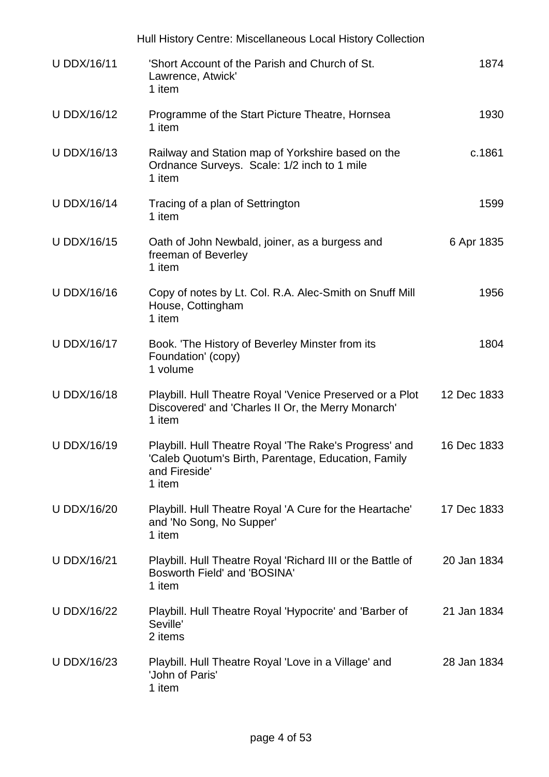|                    | Hull History Centre: Miscellaneous Local History Collection                                                                              |             |
|--------------------|------------------------------------------------------------------------------------------------------------------------------------------|-------------|
| <b>U DDX/16/11</b> | 'Short Account of the Parish and Church of St.<br>Lawrence, Atwick'<br>1 item                                                            | 1874        |
| <b>U DDX/16/12</b> | Programme of the Start Picture Theatre, Hornsea<br>1 item                                                                                | 1930        |
| <b>U DDX/16/13</b> | Railway and Station map of Yorkshire based on the<br>Ordnance Surveys. Scale: 1/2 inch to 1 mile<br>1 item                               | c.1861      |
| <b>U DDX/16/14</b> | Tracing of a plan of Settrington<br>1 item                                                                                               | 1599        |
| <b>U DDX/16/15</b> | Oath of John Newbald, joiner, as a burgess and<br>freeman of Beverley<br>1 item                                                          | 6 Apr 1835  |
| <b>U DDX/16/16</b> | Copy of notes by Lt. Col. R.A. Alec-Smith on Snuff Mill<br>House, Cottingham<br>1 item                                                   | 1956        |
| <b>U DDX/16/17</b> | Book. 'The History of Beverley Minster from its<br>Foundation' (copy)<br>1 volume                                                        | 1804        |
| <b>U DDX/16/18</b> | Playbill. Hull Theatre Royal 'Venice Preserved or a Plot<br>Discovered' and 'Charles II Or, the Merry Monarch'<br>1 item                 | 12 Dec 1833 |
| U DDX/16/19        | Playbill. Hull Theatre Royal 'The Rake's Progress' and<br>'Caleb Quotum's Birth, Parentage, Education, Family<br>and Fireside'<br>1 item | 16 Dec 1833 |
| <b>U DDX/16/20</b> | Playbill. Hull Theatre Royal 'A Cure for the Heartache'<br>and 'No Song, No Supper'<br>1 item                                            | 17 Dec 1833 |
| <b>U DDX/16/21</b> | Playbill. Hull Theatre Royal 'Richard III or the Battle of<br>Bosworth Field' and 'BOSINA'<br>1 item                                     | 20 Jan 1834 |
| <b>U DDX/16/22</b> | Playbill. Hull Theatre Royal 'Hypocrite' and 'Barber of<br>Seville'<br>2 items                                                           | 21 Jan 1834 |
| <b>U DDX/16/23</b> | Playbill. Hull Theatre Royal 'Love in a Village' and<br>'John of Paris'<br>1 item                                                        | 28 Jan 1834 |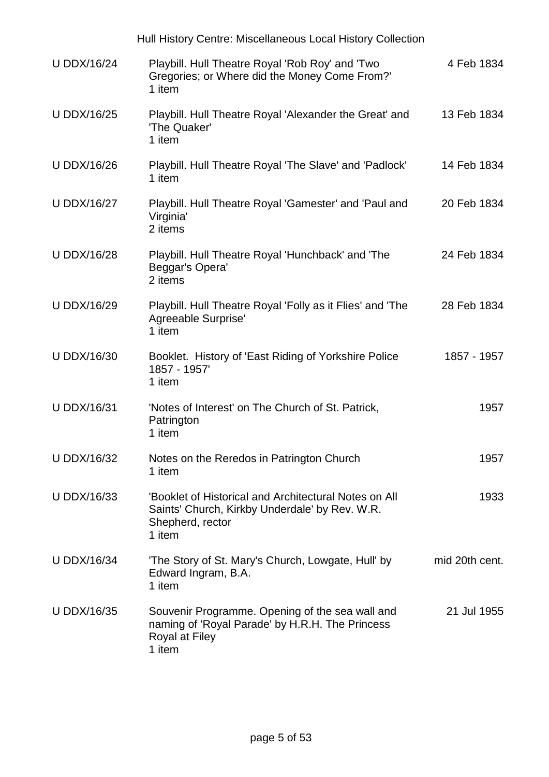|                    | Hull History Centre: Miscellaneous Local History Collection                                                                           |                |
|--------------------|---------------------------------------------------------------------------------------------------------------------------------------|----------------|
| <b>U DDX/16/24</b> | Playbill. Hull Theatre Royal 'Rob Roy' and 'Two<br>Gregories; or Where did the Money Come From?'<br>1 item                            | 4 Feb 1834     |
| <b>U DDX/16/25</b> | Playbill. Hull Theatre Royal 'Alexander the Great' and<br>'The Quaker'<br>1 item                                                      | 13 Feb 1834    |
| <b>U DDX/16/26</b> | Playbill. Hull Theatre Royal 'The Slave' and 'Padlock'<br>1 item                                                                      | 14 Feb 1834    |
| <b>U DDX/16/27</b> | Playbill. Hull Theatre Royal 'Gamester' and 'Paul and<br>Virginia'<br>2 items                                                         | 20 Feb 1834    |
| <b>U DDX/16/28</b> | Playbill. Hull Theatre Royal 'Hunchback' and 'The<br>Beggar's Opera'<br>2 items                                                       | 24 Feb 1834    |
| <b>U DDX/16/29</b> | Playbill. Hull Theatre Royal 'Folly as it Flies' and 'The<br>Agreeable Surprise'<br>1 item                                            | 28 Feb 1834    |
| <b>U DDX/16/30</b> | Booklet. History of 'East Riding of Yorkshire Police<br>1857 - 1957'<br>1 item                                                        | 1857 - 1957    |
| <b>U DDX/16/31</b> | 'Notes of Interest' on The Church of St. Patrick,<br>Patrington<br>1 item                                                             | 1957           |
| <b>U DDX/16/32</b> | Notes on the Reredos in Patrington Church<br>1 item                                                                                   | 1957           |
| <b>U DDX/16/33</b> | 'Booklet of Historical and Architectural Notes on All<br>Saints' Church, Kirkby Underdale' by Rev. W.R.<br>Shepherd, rector<br>1 item | 1933           |
| <b>U DDX/16/34</b> | 'The Story of St. Mary's Church, Lowgate, Hull' by<br>Edward Ingram, B.A.<br>1 item                                                   | mid 20th cent. |
| <b>U DDX/16/35</b> | Souvenir Programme. Opening of the sea wall and<br>naming of 'Royal Parade' by H.R.H. The Princess<br>Royal at Filey<br>1 item        | 21 Jul 1955    |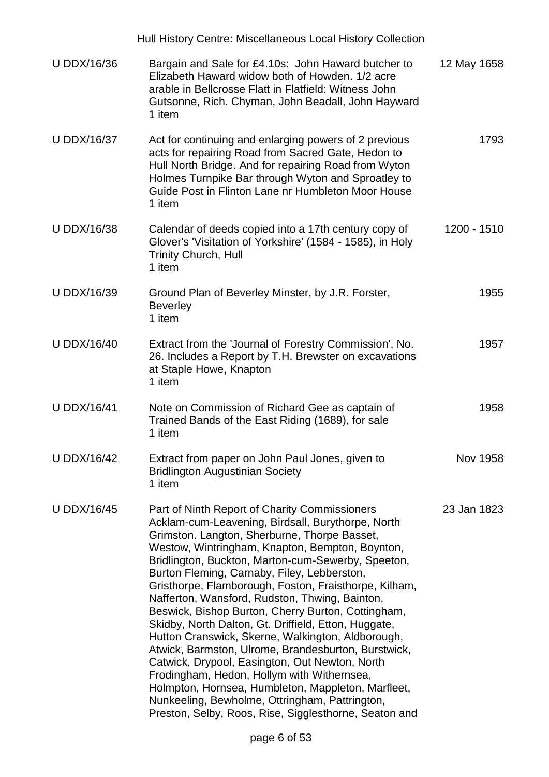|                    | Hull History Centre: Miscellaneous Local History Collection                                                                                                                                                                                                                                                                                                                                                                                                                                                                                                                                                                                                                                                                                                                                                                                                                                                      |             |
|--------------------|------------------------------------------------------------------------------------------------------------------------------------------------------------------------------------------------------------------------------------------------------------------------------------------------------------------------------------------------------------------------------------------------------------------------------------------------------------------------------------------------------------------------------------------------------------------------------------------------------------------------------------------------------------------------------------------------------------------------------------------------------------------------------------------------------------------------------------------------------------------------------------------------------------------|-------------|
| <b>U DDX/16/36</b> | Bargain and Sale for £4.10s: John Haward butcher to<br>Elizabeth Haward widow both of Howden. 1/2 acre<br>arable in Bellcrosse Flatt in Flatfield: Witness John<br>Gutsonne, Rich. Chyman, John Beadall, John Hayward<br>1 item                                                                                                                                                                                                                                                                                                                                                                                                                                                                                                                                                                                                                                                                                  | 12 May 1658 |
| <b>U DDX/16/37</b> | Act for continuing and enlarging powers of 2 previous<br>acts for repairing Road from Sacred Gate, Hedon to<br>Hull North Bridge. And for repairing Road from Wyton<br>Holmes Turnpike Bar through Wyton and Sproatley to<br>Guide Post in Flinton Lane nr Humbleton Moor House<br>1 item                                                                                                                                                                                                                                                                                                                                                                                                                                                                                                                                                                                                                        | 1793        |
| <b>U DDX/16/38</b> | Calendar of deeds copied into a 17th century copy of<br>Glover's 'Visitation of Yorkshire' (1584 - 1585), in Holy<br><b>Trinity Church, Hull</b><br>1 item                                                                                                                                                                                                                                                                                                                                                                                                                                                                                                                                                                                                                                                                                                                                                       | 1200 - 1510 |
| <b>U DDX/16/39</b> | Ground Plan of Beverley Minster, by J.R. Forster,<br><b>Beverley</b><br>1 item                                                                                                                                                                                                                                                                                                                                                                                                                                                                                                                                                                                                                                                                                                                                                                                                                                   | 1955        |
| <b>U DDX/16/40</b> | Extract from the 'Journal of Forestry Commission', No.<br>26. Includes a Report by T.H. Brewster on excavations<br>at Staple Howe, Knapton<br>1 item                                                                                                                                                                                                                                                                                                                                                                                                                                                                                                                                                                                                                                                                                                                                                             | 1957        |
| <b>U DDX/16/41</b> | Note on Commission of Richard Gee as captain of<br>Trained Bands of the East Riding (1689), for sale<br>1 item                                                                                                                                                                                                                                                                                                                                                                                                                                                                                                                                                                                                                                                                                                                                                                                                   | 1958        |
| <b>U DDX/16/42</b> | Extract from paper on John Paul Jones, given to<br><b>Bridlington Augustinian Society</b><br>1 item                                                                                                                                                                                                                                                                                                                                                                                                                                                                                                                                                                                                                                                                                                                                                                                                              | Nov 1958    |
| <b>U DDX/16/45</b> | Part of Ninth Report of Charity Commissioners<br>Acklam-cum-Leavening, Birdsall, Burythorpe, North<br>Grimston. Langton, Sherburne, Thorpe Basset,<br>Westow, Wintringham, Knapton, Bempton, Boynton,<br>Bridlington, Buckton, Marton-cum-Sewerby, Speeton,<br>Burton Fleming, Carnaby, Filey, Lebberston,<br>Gristhorpe, Flamborough, Foston, Fraisthorpe, Kilham,<br>Nafferton, Wansford, Rudston, Thwing, Bainton,<br>Beswick, Bishop Burton, Cherry Burton, Cottingham,<br>Skidby, North Dalton, Gt. Driffield, Etton, Huggate,<br>Hutton Cranswick, Skerne, Walkington, Aldborough,<br>Atwick, Barmston, Ulrome, Brandesburton, Burstwick,<br>Catwick, Drypool, Easington, Out Newton, North<br>Frodingham, Hedon, Hollym with Withernsea,<br>Holmpton, Hornsea, Humbleton, Mappleton, Marfleet,<br>Nunkeeling, Bewholme, Ottringham, Pattrington,<br>Preston, Selby, Roos, Rise, Sigglesthorne, Seaton and | 23 Jan 1823 |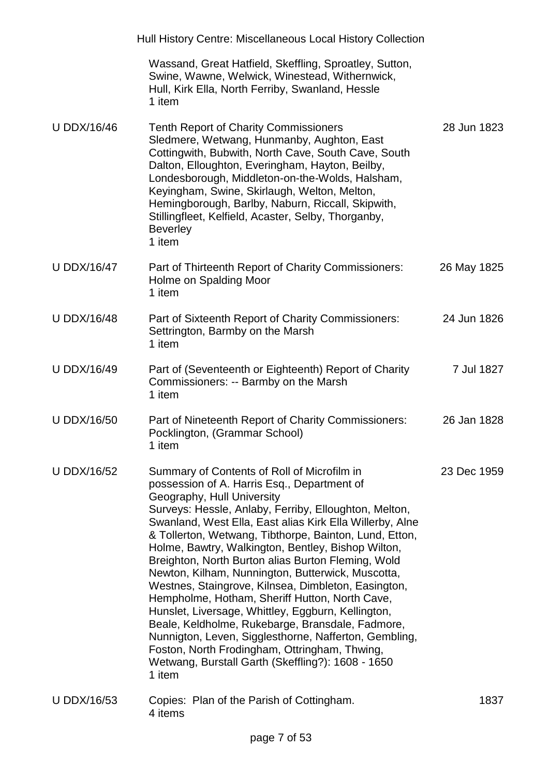|                    | Hull History Centre: Miscellaneous Local History Collection                                                                                                                                                                                                                                                                                                                                                                                                                                                                                                                                                                                                                                                                                                                                                                                                          |             |
|--------------------|----------------------------------------------------------------------------------------------------------------------------------------------------------------------------------------------------------------------------------------------------------------------------------------------------------------------------------------------------------------------------------------------------------------------------------------------------------------------------------------------------------------------------------------------------------------------------------------------------------------------------------------------------------------------------------------------------------------------------------------------------------------------------------------------------------------------------------------------------------------------|-------------|
|                    | Wassand, Great Hatfield, Skeffling, Sproatley, Sutton,<br>Swine, Wawne, Welwick, Winestead, Withernwick,<br>Hull, Kirk Ella, North Ferriby, Swanland, Hessle<br>1 item                                                                                                                                                                                                                                                                                                                                                                                                                                                                                                                                                                                                                                                                                               |             |
| <b>U DDX/16/46</b> | <b>Tenth Report of Charity Commissioners</b><br>Sledmere, Wetwang, Hunmanby, Aughton, East<br>Cottingwith, Bubwith, North Cave, South Cave, South<br>Dalton, Elloughton, Everingham, Hayton, Beilby,<br>Londesborough, Middleton-on-the-Wolds, Halsham,<br>Keyingham, Swine, Skirlaugh, Welton, Melton,<br>Hemingborough, Barlby, Naburn, Riccall, Skipwith,<br>Stillingfleet, Kelfield, Acaster, Selby, Thorganby,<br><b>Beverley</b><br>1 item                                                                                                                                                                                                                                                                                                                                                                                                                     | 28 Jun 1823 |
| <b>U DDX/16/47</b> | Part of Thirteenth Report of Charity Commissioners:<br>Holme on Spalding Moor<br>1 item                                                                                                                                                                                                                                                                                                                                                                                                                                                                                                                                                                                                                                                                                                                                                                              | 26 May 1825 |
| <b>U DDX/16/48</b> | Part of Sixteenth Report of Charity Commissioners:<br>Settrington, Barmby on the Marsh<br>1 item                                                                                                                                                                                                                                                                                                                                                                                                                                                                                                                                                                                                                                                                                                                                                                     | 24 Jun 1826 |
| <b>U DDX/16/49</b> | Part of (Seventeenth or Eighteenth) Report of Charity<br>Commissioners: -- Barmby on the Marsh<br>1 item                                                                                                                                                                                                                                                                                                                                                                                                                                                                                                                                                                                                                                                                                                                                                             | 7 Jul 1827  |
| <b>U DDX/16/50</b> | Part of Nineteenth Report of Charity Commissioners:<br>Pocklington, (Grammar School)<br>1 item                                                                                                                                                                                                                                                                                                                                                                                                                                                                                                                                                                                                                                                                                                                                                                       | 26 Jan 1828 |
| <b>U DDX/16/52</b> | Summary of Contents of Roll of Microfilm in<br>possession of A. Harris Esq., Department of<br>Geography, Hull University<br>Surveys: Hessle, Anlaby, Ferriby, Elloughton, Melton,<br>Swanland, West Ella, East alias Kirk Ella Willerby, Alne<br>& Tollerton, Wetwang, Tibthorpe, Bainton, Lund, Etton,<br>Holme, Bawtry, Walkington, Bentley, Bishop Wilton,<br>Breighton, North Burton alias Burton Fleming, Wold<br>Newton, Kilham, Nunnington, Butterwick, Muscotta,<br>Westnes, Staingrove, Kilnsea, Dimbleton, Easington,<br>Hempholme, Hotham, Sheriff Hutton, North Cave,<br>Hunslet, Liversage, Whittley, Eggburn, Kellington,<br>Beale, Keldholme, Rukebarge, Bransdale, Fadmore,<br>Nunnigton, Leven, Sigglesthorne, Nafferton, Gembling,<br>Foston, North Frodingham, Ottringham, Thwing,<br>Wetwang, Burstall Garth (Skeffling?): 1608 - 1650<br>1 item | 23 Dec 1959 |
| <b>U DDX/16/53</b> | Copies: Plan of the Parish of Cottingham.<br>4 items                                                                                                                                                                                                                                                                                                                                                                                                                                                                                                                                                                                                                                                                                                                                                                                                                 | 1837        |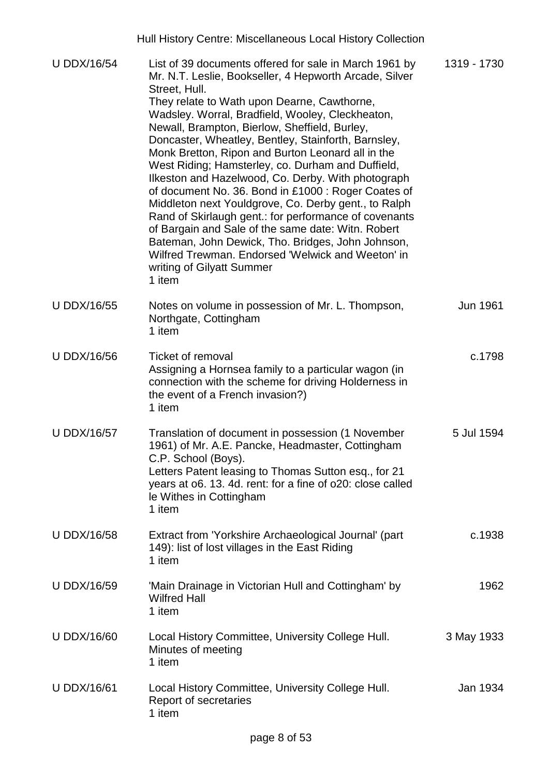|                    | Hull History Centre: Miscellaneous Local History Collection                                                                                                                                                                                                                                                                                                                                                                                                                                                                                                                                                                                                                                                                                                                                                                                                                                 |             |
|--------------------|---------------------------------------------------------------------------------------------------------------------------------------------------------------------------------------------------------------------------------------------------------------------------------------------------------------------------------------------------------------------------------------------------------------------------------------------------------------------------------------------------------------------------------------------------------------------------------------------------------------------------------------------------------------------------------------------------------------------------------------------------------------------------------------------------------------------------------------------------------------------------------------------|-------------|
| <b>U DDX/16/54</b> | List of 39 documents offered for sale in March 1961 by<br>Mr. N.T. Leslie, Bookseller, 4 Hepworth Arcade, Silver<br>Street, Hull.<br>They relate to Wath upon Dearne, Cawthorne,<br>Wadsley. Worral, Bradfield, Wooley, Cleckheaton,<br>Newall, Brampton, Bierlow, Sheffield, Burley,<br>Doncaster, Wheatley, Bentley, Stainforth, Barnsley,<br>Monk Bretton, Ripon and Burton Leonard all in the<br>West Riding; Hamsterley, co. Durham and Duffield,<br>Ilkeston and Hazelwood, Co. Derby. With photograph<br>of document No. 36. Bond in £1000 : Roger Coates of<br>Middleton next Youldgrove, Co. Derby gent., to Ralph<br>Rand of Skirlaugh gent.: for performance of covenants<br>of Bargain and Sale of the same date: Witn. Robert<br>Bateman, John Dewick, Tho. Bridges, John Johnson,<br>Wilfred Trewman. Endorsed 'Welwick and Weeton' in<br>writing of Gilyatt Summer<br>1 item | 1319 - 1730 |
| <b>U DDX/16/55</b> | Notes on volume in possession of Mr. L. Thompson,<br>Northgate, Cottingham<br>1 item                                                                                                                                                                                                                                                                                                                                                                                                                                                                                                                                                                                                                                                                                                                                                                                                        | Jun 1961    |
| <b>U DDX/16/56</b> | Ticket of removal<br>Assigning a Hornsea family to a particular wagon (in<br>connection with the scheme for driving Holderness in<br>the event of a French invasion?)<br>1 item                                                                                                                                                                                                                                                                                                                                                                                                                                                                                                                                                                                                                                                                                                             | c.1798      |
| <b>U DDX/16/57</b> | Translation of document in possession (1 November<br>1961) of Mr. A.E. Pancke, Headmaster, Cottingham<br>C.P. School (Boys).<br>Letters Patent leasing to Thomas Sutton esq., for 21<br>years at o6. 13. 4d. rent: for a fine of o20: close called<br>le Withes in Cottingham<br>1 item                                                                                                                                                                                                                                                                                                                                                                                                                                                                                                                                                                                                     | 5 Jul 1594  |
| <b>U DDX/16/58</b> | Extract from 'Yorkshire Archaeological Journal' (part<br>149): list of lost villages in the East Riding<br>1 item                                                                                                                                                                                                                                                                                                                                                                                                                                                                                                                                                                                                                                                                                                                                                                           | c.1938      |
| <b>U DDX/16/59</b> | 'Main Drainage in Victorian Hull and Cottingham' by<br><b>Wilfred Hall</b><br>1 item                                                                                                                                                                                                                                                                                                                                                                                                                                                                                                                                                                                                                                                                                                                                                                                                        | 1962        |
| <b>U DDX/16/60</b> | Local History Committee, University College Hull.<br>Minutes of meeting<br>1 item                                                                                                                                                                                                                                                                                                                                                                                                                                                                                                                                                                                                                                                                                                                                                                                                           | 3 May 1933  |
| <b>U DDX/16/61</b> | Local History Committee, University College Hull.<br>Report of secretaries<br>1 item                                                                                                                                                                                                                                                                                                                                                                                                                                                                                                                                                                                                                                                                                                                                                                                                        | Jan 1934    |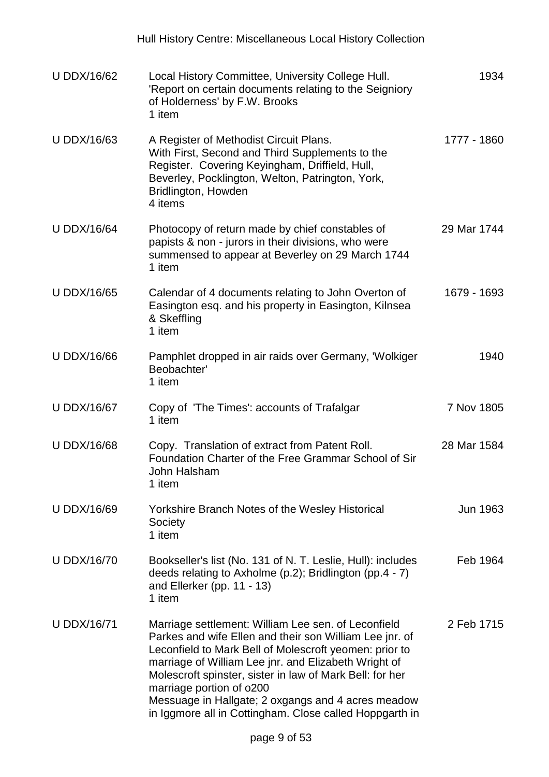|                    | Hull History Centre: Miscellaneous Local History Collection                                                                                                                                                                                                                                                                                                                                                                               |             |
|--------------------|-------------------------------------------------------------------------------------------------------------------------------------------------------------------------------------------------------------------------------------------------------------------------------------------------------------------------------------------------------------------------------------------------------------------------------------------|-------------|
| <b>U DDX/16/62</b> | Local History Committee, University College Hull.<br>'Report on certain documents relating to the Seigniory<br>of Holderness' by F.W. Brooks<br>1 item                                                                                                                                                                                                                                                                                    | 1934        |
| <b>U DDX/16/63</b> | A Register of Methodist Circuit Plans.<br>With First, Second and Third Supplements to the<br>Register. Covering Keyingham, Driffield, Hull,<br>Beverley, Pocklington, Welton, Patrington, York,<br>Bridlington, Howden<br>4 items                                                                                                                                                                                                         | 1777 - 1860 |
| <b>U DDX/16/64</b> | Photocopy of return made by chief constables of<br>papists & non - jurors in their divisions, who were<br>summensed to appear at Beverley on 29 March 1744<br>1 item                                                                                                                                                                                                                                                                      | 29 Mar 1744 |
| <b>U DDX/16/65</b> | Calendar of 4 documents relating to John Overton of<br>Easington esq. and his property in Easington, Kilnsea<br>& Skeffling<br>1 item                                                                                                                                                                                                                                                                                                     | 1679 - 1693 |
| <b>U DDX/16/66</b> | Pamphlet dropped in air raids over Germany, 'Wolkiger<br>Beobachter'<br>1 item                                                                                                                                                                                                                                                                                                                                                            | 1940        |
| <b>U DDX/16/67</b> | Copy of 'The Times': accounts of Trafalgar<br>1 item                                                                                                                                                                                                                                                                                                                                                                                      | 7 Nov 1805  |
| <b>U DDX/16/68</b> | Copy. Translation of extract from Patent Roll.<br>Foundation Charter of the Free Grammar School of Sir<br>John Halsham<br>1 item                                                                                                                                                                                                                                                                                                          | 28 Mar 1584 |
| <b>U DDX/16/69</b> | Yorkshire Branch Notes of the Wesley Historical<br>Society<br>1 item                                                                                                                                                                                                                                                                                                                                                                      | Jun 1963    |
| <b>U DDX/16/70</b> | Bookseller's list (No. 131 of N. T. Leslie, Hull): includes<br>deeds relating to Axholme (p.2); Bridlington (pp.4 - 7)<br>and Ellerker (pp. $11 - 13$ )<br>1 item                                                                                                                                                                                                                                                                         | Feb 1964    |
| <b>U DDX/16/71</b> | Marriage settlement: William Lee sen. of Leconfield<br>Parkes and wife Ellen and their son William Lee jnr. of<br>Leconfield to Mark Bell of Molescroft yeomen: prior to<br>marriage of William Lee jnr. and Elizabeth Wright of<br>Molescroft spinster, sister in law of Mark Bell: for her<br>marriage portion of o200<br>Messuage in Hallgate; 2 oxgangs and 4 acres meadow<br>in Iggmore all in Cottingham. Close called Hoppgarth in | 2 Feb 1715  |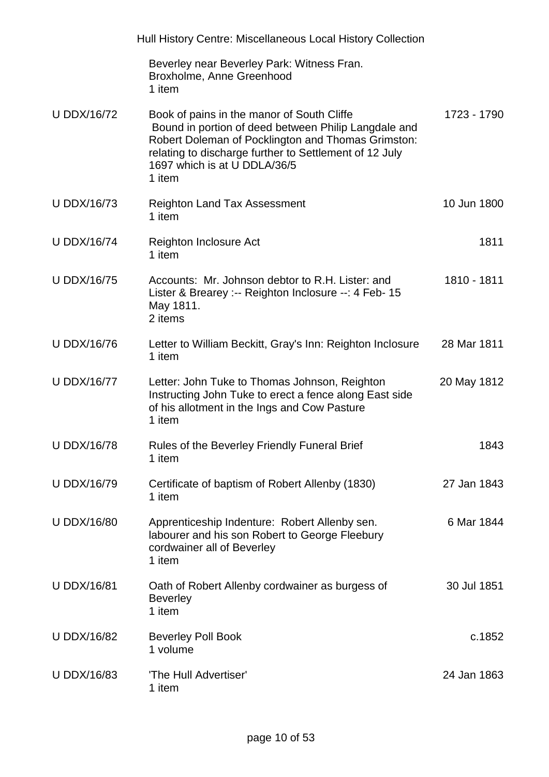|                    | Hull History Centre: Miscellaneous Local History Collection                                                                                                                                                                                                  |             |
|--------------------|--------------------------------------------------------------------------------------------------------------------------------------------------------------------------------------------------------------------------------------------------------------|-------------|
|                    | Beverley near Beverley Park: Witness Fran.<br>Broxholme, Anne Greenhood<br>1 item                                                                                                                                                                            |             |
| <b>U DDX/16/72</b> | Book of pains in the manor of South Cliffe<br>Bound in portion of deed between Philip Langdale and<br>Robert Doleman of Pocklington and Thomas Grimston:<br>relating to discharge further to Settlement of 12 July<br>1697 which is at U DDLA/36/5<br>1 item | 1723 - 1790 |
| <b>U DDX/16/73</b> | <b>Reighton Land Tax Assessment</b><br>1 item                                                                                                                                                                                                                | 10 Jun 1800 |
| <b>U DDX/16/74</b> | Reighton Inclosure Act<br>1 item                                                                                                                                                                                                                             | 1811        |
| <b>U DDX/16/75</b> | Accounts: Mr. Johnson debtor to R.H. Lister: and<br>Lister & Brearey :-- Reighton Inclosure --: 4 Feb- 15<br>May 1811.<br>2 items                                                                                                                            | 1810 - 1811 |
| <b>U DDX/16/76</b> | Letter to William Beckitt, Gray's Inn: Reighton Inclosure<br>1 item                                                                                                                                                                                          | 28 Mar 1811 |
| <b>U DDX/16/77</b> | Letter: John Tuke to Thomas Johnson, Reighton<br>Instructing John Tuke to erect a fence along East side<br>of his allotment in the Ings and Cow Pasture<br>1 item                                                                                            | 20 May 1812 |
| <b>U DDX/16/78</b> | Rules of the Beverley Friendly Funeral Brief<br>1 item                                                                                                                                                                                                       | 1843        |
| <b>U DDX/16/79</b> | Certificate of baptism of Robert Allenby (1830)<br>1 item                                                                                                                                                                                                    | 27 Jan 1843 |
| <b>U DDX/16/80</b> | Apprenticeship Indenture: Robert Allenby sen.<br>labourer and his son Robert to George Fleebury<br>cordwainer all of Beverley<br>1 item                                                                                                                      | 6 Mar 1844  |
| <b>U DDX/16/81</b> | Oath of Robert Allenby cordwainer as burgess of<br><b>Beverley</b><br>1 item                                                                                                                                                                                 | 30 Jul 1851 |
| <b>U DDX/16/82</b> | <b>Beverley Poll Book</b><br>1 volume                                                                                                                                                                                                                        | c.1852      |
| <b>U DDX/16/83</b> | 'The Hull Advertiser'<br>1 item                                                                                                                                                                                                                              | 24 Jan 1863 |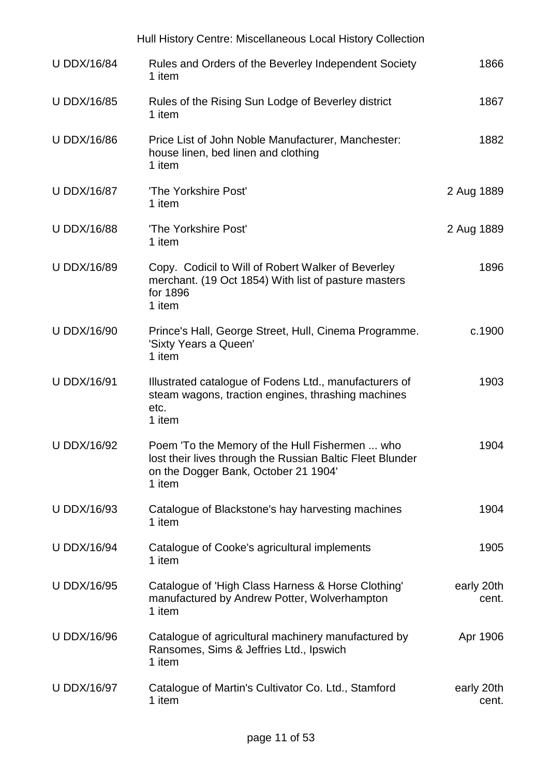|                    | Hull History Centre: Miscellaneous Local History Collection                                                                                                   |                     |
|--------------------|---------------------------------------------------------------------------------------------------------------------------------------------------------------|---------------------|
| <b>U DDX/16/84</b> | Rules and Orders of the Beverley Independent Society<br>1 item                                                                                                | 1866                |
| <b>U DDX/16/85</b> | Rules of the Rising Sun Lodge of Beverley district<br>1 item                                                                                                  | 1867                |
| <b>U DDX/16/86</b> | Price List of John Noble Manufacturer, Manchester:<br>house linen, bed linen and clothing<br>1 item                                                           | 1882                |
| <b>U DDX/16/87</b> | 'The Yorkshire Post'<br>1 item                                                                                                                                | 2 Aug 1889          |
| <b>U DDX/16/88</b> | 'The Yorkshire Post'<br>1 item                                                                                                                                | 2 Aug 1889          |
| <b>U DDX/16/89</b> | Copy. Codicil to Will of Robert Walker of Beverley<br>merchant. (19 Oct 1854) With list of pasture masters<br>for 1896<br>1 item                              | 1896                |
| <b>U DDX/16/90</b> | Prince's Hall, George Street, Hull, Cinema Programme.<br>'Sixty Years a Queen'<br>1 item                                                                      | c.1900              |
| <b>U DDX/16/91</b> | Illustrated catalogue of Fodens Ltd., manufacturers of<br>steam wagons, traction engines, thrashing machines<br>etc.<br>1 item                                | 1903                |
| <b>U DDX/16/92</b> | Poem 'To the Memory of the Hull Fishermen  who<br>lost their lives through the Russian Baltic Fleet Blunder<br>on the Dogger Bank, October 21 1904'<br>1 item | 1904                |
| <b>U DDX/16/93</b> | Catalogue of Blackstone's hay harvesting machines<br>1 item                                                                                                   | 1904                |
| <b>U DDX/16/94</b> | Catalogue of Cooke's agricultural implements<br>1 item                                                                                                        | 1905                |
| <b>U DDX/16/95</b> | Catalogue of 'High Class Harness & Horse Clothing'<br>manufactured by Andrew Potter, Wolverhampton<br>1 item                                                  | early 20th<br>cent. |
| <b>U DDX/16/96</b> | Catalogue of agricultural machinery manufactured by<br>Ransomes, Sims & Jeffries Ltd., Ipswich<br>1 item                                                      | Apr 1906            |
| <b>U DDX/16/97</b> | Catalogue of Martin's Cultivator Co. Ltd., Stamford<br>1 item                                                                                                 | early 20th<br>cent. |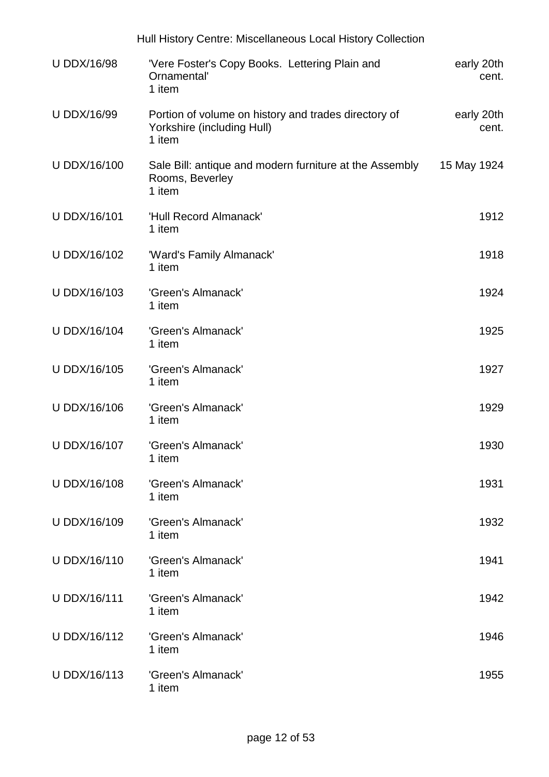|                    | Hull History Centre: Miscellaneous Local History Collection                                  |                     |
|--------------------|----------------------------------------------------------------------------------------------|---------------------|
| <b>U DDX/16/98</b> | 'Vere Foster's Copy Books. Lettering Plain and<br>Ornamental'<br>1 item                      | early 20th<br>cent. |
| <b>U DDX/16/99</b> | Portion of volume on history and trades directory of<br>Yorkshire (including Hull)<br>1 item | early 20th<br>cent. |
| U DDX/16/100       | Sale Bill: antique and modern furniture at the Assembly<br>Rooms, Beverley<br>1 item         | 15 May 1924         |
| U DDX/16/101       | 'Hull Record Almanack'<br>1 item                                                             | 1912                |
| U DDX/16/102       | 'Ward's Family Almanack'<br>1 item                                                           | 1918                |
| U DDX/16/103       | 'Green's Almanack'<br>1 item                                                                 | 1924                |
| U DDX/16/104       | 'Green's Almanack'<br>1 item                                                                 | 1925                |
| U DDX/16/105       | 'Green's Almanack'<br>1 item                                                                 | 1927                |
| U DDX/16/106       | 'Green's Almanack'<br>1 item                                                                 | 1929                |
| U DDX/16/107       | 'Green's Almanack'<br>1 item                                                                 | 1930                |
| U DDX/16/108       | 'Green's Almanack'<br>1 item                                                                 | 1931                |
| U DDX/16/109       | 'Green's Almanack'<br>1 item                                                                 | 1932                |
| U DDX/16/110       | 'Green's Almanack'<br>1 item                                                                 | 1941                |
| U DDX/16/111       | 'Green's Almanack'<br>1 item                                                                 | 1942                |
| U DDX/16/112       | 'Green's Almanack'<br>1 item                                                                 | 1946                |
| U DDX/16/113       | 'Green's Almanack'<br>1 item                                                                 | 1955                |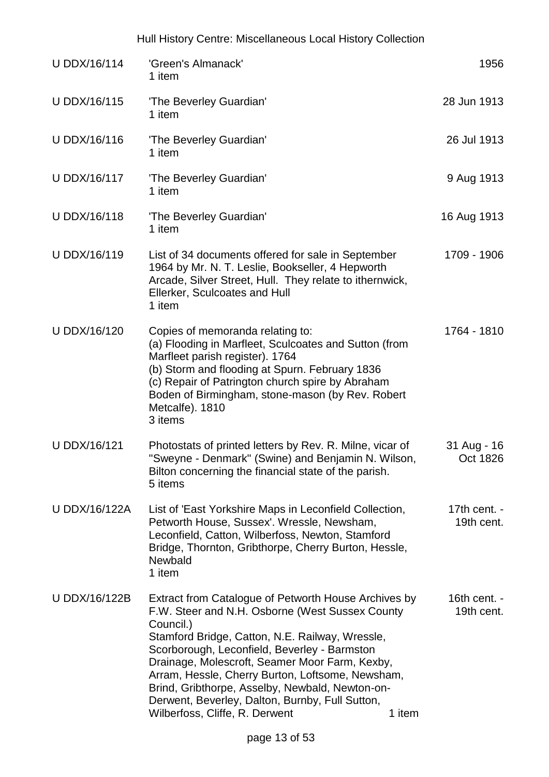| U DDX/16/114         | 'Green's Almanack'<br>1 item                                                                                                                                                                                                                                                                                                                                                                                                                                          | 1956                                   |
|----------------------|-----------------------------------------------------------------------------------------------------------------------------------------------------------------------------------------------------------------------------------------------------------------------------------------------------------------------------------------------------------------------------------------------------------------------------------------------------------------------|----------------------------------------|
| U DDX/16/115         | 'The Beverley Guardian'<br>1 item                                                                                                                                                                                                                                                                                                                                                                                                                                     | 28 Jun 1913                            |
| U DDX/16/116         | 'The Beverley Guardian'<br>1 item                                                                                                                                                                                                                                                                                                                                                                                                                                     | 26 Jul 1913                            |
| U DDX/16/117         | 'The Beverley Guardian'<br>1 item                                                                                                                                                                                                                                                                                                                                                                                                                                     | 9 Aug 1913                             |
| U DDX/16/118         | 'The Beverley Guardian'<br>1 item                                                                                                                                                                                                                                                                                                                                                                                                                                     | 16 Aug 1913                            |
| U DDX/16/119         | List of 34 documents offered for sale in September<br>1964 by Mr. N. T. Leslie, Bookseller, 4 Hepworth<br>Arcade, Silver Street, Hull. They relate to ithernwick,<br>Ellerker, Sculcoates and Hull<br>1 item                                                                                                                                                                                                                                                          | 1709 - 1906                            |
| U DDX/16/120         | Copies of memoranda relating to:<br>(a) Flooding in Marfleet, Sculcoates and Sutton (from<br>Marfleet parish register). 1764<br>(b) Storm and flooding at Spurn. February 1836<br>(c) Repair of Patrington church spire by Abraham<br>Boden of Birmingham, stone-mason (by Rev. Robert<br>Metcalfe). 1810<br>3 items                                                                                                                                                  | 1764 - 1810                            |
| U DDX/16/121         | Photostats of printed letters by Rev. R. Milne, vicar of<br>"Sweyne - Denmark" (Swine) and Benjamin N. Wilson,<br>Bilton concerning the financial state of the parish.<br>5 items                                                                                                                                                                                                                                                                                     | 31 Aug - 16<br>Oct 1826                |
| <b>U DDX/16/122A</b> | List of 'East Yorkshire Maps in Leconfield Collection,<br>Petworth House, Sussex'. Wressle, Newsham,<br>Leconfield, Catton, Wilberfoss, Newton, Stamford<br>Bridge, Thornton, Gribthorpe, Cherry Burton, Hessle,<br>Newbald<br>1 item                                                                                                                                                                                                                                 | 17th cent. $-$<br>19th cent.           |
| U DDX/16/122B        | Extract from Catalogue of Petworth House Archives by<br>F.W. Steer and N.H. Osborne (West Sussex County<br>Council.)<br>Stamford Bridge, Catton, N.E. Railway, Wressle,<br>Scorborough, Leconfield, Beverley - Barmston<br>Drainage, Molescroft, Seamer Moor Farm, Kexby,<br>Arram, Hessle, Cherry Burton, Loftsome, Newsham,<br>Brind, Gribthorpe, Asselby, Newbald, Newton-on-<br>Derwent, Beverley, Dalton, Burnby, Full Sutton,<br>Wilberfoss, Cliffe, R. Derwent | 16th cent. $-$<br>19th cent.<br>1 item |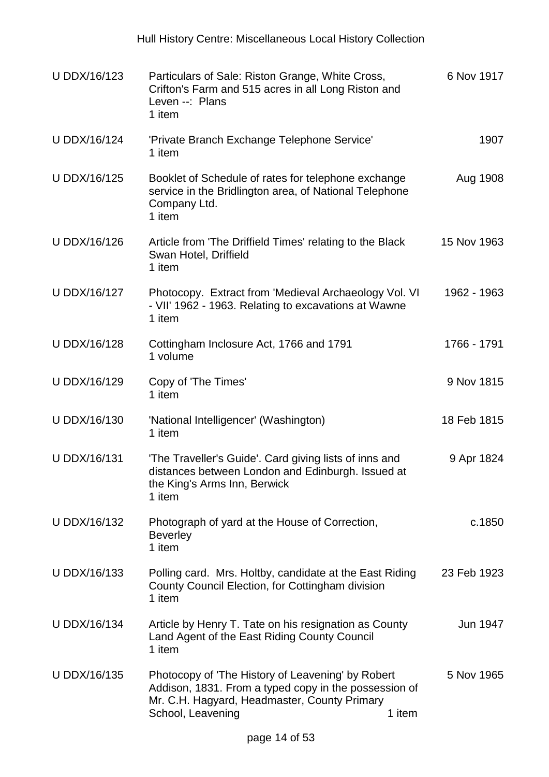| U DDX/16/123        | Particulars of Sale: Riston Grange, White Cross,<br>Crifton's Farm and 515 acres in all Long Riston and<br>Leven --: Plans<br>1 item                                            | 6 Nov 1917           |
|---------------------|---------------------------------------------------------------------------------------------------------------------------------------------------------------------------------|----------------------|
| <b>U DDX/16/124</b> | 'Private Branch Exchange Telephone Service'<br>1 item                                                                                                                           | 1907                 |
| U DDX/16/125        | Booklet of Schedule of rates for telephone exchange<br>service in the Bridlington area, of National Telephone<br>Company Ltd.<br>1 item                                         | Aug 1908             |
| U DDX/16/126        | Article from 'The Driffield Times' relating to the Black<br>Swan Hotel, Driffield<br>1 item                                                                                     | 15 Nov 1963          |
| U DDX/16/127        | Photocopy. Extract from 'Medieval Archaeology Vol. VI<br>- VII' 1962 - 1963. Relating to excavations at Wawne<br>1 item                                                         | 1962 - 1963          |
| U DDX/16/128        | Cottingham Inclosure Act, 1766 and 1791<br>1 volume                                                                                                                             | 1766 - 1791          |
| U DDX/16/129        | Copy of 'The Times'<br>1 item                                                                                                                                                   | 9 Nov 1815           |
| U DDX/16/130        | 'National Intelligencer' (Washington)<br>1 item                                                                                                                                 | 18 Feb 1815          |
| U DDX/16/131        | 'The Traveller's Guide'. Card giving lists of inns and<br>distances between London and Edinburgh. Issued at<br>the King's Arms Inn, Berwick<br>1 item                           | 9 Apr 1824           |
| U DDX/16/132        | Photograph of yard at the House of Correction,<br><b>Beverley</b><br>1 item                                                                                                     | c.1850               |
| U DDX/16/133        | Polling card. Mrs. Holtby, candidate at the East Riding<br>County Council Election, for Cottingham division<br>1 item                                                           | 23 Feb 1923          |
| <b>U DDX/16/134</b> | Article by Henry T. Tate on his resignation as County<br>Land Agent of the East Riding County Council<br>1 item                                                                 | Jun 1947             |
| U DDX/16/135        | Photocopy of 'The History of Leavening' by Robert<br>Addison, 1831. From a typed copy in the possession of<br>Mr. C.H. Hagyard, Headmaster, County Primary<br>School, Leavening | 5 Nov 1965<br>1 item |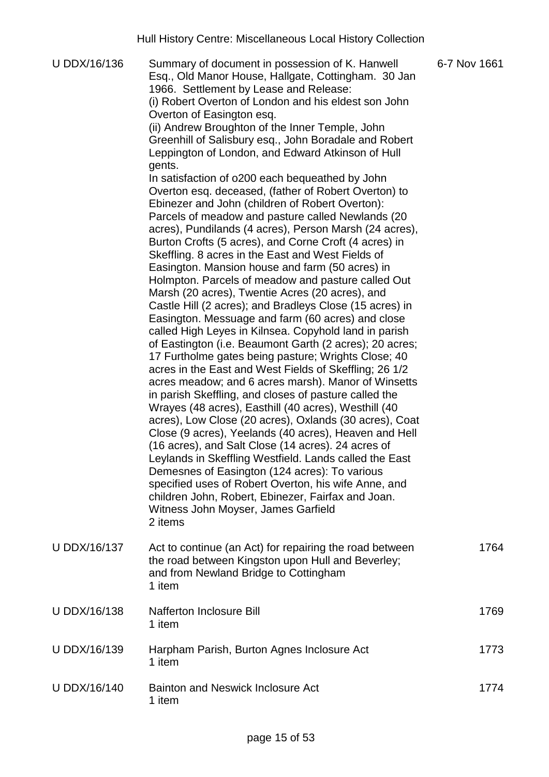U DDX/16/136 Summary of document in possession of K. Hanwell Esq., Old Manor House, Hallgate, Cottingham. 30 Jan 1966. Settlement by Lease and Release: (i) Robert Overton of London and his eldest son John Overton of Easington esq. (ii) Andrew Broughton of the Inner Temple, John Greenhill of Salisbury esq., John Boradale and Robert Leppington of London, and Edward Atkinson of Hull gents. In satisfaction of o200 each bequeathed by John Overton esq. deceased, (father of Robert Overton) to Ebinezer and John (children of Robert Overton): Parcels of meadow and pasture called Newlands (20 acres), Pundilands (4 acres), Person Marsh (24 acres), Burton Crofts (5 acres), and Corne Croft (4 acres) in Skeffling. 8 acres in the East and West Fields of Easington. Mansion house and farm (50 acres) in Holmpton. Parcels of meadow and pasture called Out Marsh (20 acres), Twentie Acres (20 acres), and Castle Hill (2 acres); and Bradleys Close (15 acres) in Easington. Messuage and farm (60 acres) and close called High Leyes in Kilnsea. Copyhold land in parish of Eastington (i.e. Beaumont Garth (2 acres); 20 acres; 17 Furtholme gates being pasture; Wrights Close; 40 acres in the East and West Fields of Skeffling; 26 1/2 acres meadow; and 6 acres marsh). Manor of Winsetts in parish Skeffling, and closes of pasture called the Wrayes (48 acres), Easthill (40 acres), Westhill (40 acres), Low Close (20 acres), Oxlands (30 acres), Coat Close (9 acres), Yeelands (40 acres), Heaven and Hell (16 acres), and Salt Close (14 acres). 24 acres of Leylands in Skeffling Westfield. Lands called the East Demesnes of Easington (124 acres): To various specified uses of Robert Overton, his wife Anne, and children John, Robert, Ebinezer, Fairfax and Joan. Witness John Moyser, James Garfield 2 items 6-7 Nov 1661 U DDX/16/137 Act to continue (an Act) for repairing the road between the road between Kingston upon Hull and Beverley; and from Newland Bridge to Cottingham 1 item 1764 U DDX/16/138 Nafferton Inclosure Bill 1 item 1769 U DDX/16/139 Harpham Parish, Burton Agnes Inclosure Act 1 item 1773 U DDX/16/140 Bainton and Neswick Inclosure Act 1 item 1774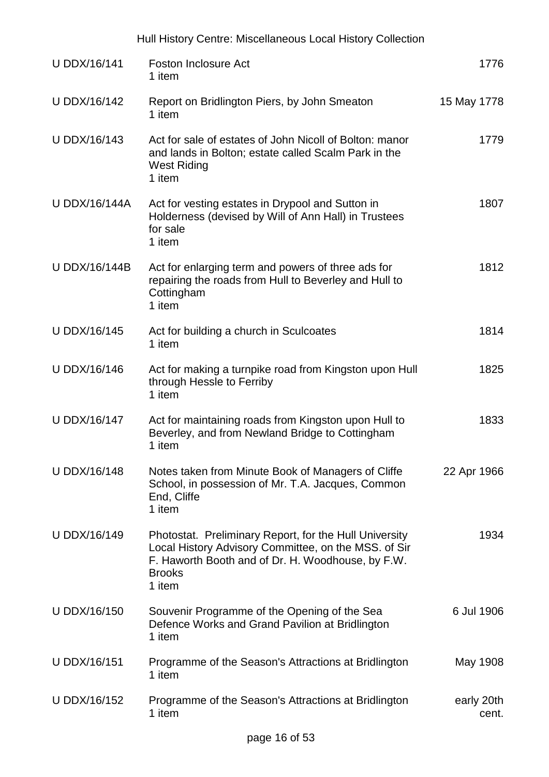|                      | Hull History Centre: Miscellaneous Local History Collection                                                                                                                                    |                     |
|----------------------|------------------------------------------------------------------------------------------------------------------------------------------------------------------------------------------------|---------------------|
| <b>U DDX/16/141</b>  | <b>Foston Inclosure Act</b><br>1 item                                                                                                                                                          | 1776                |
| U DDX/16/142         | Report on Bridlington Piers, by John Smeaton<br>1 item                                                                                                                                         | 15 May 1778         |
| U DDX/16/143         | Act for sale of estates of John Nicoll of Bolton: manor<br>and lands in Bolton; estate called Scalm Park in the<br><b>West Riding</b><br>1 item                                                | 1779                |
| <b>U DDX/16/144A</b> | Act for vesting estates in Drypool and Sutton in<br>Holderness (devised by Will of Ann Hall) in Trustees<br>for sale<br>1 item                                                                 | 1807                |
| U DDX/16/144B        | Act for enlarging term and powers of three ads for<br>repairing the roads from Hull to Beverley and Hull to<br>Cottingham<br>1 item                                                            | 1812                |
| U DDX/16/145         | Act for building a church in Sculcoates<br>1 item                                                                                                                                              | 1814                |
| U DDX/16/146         | Act for making a turnpike road from Kingston upon Hull<br>through Hessle to Ferriby<br>1 item                                                                                                  | 1825                |
| U DDX/16/147         | Act for maintaining roads from Kingston upon Hull to<br>Beverley, and from Newland Bridge to Cottingham<br>1 item                                                                              | 1833                |
| U DDX/16/148         | Notes taken from Minute Book of Managers of Cliffe<br>School, in possession of Mr. T.A. Jacques, Common<br>End, Cliffe<br>1 item                                                               | 22 Apr 1966         |
| U DDX/16/149         | Photostat. Preliminary Report, for the Hull University<br>Local History Advisory Committee, on the MSS. of Sir<br>F. Haworth Booth and of Dr. H. Woodhouse, by F.W.<br><b>Brooks</b><br>1 item | 1934                |
| U DDX/16/150         | Souvenir Programme of the Opening of the Sea<br>Defence Works and Grand Pavilion at Bridlington<br>1 item                                                                                      | 6 Jul 1906          |
| U DDX/16/151         | Programme of the Season's Attractions at Bridlington<br>1 item                                                                                                                                 | May 1908            |
| U DDX/16/152         | Programme of the Season's Attractions at Bridlington<br>1 item                                                                                                                                 | early 20th<br>cent. |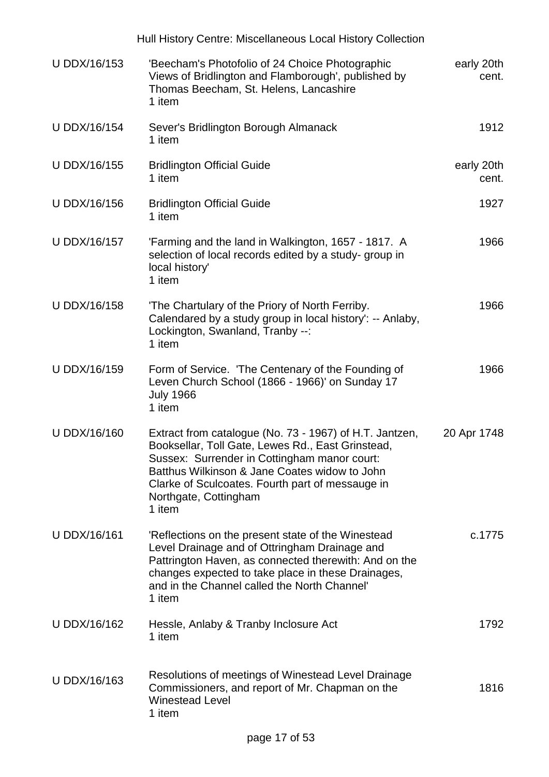|              | Hull History Centre: Miscellaneous Local History Collection                                                                                                                                                                                                                                          |                     |
|--------------|------------------------------------------------------------------------------------------------------------------------------------------------------------------------------------------------------------------------------------------------------------------------------------------------------|---------------------|
| U DDX/16/153 | 'Beecham's Photofolio of 24 Choice Photographic<br>Views of Bridlington and Flamborough', published by<br>Thomas Beecham, St. Helens, Lancashire<br>1 item                                                                                                                                           | early 20th<br>cent. |
| U DDX/16/154 | Sever's Bridlington Borough Almanack<br>1 item                                                                                                                                                                                                                                                       | 1912                |
| U DDX/16/155 | <b>Bridlington Official Guide</b><br>1 item                                                                                                                                                                                                                                                          | early 20th<br>cent. |
| U DDX/16/156 | <b>Bridlington Official Guide</b><br>1 item                                                                                                                                                                                                                                                          | 1927                |
| U DDX/16/157 | 'Farming and the land in Walkington, 1657 - 1817. A<br>selection of local records edited by a study-group in<br>local history'<br>1 item                                                                                                                                                             | 1966                |
| U DDX/16/158 | 'The Chartulary of the Priory of North Ferriby.<br>Calendared by a study group in local history': -- Anlaby,<br>Lockington, Swanland, Tranby --:<br>1 item                                                                                                                                           | 1966                |
| U DDX/16/159 | Form of Service. 'The Centenary of the Founding of<br>Leven Church School (1866 - 1966)' on Sunday 17<br><b>July 1966</b><br>1 item                                                                                                                                                                  | 1966                |
| U DDX/16/160 | Extract from catalogue (No. 73 - 1967) of H.T. Jantzen,<br>Booksellar, Toll Gate, Lewes Rd., East Grinstead,<br>Sussex: Surrender in Cottingham manor court:<br>Batthus Wilkinson & Jane Coates widow to John<br>Clarke of Sculcoates. Fourth part of messauge in<br>Northgate, Cottingham<br>1 item | 20 Apr 1748         |
| U DDX/16/161 | 'Reflections on the present state of the Winestead<br>Level Drainage and of Ottringham Drainage and<br>Pattrington Haven, as connected therewith: And on the<br>changes expected to take place in these Drainages,<br>and in the Channel called the North Channel'<br>1 item                         | c.1775              |
| U DDX/16/162 | Hessle, Anlaby & Tranby Inclosure Act<br>1 item                                                                                                                                                                                                                                                      | 1792                |
| U DDX/16/163 | Resolutions of meetings of Winestead Level Drainage<br>Commissioners, and report of Mr. Chapman on the<br><b>Winestead Level</b><br>1 item                                                                                                                                                           | 1816                |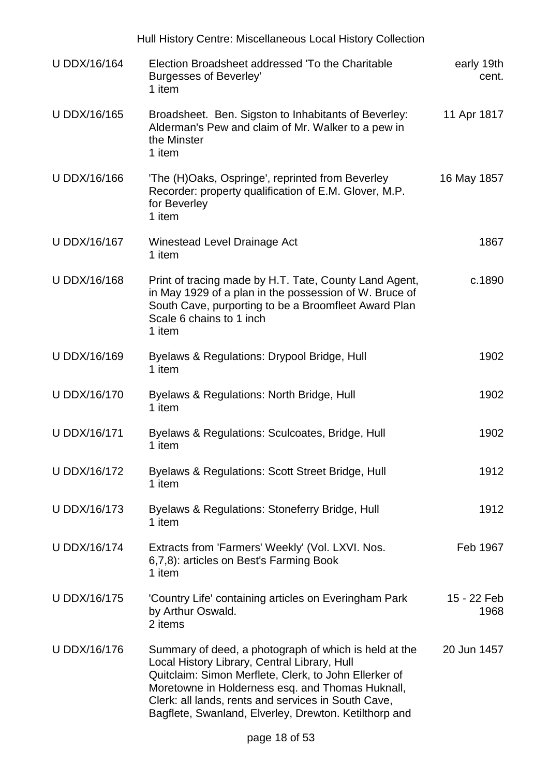|                     | Hull History Centre: Miscellaneous Local History Collection                                                                                                                                                                                                                                                                        |                     |
|---------------------|------------------------------------------------------------------------------------------------------------------------------------------------------------------------------------------------------------------------------------------------------------------------------------------------------------------------------------|---------------------|
| U DDX/16/164        | Election Broadsheet addressed 'To the Charitable<br>Burgesses of Beverley'<br>1 item                                                                                                                                                                                                                                               | early 19th<br>cent. |
| U DDX/16/165        | Broadsheet. Ben. Sigston to Inhabitants of Beverley:<br>Alderman's Pew and claim of Mr. Walker to a pew in<br>the Minster<br>1 item                                                                                                                                                                                                | 11 Apr 1817         |
| U DDX/16/166        | 'The (H)Oaks, Ospringe', reprinted from Beverley<br>Recorder: property qualification of E.M. Glover, M.P.<br>for Beverley<br>1 item                                                                                                                                                                                                | 16 May 1857         |
| U DDX/16/167        | Winestead Level Drainage Act<br>1 item                                                                                                                                                                                                                                                                                             | 1867                |
| U DDX/16/168        | Print of tracing made by H.T. Tate, County Land Agent,<br>in May 1929 of a plan in the possession of W. Bruce of<br>South Cave, purporting to be a Broomfleet Award Plan<br>Scale 6 chains to 1 inch<br>1 item                                                                                                                     | c.1890              |
| U DDX/16/169        | Byelaws & Regulations: Drypool Bridge, Hull<br>1 item                                                                                                                                                                                                                                                                              | 1902                |
| U DDX/16/170        | Byelaws & Regulations: North Bridge, Hull<br>1 item                                                                                                                                                                                                                                                                                | 1902                |
| <b>U DDX/16/171</b> | Byelaws & Regulations: Sculcoates, Bridge, Hull<br>1 item                                                                                                                                                                                                                                                                          | 1902                |
| U DDX/16/172        | Byelaws & Regulations: Scott Street Bridge, Hull<br>1 item                                                                                                                                                                                                                                                                         | 1912                |
| U DDX/16/173        | Byelaws & Regulations: Stoneferry Bridge, Hull<br>1 item                                                                                                                                                                                                                                                                           | 1912                |
| U DDX/16/174        | Extracts from 'Farmers' Weekly' (Vol. LXVI. Nos.<br>6,7,8): articles on Best's Farming Book<br>1 item                                                                                                                                                                                                                              | Feb 1967            |
| U DDX/16/175        | 'Country Life' containing articles on Everingham Park<br>by Arthur Oswald.<br>2 items                                                                                                                                                                                                                                              | 15 - 22 Feb<br>1968 |
| U DDX/16/176        | Summary of deed, a photograph of which is held at the<br>Local History Library, Central Library, Hull<br>Quitclaim: Simon Merflete, Clerk, to John Ellerker of<br>Moretowne in Holderness esq. and Thomas Huknall,<br>Clerk: all lands, rents and services in South Cave,<br>Bagflete, Swanland, Elverley, Drewton. Ketilthorp and | 20 Jun 1457         |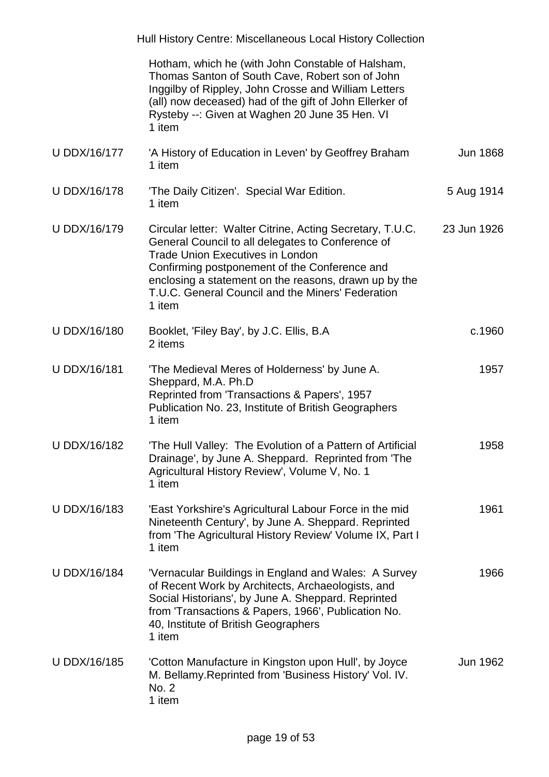|              | Hull History Centre: Miscellaneous Local History Collection                                                                                                                                                                                                                                                                        |                 |
|--------------|------------------------------------------------------------------------------------------------------------------------------------------------------------------------------------------------------------------------------------------------------------------------------------------------------------------------------------|-----------------|
|              | Hotham, which he (with John Constable of Halsham,<br>Thomas Santon of South Cave, Robert son of John<br>Inggilby of Rippley, John Crosse and William Letters<br>(all) now deceased) had of the gift of John Ellerker of<br>Rysteby --: Given at Waghen 20 June 35 Hen. VI<br>1 item                                                |                 |
| U DDX/16/177 | 'A History of Education in Leven' by Geoffrey Braham<br>1 item                                                                                                                                                                                                                                                                     | <b>Jun 1868</b> |
| U DDX/16/178 | 'The Daily Citizen'. Special War Edition.<br>1 item                                                                                                                                                                                                                                                                                | 5 Aug 1914      |
| U DDX/16/179 | Circular letter: Walter Citrine, Acting Secretary, T.U.C.<br>General Council to all delegates to Conference of<br><b>Trade Union Executives in London</b><br>Confirming postponement of the Conference and<br>enclosing a statement on the reasons, drawn up by the<br>T.U.C. General Council and the Miners' Federation<br>1 item | 23 Jun 1926     |
| U DDX/16/180 | Booklet, 'Filey Bay', by J.C. Ellis, B.A.<br>2 items                                                                                                                                                                                                                                                                               | c.1960          |
| U DDX/16/181 | 'The Medieval Meres of Holderness' by June A.<br>Sheppard, M.A. Ph.D<br>Reprinted from 'Transactions & Papers', 1957<br>Publication No. 23, Institute of British Geographers<br>1 item                                                                                                                                             | 1957            |
| U DDX/16/182 | 'The Hull Valley: The Evolution of a Pattern of Artificial<br>Drainage', by June A. Sheppard. Reprinted from 'The<br>Agricultural History Review', Volume V, No. 1<br>1 item                                                                                                                                                       | 1958            |
| U DDX/16/183 | 'East Yorkshire's Agricultural Labour Force in the mid<br>Nineteenth Century', by June A. Sheppard. Reprinted<br>from 'The Agricultural History Review' Volume IX, Part I<br>1 item                                                                                                                                                | 1961            |
| U DDX/16/184 | 'Vernacular Buildings in England and Wales: A Survey<br>of Recent Work by Architects, Archaeologists, and<br>Social Historians', by June A. Sheppard. Reprinted<br>from 'Transactions & Papers, 1966', Publication No.<br>40, Institute of British Geographers<br>1 item                                                           | 1966            |
| U DDX/16/185 | 'Cotton Manufacture in Kingston upon Hull', by Joyce<br>M. Bellamy. Reprinted from 'Business History' Vol. IV.<br>No. 2<br>1 item                                                                                                                                                                                                  | Jun 1962        |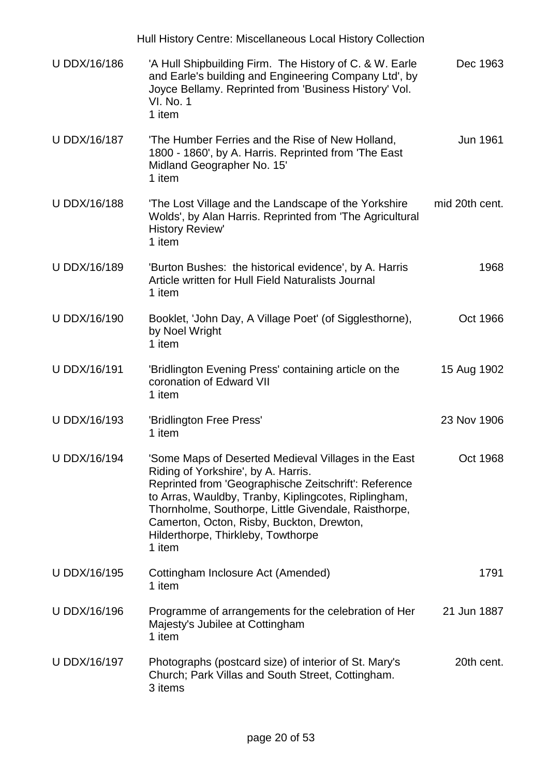|                     | Hull History Centre: Miscellaneous Local History Collection                                                                                                                                                                                                                                                                                                       |                |
|---------------------|-------------------------------------------------------------------------------------------------------------------------------------------------------------------------------------------------------------------------------------------------------------------------------------------------------------------------------------------------------------------|----------------|
| U DDX/16/186        | 'A Hull Shipbuilding Firm. The History of C. & W. Earle<br>and Earle's building and Engineering Company Ltd', by<br>Joyce Bellamy. Reprinted from 'Business History' Vol.<br><b>VI. No. 1</b><br>1 item                                                                                                                                                           | Dec 1963       |
| U DDX/16/187        | 'The Humber Ferries and the Rise of New Holland,<br>1800 - 1860', by A. Harris. Reprinted from 'The East<br>Midland Geographer No. 15'<br>1 item                                                                                                                                                                                                                  | Jun 1961       |
| U DDX/16/188        | 'The Lost Village and the Landscape of the Yorkshire<br>Wolds', by Alan Harris. Reprinted from 'The Agricultural<br><b>History Review'</b><br>1 item                                                                                                                                                                                                              | mid 20th cent. |
| U DDX/16/189        | 'Burton Bushes: the historical evidence', by A. Harris<br>Article written for Hull Field Naturalists Journal<br>1 item                                                                                                                                                                                                                                            | 1968           |
| <b>U DDX/16/190</b> | Booklet, 'John Day, A Village Poet' (of Sigglesthorne),<br>by Noel Wright<br>1 item                                                                                                                                                                                                                                                                               | Oct 1966       |
| U DDX/16/191        | 'Bridlington Evening Press' containing article on the<br>coronation of Edward VII<br>1 item                                                                                                                                                                                                                                                                       | 15 Aug 1902    |
| <b>U DDX/16/193</b> | 'Bridlington Free Press'<br>1 item                                                                                                                                                                                                                                                                                                                                | 23 Nov 1906    |
| <b>U DDX/16/194</b> | 'Some Maps of Deserted Medieval Villages in the East<br>Riding of Yorkshire', by A. Harris.<br>Reprinted from 'Geographische Zeitschrift': Reference<br>to Arras, Wauldby, Tranby, Kiplingcotes, Riplingham,<br>Thornholme, Southorpe, Little Givendale, Raisthorpe,<br>Camerton, Octon, Risby, Buckton, Drewton,<br>Hilderthorpe, Thirkleby, Towthorpe<br>1 item | Oct 1968       |
| U DDX/16/195        | Cottingham Inclosure Act (Amended)<br>1 item                                                                                                                                                                                                                                                                                                                      | 1791           |
| U DDX/16/196        | Programme of arrangements for the celebration of Her<br>Majesty's Jubilee at Cottingham<br>1 item                                                                                                                                                                                                                                                                 | 21 Jun 1887    |
| U DDX/16/197        | Photographs (postcard size) of interior of St. Mary's<br>Church; Park Villas and South Street, Cottingham.<br>3 items                                                                                                                                                                                                                                             | 20th cent.     |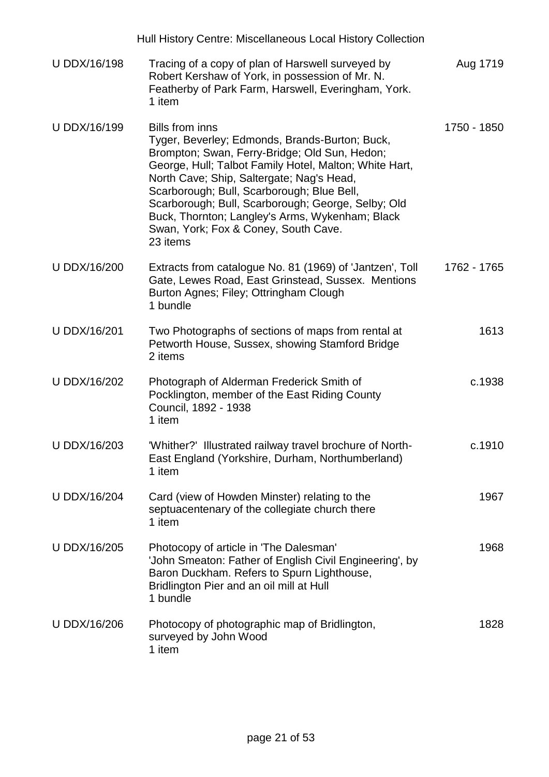|              | Hull History Centre: Miscellaneous Local History Collection                                                                                                                                                                                                                                                                                                                                                                                 |             |
|--------------|---------------------------------------------------------------------------------------------------------------------------------------------------------------------------------------------------------------------------------------------------------------------------------------------------------------------------------------------------------------------------------------------------------------------------------------------|-------------|
| U DDX/16/198 | Tracing of a copy of plan of Harswell surveyed by<br>Robert Kershaw of York, in possession of Mr. N.<br>Featherby of Park Farm, Harswell, Everingham, York.<br>1 item                                                                                                                                                                                                                                                                       | Aug 1719    |
| U DDX/16/199 | <b>Bills from inns</b><br>Tyger, Beverley; Edmonds, Brands-Burton; Buck,<br>Brompton; Swan, Ferry-Bridge; Old Sun, Hedon;<br>George, Hull; Talbot Family Hotel, Malton; White Hart,<br>North Cave; Ship, Saltergate; Nag's Head,<br>Scarborough; Bull, Scarborough; Blue Bell,<br>Scarborough; Bull, Scarborough; George, Selby; Old<br>Buck, Thornton; Langley's Arms, Wykenham; Black<br>Swan, York; Fox & Coney, South Cave.<br>23 items | 1750 - 1850 |
| U DDX/16/200 | Extracts from catalogue No. 81 (1969) of 'Jantzen', Toll<br>Gate, Lewes Road, East Grinstead, Sussex. Mentions<br>Burton Agnes; Filey; Ottringham Clough<br>1 bundle                                                                                                                                                                                                                                                                        | 1762 - 1765 |
| U DDX/16/201 | Two Photographs of sections of maps from rental at<br>Petworth House, Sussex, showing Stamford Bridge<br>2 items                                                                                                                                                                                                                                                                                                                            | 1613        |
| U DDX/16/202 | Photograph of Alderman Frederick Smith of<br>Pocklington, member of the East Riding County<br>Council, 1892 - 1938<br>1 item                                                                                                                                                                                                                                                                                                                | c.1938      |
| U DDX/16/203 | 'Whither?' Illustrated railway travel brochure of North-<br>East England (Yorkshire, Durham, Northumberland)<br>1 item                                                                                                                                                                                                                                                                                                                      | c.1910      |
| U DDX/16/204 | Card (view of Howden Minster) relating to the<br>septuacentenary of the collegiate church there<br>1 item                                                                                                                                                                                                                                                                                                                                   | 1967        |
| U DDX/16/205 | Photocopy of article in 'The Dalesman'<br>'John Smeaton: Father of English Civil Engineering', by<br>Baron Duckham. Refers to Spurn Lighthouse,<br>Bridlington Pier and an oil mill at Hull<br>1 bundle                                                                                                                                                                                                                                     | 1968        |
| U DDX/16/206 | Photocopy of photographic map of Bridlington,<br>surveyed by John Wood<br>1 item                                                                                                                                                                                                                                                                                                                                                            | 1828        |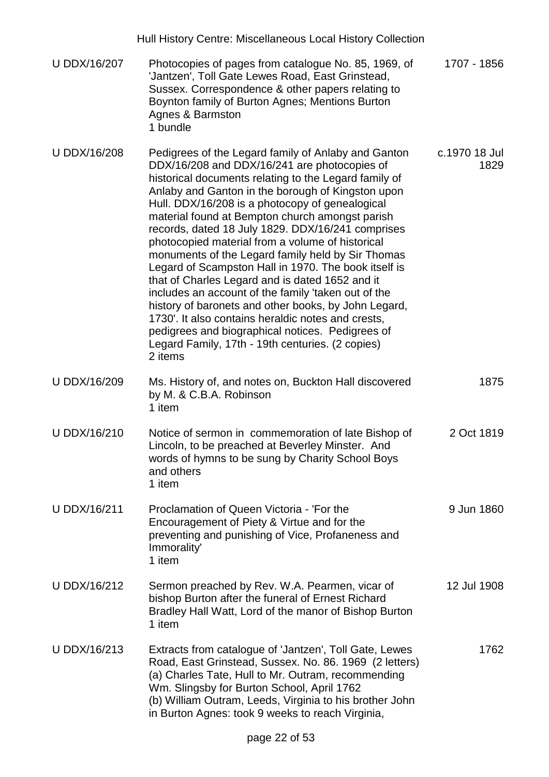|                     | Hull History Centre: Miscellaneous Local History Collection                                                                                                                                                                                                                                                                                                                                                                                                                                                                                                                                                                                                                                                                                                                                                                                                                              |                       |
|---------------------|------------------------------------------------------------------------------------------------------------------------------------------------------------------------------------------------------------------------------------------------------------------------------------------------------------------------------------------------------------------------------------------------------------------------------------------------------------------------------------------------------------------------------------------------------------------------------------------------------------------------------------------------------------------------------------------------------------------------------------------------------------------------------------------------------------------------------------------------------------------------------------------|-----------------------|
| U DDX/16/207        | Photocopies of pages from catalogue No. 85, 1969, of<br>'Jantzen', Toll Gate Lewes Road, East Grinstead,<br>Sussex. Correspondence & other papers relating to<br>Boynton family of Burton Agnes; Mentions Burton<br>Agnes & Barmston<br>1 bundle                                                                                                                                                                                                                                                                                                                                                                                                                                                                                                                                                                                                                                         | 1707 - 1856           |
| <b>U DDX/16/208</b> | Pedigrees of the Legard family of Anlaby and Ganton<br>DDX/16/208 and DDX/16/241 are photocopies of<br>historical documents relating to the Legard family of<br>Anlaby and Ganton in the borough of Kingston upon<br>Hull. DDX/16/208 is a photocopy of genealogical<br>material found at Bempton church amongst parish<br>records, dated 18 July 1829. DDX/16/241 comprises<br>photocopied material from a volume of historical<br>monuments of the Legard family held by Sir Thomas<br>Legard of Scampston Hall in 1970. The book itself is<br>that of Charles Legard and is dated 1652 and it<br>includes an account of the family 'taken out of the<br>history of baronets and other books, by John Legard,<br>1730'. It also contains heraldic notes and crests,<br>pedigrees and biographical notices. Pedigrees of<br>Legard Family, 17th - 19th centuries. (2 copies)<br>2 items | c.1970 18 Jul<br>1829 |
| U DDX/16/209        | Ms. History of, and notes on, Buckton Hall discovered<br>by M. & C.B.A. Robinson<br>1 item                                                                                                                                                                                                                                                                                                                                                                                                                                                                                                                                                                                                                                                                                                                                                                                               | 1875                  |
| U DDX/16/210        | Notice of sermon in commemoration of late Bishop of<br>Lincoln, to be preached at Beverley Minster. And<br>words of hymns to be sung by Charity School Boys<br>and others<br>1 item                                                                                                                                                                                                                                                                                                                                                                                                                                                                                                                                                                                                                                                                                                      | 2 Oct 1819            |
| <b>U DDX/16/211</b> | Proclamation of Queen Victoria - 'For the<br>Encouragement of Piety & Virtue and for the<br>preventing and punishing of Vice, Profaneness and<br>Immorality'<br>1 item                                                                                                                                                                                                                                                                                                                                                                                                                                                                                                                                                                                                                                                                                                                   | 9 Jun 1860            |
| U DDX/16/212        | Sermon preached by Rev. W.A. Pearmen, vicar of<br>bishop Burton after the funeral of Ernest Richard<br>Bradley Hall Watt, Lord of the manor of Bishop Burton<br>1 item                                                                                                                                                                                                                                                                                                                                                                                                                                                                                                                                                                                                                                                                                                                   | 12 Jul 1908           |
| U DDX/16/213        | Extracts from catalogue of 'Jantzen', Toll Gate, Lewes<br>Road, East Grinstead, Sussex. No. 86. 1969 (2 letters)<br>(a) Charles Tate, Hull to Mr. Outram, recommending<br>Wm. Slingsby for Burton School, April 1762<br>(b) William Outram, Leeds, Virginia to his brother John<br>in Burton Agnes: took 9 weeks to reach Virginia,                                                                                                                                                                                                                                                                                                                                                                                                                                                                                                                                                      | 1762                  |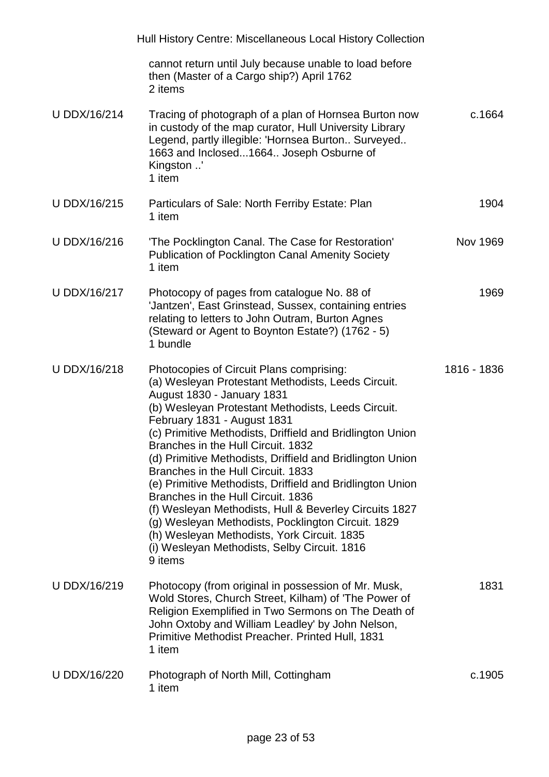|              | Hull History Centre: Miscellaneous Local History Collection                                                                                                                                                                                                                                                                                                                                                                                                                                                                                                                                                                                                                                                                                          |             |
|--------------|------------------------------------------------------------------------------------------------------------------------------------------------------------------------------------------------------------------------------------------------------------------------------------------------------------------------------------------------------------------------------------------------------------------------------------------------------------------------------------------------------------------------------------------------------------------------------------------------------------------------------------------------------------------------------------------------------------------------------------------------------|-------------|
|              | cannot return until July because unable to load before<br>then (Master of a Cargo ship?) April 1762<br>2 items                                                                                                                                                                                                                                                                                                                                                                                                                                                                                                                                                                                                                                       |             |
| U DDX/16/214 | Tracing of photograph of a plan of Hornsea Burton now<br>in custody of the map curator, Hull University Library<br>Legend, partly illegible: 'Hornsea Burton Surveyed<br>1663 and Inclosed1664 Joseph Osburne of<br>Kingston '<br>1 item                                                                                                                                                                                                                                                                                                                                                                                                                                                                                                             | c.1664      |
| U DDX/16/215 | Particulars of Sale: North Ferriby Estate: Plan<br>1 item                                                                                                                                                                                                                                                                                                                                                                                                                                                                                                                                                                                                                                                                                            | 1904        |
| U DDX/16/216 | 'The Pocklington Canal. The Case for Restoration'<br><b>Publication of Pocklington Canal Amenity Society</b><br>1 item                                                                                                                                                                                                                                                                                                                                                                                                                                                                                                                                                                                                                               | Nov 1969    |
| U DDX/16/217 | Photocopy of pages from catalogue No. 88 of<br>'Jantzen', East Grinstead, Sussex, containing entries<br>relating to letters to John Outram, Burton Agnes<br>(Steward or Agent to Boynton Estate?) (1762 - 5)<br>1 bundle                                                                                                                                                                                                                                                                                                                                                                                                                                                                                                                             | 1969        |
| U DDX/16/218 | Photocopies of Circuit Plans comprising:<br>(a) Wesleyan Protestant Methodists, Leeds Circuit.<br>August 1830 - January 1831<br>(b) Wesleyan Protestant Methodists, Leeds Circuit.<br>February 1831 - August 1831<br>(c) Primitive Methodists, Driffield and Bridlington Union<br>Branches in the Hull Circuit. 1832<br>(d) Primitive Methodists, Driffield and Bridlington Union<br>Branches in the Hull Circuit. 1833<br>(e) Primitive Methodists, Driffield and Bridlington Union<br>Branches in the Hull Circuit. 1836<br>(f) Wesleyan Methodists, Hull & Beverley Circuits 1827<br>(g) Wesleyan Methodists, Pocklington Circuit. 1829<br>(h) Wesleyan Methodists, York Circuit. 1835<br>(i) Wesleyan Methodists, Selby Circuit. 1816<br>9 items | 1816 - 1836 |
| U DDX/16/219 | Photocopy (from original in possession of Mr. Musk,<br>Wold Stores, Church Street, Kilham) of 'The Power of<br>Religion Exemplified in Two Sermons on The Death of<br>John Oxtoby and William Leadley' by John Nelson,<br>Primitive Methodist Preacher. Printed Hull, 1831<br>1 item                                                                                                                                                                                                                                                                                                                                                                                                                                                                 | 1831        |
| U DDX/16/220 | Photograph of North Mill, Cottingham<br>1 item                                                                                                                                                                                                                                                                                                                                                                                                                                                                                                                                                                                                                                                                                                       | c.1905      |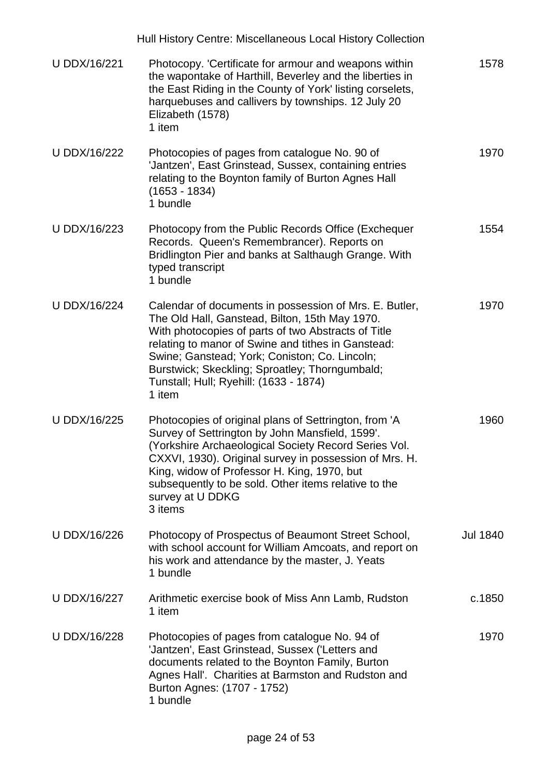|                     | Hull History Centre: Miscellaneous Local History Collection                                                                                                                                                                                                                                                                                                                  |                 |
|---------------------|------------------------------------------------------------------------------------------------------------------------------------------------------------------------------------------------------------------------------------------------------------------------------------------------------------------------------------------------------------------------------|-----------------|
| <b>U DDX/16/221</b> | Photocopy. 'Certificate for armour and weapons within<br>the wapontake of Harthill, Beverley and the liberties in<br>the East Riding in the County of York' listing corselets,<br>harquebuses and callivers by townships. 12 July 20<br>Elizabeth (1578)<br>1 item                                                                                                           | 1578            |
| U DDX/16/222        | Photocopies of pages from catalogue No. 90 of<br>'Jantzen', East Grinstead, Sussex, containing entries<br>relating to the Boynton family of Burton Agnes Hall<br>(1653 - 1834)<br>1 bundle                                                                                                                                                                                   | 1970            |
| U DDX/16/223        | Photocopy from the Public Records Office (Exchequer<br>Records. Queen's Remembrancer). Reports on<br>Bridlington Pier and banks at Salthaugh Grange. With<br>typed transcript<br>1 bundle                                                                                                                                                                                    | 1554            |
| U DDX/16/224        | Calendar of documents in possession of Mrs. E. Butler,<br>The Old Hall, Ganstead, Bilton, 15th May 1970.<br>With photocopies of parts of two Abstracts of Title<br>relating to manor of Swine and tithes in Ganstead:<br>Swine; Ganstead; York; Coniston; Co. Lincoln;<br>Burstwick; Skeckling; Sproatley; Thorngumbald;<br>Tunstall; Hull; Ryehill: (1633 - 1874)<br>1 item | 1970            |
| U DDX/16/225        | Photocopies of original plans of Settrington, from 'A<br>Survey of Settrington by John Mansfield, 1599'.<br>(Yorkshire Archaeological Society Record Series Vol.<br>CXXVI, 1930). Original survey in possession of Mrs. H.<br>King, widow of Professor H. King, 1970, but<br>subsequently to be sold. Other items relative to the<br>survey at U DDKG<br>3 items             | 1960            |
| U DDX/16/226        | Photocopy of Prospectus of Beaumont Street School,<br>with school account for William Amcoats, and report on<br>his work and attendance by the master, J. Yeats<br>1 bundle                                                                                                                                                                                                  | <b>Jul 1840</b> |
| U DDX/16/227        | Arithmetic exercise book of Miss Ann Lamb, Rudston<br>1 item                                                                                                                                                                                                                                                                                                                 | c.1850          |
| U DDX/16/228        | Photocopies of pages from catalogue No. 94 of<br>'Jantzen', East Grinstead, Sussex ('Letters and<br>documents related to the Boynton Family, Burton<br>Agnes Hall'. Charities at Barmston and Rudston and<br>Burton Agnes: (1707 - 1752)<br>1 bundle                                                                                                                         | 1970            |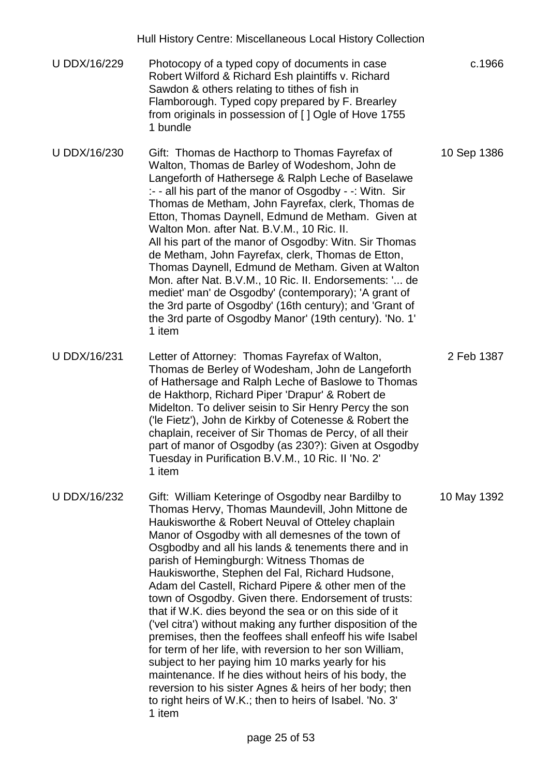|                     | Hull History Centre: Miscellaneous Local History Collection                                                                                                                                                                                                                                                                                                                                                                                                                                                                                                                                                                                                                                                                                                                                                                                                                                                                                                                             |             |
|---------------------|-----------------------------------------------------------------------------------------------------------------------------------------------------------------------------------------------------------------------------------------------------------------------------------------------------------------------------------------------------------------------------------------------------------------------------------------------------------------------------------------------------------------------------------------------------------------------------------------------------------------------------------------------------------------------------------------------------------------------------------------------------------------------------------------------------------------------------------------------------------------------------------------------------------------------------------------------------------------------------------------|-------------|
| U DDX/16/229        | Photocopy of a typed copy of documents in case<br>Robert Wilford & Richard Esh plaintiffs v. Richard<br>Sawdon & others relating to tithes of fish in<br>Flamborough. Typed copy prepared by F. Brearley<br>from originals in possession of [] Ogle of Hove 1755<br>1 bundle                                                                                                                                                                                                                                                                                                                                                                                                                                                                                                                                                                                                                                                                                                            | c.1966      |
| U DDX/16/230        | Gift: Thomas de Hacthorp to Thomas Fayrefax of<br>Walton, Thomas de Barley of Wodeshom, John de<br>Langeforth of Hathersege & Ralph Leche of Baselawe<br>:- - all his part of the manor of Osgodby - -: Witn. Sir<br>Thomas de Metham, John Fayrefax, clerk, Thomas de<br>Etton, Thomas Daynell, Edmund de Metham. Given at<br>Walton Mon. after Nat. B.V.M., 10 Ric. II.<br>All his part of the manor of Osgodby: Witn. Sir Thomas<br>de Metham, John Fayrefax, clerk, Thomas de Etton,<br>Thomas Daynell, Edmund de Metham. Given at Walton<br>Mon. after Nat. B.V.M., 10 Ric. II. Endorsements: ' de<br>mediet' man' de Osgodby' (contemporary); 'A grant of<br>the 3rd parte of Osgodby' (16th century); and 'Grant of<br>the 3rd parte of Osgodby Manor' (19th century). 'No. 1'<br>1 item                                                                                                                                                                                         | 10 Sep 1386 |
| U DDX/16/231        | Letter of Attorney: Thomas Fayrefax of Walton,<br>Thomas de Berley of Wodesham, John de Langeforth<br>of Hathersage and Ralph Leche of Baslowe to Thomas<br>de Hakthorp, Richard Piper 'Drapur' & Robert de<br>Midelton. To deliver seisin to Sir Henry Percy the son<br>('le Fietz'), John de Kirkby of Cotenesse & Robert the<br>chaplain, receiver of Sir Thomas de Percy, of all their<br>part of manor of Osgodby (as 230?): Given at Osgodby<br>Tuesday in Purification B.V.M., 10 Ric. II 'No. 2'<br>1 item                                                                                                                                                                                                                                                                                                                                                                                                                                                                      | 2 Feb 1387  |
| <b>U DDX/16/232</b> | Gift: William Keteringe of Osgodby near Bardilby to<br>Thomas Hervy, Thomas Maundevill, John Mittone de<br>Haukisworthe & Robert Neuval of Otteley chaplain<br>Manor of Osgodby with all demesnes of the town of<br>Osgbodby and all his lands & tenements there and in<br>parish of Hemingburgh: Witness Thomas de<br>Haukisworthe, Stephen del Fal, Richard Hudsone,<br>Adam del Castell, Richard Pipere & other men of the<br>town of Osgodby. Given there. Endorsement of trusts:<br>that if W.K. dies beyond the sea or on this side of it<br>('vel citra') without making any further disposition of the<br>premises, then the feoffees shall enfeoff his wife Isabel<br>for term of her life, with reversion to her son William,<br>subject to her paying him 10 marks yearly for his<br>maintenance. If he dies without heirs of his body, the<br>reversion to his sister Agnes & heirs of her body; then<br>to right heirs of W.K.; then to heirs of Isabel. 'No. 3'<br>1 item | 10 May 1392 |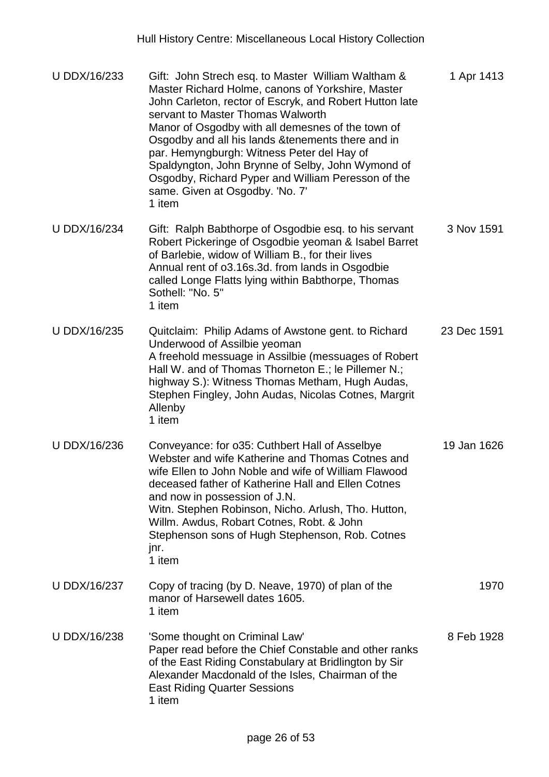| U DDX/16/233 | Gift: John Strech esq. to Master William Waltham &<br>Master Richard Holme, canons of Yorkshire, Master<br>John Carleton, rector of Escryk, and Robert Hutton late<br>servant to Master Thomas Walworth<br>Manor of Osgodby with all demesnes of the town of<br>Osgodby and all his lands & tenements there and in<br>par. Hemyngburgh: Witness Peter del Hay of<br>Spaldyngton, John Brynne of Selby, John Wymond of<br>Osgodby, Richard Pyper and William Peresson of the<br>same. Given at Osgodby. 'No. 7'<br>1 item | 1 Apr 1413  |
|--------------|--------------------------------------------------------------------------------------------------------------------------------------------------------------------------------------------------------------------------------------------------------------------------------------------------------------------------------------------------------------------------------------------------------------------------------------------------------------------------------------------------------------------------|-------------|
| U DDX/16/234 | Gift: Ralph Babthorpe of Osgodbie esq. to his servant<br>Robert Pickeringe of Osgodbie yeoman & Isabel Barret<br>of Barlebie, widow of William B., for their lives<br>Annual rent of o3.16s.3d. from lands in Osgodbie<br>called Longe Flatts lying within Babthorpe, Thomas<br>Sothell: "No. 5"<br>1 item                                                                                                                                                                                                               | 3 Nov 1591  |
| U DDX/16/235 | Quitclaim: Philip Adams of Awstone gent. to Richard<br>Underwood of Assilbie yeoman<br>A freehold messuage in Assilbie (messuages of Robert<br>Hall W. and of Thomas Thorneton E.; le Pillemer N.;<br>highway S.): Witness Thomas Metham, Hugh Audas,<br>Stephen Fingley, John Audas, Nicolas Cotnes, Margrit<br>Allenby<br>1 item                                                                                                                                                                                       | 23 Dec 1591 |
| U DDX/16/236 | Conveyance: for o35: Cuthbert Hall of Asselbye<br>Webster and wife Katherine and Thomas Cotnes and<br>wife Ellen to John Noble and wife of William Flawood<br>deceased father of Katherine Hall and Ellen Cotnes<br>and now in possession of J.N.<br>Witn. Stephen Robinson, Nicho. Arlush, Tho. Hutton,<br>Willm. Awdus, Robart Cotnes, Robt. & John<br>Stephenson sons of Hugh Stephenson, Rob. Cotnes<br>jnr.<br>1 item                                                                                               | 19 Jan 1626 |
| U DDX/16/237 | Copy of tracing (by D. Neave, 1970) of plan of the<br>manor of Harsewell dates 1605.<br>1 item                                                                                                                                                                                                                                                                                                                                                                                                                           | 1970        |
| U DDX/16/238 | 'Some thought on Criminal Law'<br>Paper read before the Chief Constable and other ranks<br>of the East Riding Constabulary at Bridlington by Sir<br>Alexander Macdonald of the Isles, Chairman of the<br><b>East Riding Quarter Sessions</b><br>1 item                                                                                                                                                                                                                                                                   | 8 Feb 1928  |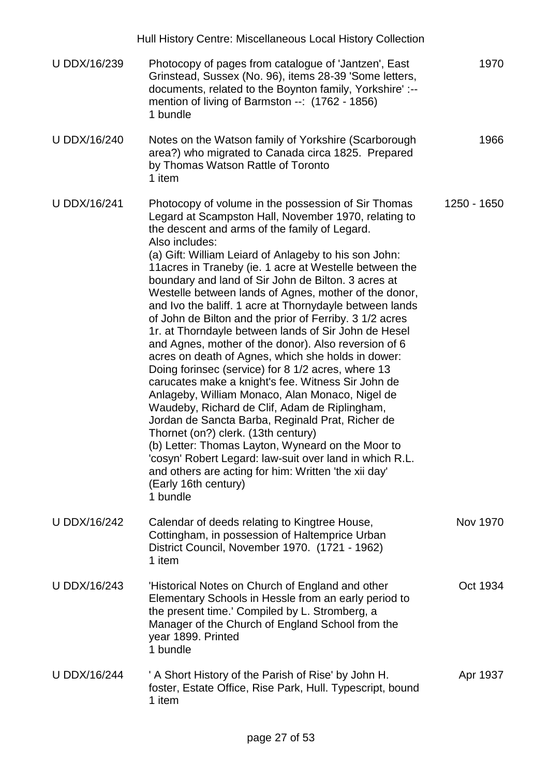|                     | Hull History Centre: Miscellaneous Local History Collection                                                                                                                                                                                                                                                                                                                                                                                                                                                                                                                                                                                                                                                                                                                                                                                                                                                                                                                                                                                                                                                                                                                                                                           |             |
|---------------------|---------------------------------------------------------------------------------------------------------------------------------------------------------------------------------------------------------------------------------------------------------------------------------------------------------------------------------------------------------------------------------------------------------------------------------------------------------------------------------------------------------------------------------------------------------------------------------------------------------------------------------------------------------------------------------------------------------------------------------------------------------------------------------------------------------------------------------------------------------------------------------------------------------------------------------------------------------------------------------------------------------------------------------------------------------------------------------------------------------------------------------------------------------------------------------------------------------------------------------------|-------------|
| U DDX/16/239        | Photocopy of pages from catalogue of 'Jantzen', East<br>Grinstead, Sussex (No. 96), items 28-39 'Some letters,<br>documents, related to the Boynton family, Yorkshire':--<br>mention of living of Barmston --: (1762 - 1856)<br>1 bundle                                                                                                                                                                                                                                                                                                                                                                                                                                                                                                                                                                                                                                                                                                                                                                                                                                                                                                                                                                                              | 1970        |
| U DDX/16/240        | Notes on the Watson family of Yorkshire (Scarborough<br>area?) who migrated to Canada circa 1825. Prepared<br>by Thomas Watson Rattle of Toronto<br>1 item                                                                                                                                                                                                                                                                                                                                                                                                                                                                                                                                                                                                                                                                                                                                                                                                                                                                                                                                                                                                                                                                            | 1966        |
| <b>U DDX/16/241</b> | Photocopy of volume in the possession of Sir Thomas<br>Legard at Scampston Hall, November 1970, relating to<br>the descent and arms of the family of Legard.<br>Also includes:<br>(a) Gift: William Leiard of Anlageby to his son John:<br>11 acres in Traneby (ie. 1 acre at Westelle between the<br>boundary and land of Sir John de Bilton. 3 acres at<br>Westelle between lands of Agnes, mother of the donor,<br>and Ivo the baliff. 1 acre at Thornydayle between lands<br>of John de Bilton and the prior of Ferriby. 3 1/2 acres<br>1r. at Thorndayle between lands of Sir John de Hesel<br>and Agnes, mother of the donor). Also reversion of 6<br>acres on death of Agnes, which she holds in dower:<br>Doing forinsec (service) for 8 1/2 acres, where 13<br>carucates make a knight's fee. Witness Sir John de<br>Anlageby, William Monaco, Alan Monaco, Nigel de<br>Waudeby, Richard de Clif, Adam de Riplingham,<br>Jordan de Sancta Barba, Reginald Prat, Richer de<br>Thornet (on?) clerk. (13th century)<br>(b) Letter: Thomas Layton, Wyneard on the Moor to<br>'cosyn' Robert Legard: law-suit over land in which R.L.<br>and others are acting for him: Written 'the xii day'<br>(Early 16th century)<br>1 bundle | 1250 - 1650 |
| U DDX/16/242        | Calendar of deeds relating to Kingtree House,<br>Cottingham, in possession of Haltemprice Urban<br>District Council, November 1970. (1721 - 1962)<br>1 item                                                                                                                                                                                                                                                                                                                                                                                                                                                                                                                                                                                                                                                                                                                                                                                                                                                                                                                                                                                                                                                                           | Nov 1970    |
| U DDX/16/243        | 'Historical Notes on Church of England and other<br>Elementary Schools in Hessle from an early period to<br>the present time.' Compiled by L. Stromberg, a<br>Manager of the Church of England School from the<br>year 1899. Printed<br>1 bundle                                                                                                                                                                                                                                                                                                                                                                                                                                                                                                                                                                                                                                                                                                                                                                                                                                                                                                                                                                                      | Oct 1934    |
| <b>U DDX/16/244</b> | ' A Short History of the Parish of Rise' by John H.<br>foster, Estate Office, Rise Park, Hull. Typescript, bound<br>1 item                                                                                                                                                                                                                                                                                                                                                                                                                                                                                                                                                                                                                                                                                                                                                                                                                                                                                                                                                                                                                                                                                                            | Apr 1937    |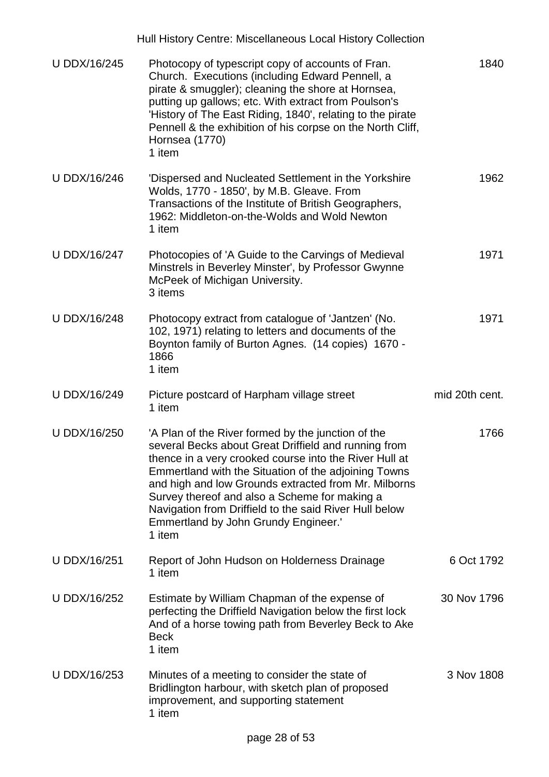|              | Hull History Centre: Miscellaneous Local History Collection                                                                                                                                                                                                                                                                                                                                                                                       |                |
|--------------|---------------------------------------------------------------------------------------------------------------------------------------------------------------------------------------------------------------------------------------------------------------------------------------------------------------------------------------------------------------------------------------------------------------------------------------------------|----------------|
| U DDX/16/245 | Photocopy of typescript copy of accounts of Fran.<br>Church. Executions (including Edward Pennell, a<br>pirate & smuggler); cleaning the shore at Hornsea,<br>putting up gallows; etc. With extract from Poulson's<br>'History of The East Riding, 1840', relating to the pirate<br>Pennell & the exhibition of his corpse on the North Cliff,<br>Hornsea (1770)<br>1 item                                                                        | 1840           |
| U DDX/16/246 | 'Dispersed and Nucleated Settlement in the Yorkshire<br>Wolds, 1770 - 1850', by M.B. Gleave. From<br>Transactions of the Institute of British Geographers,<br>1962: Middleton-on-the-Wolds and Wold Newton<br>1 item                                                                                                                                                                                                                              | 1962           |
| U DDX/16/247 | Photocopies of 'A Guide to the Carvings of Medieval<br>Minstrels in Beverley Minster', by Professor Gwynne<br>McPeek of Michigan University.<br>3 items                                                                                                                                                                                                                                                                                           | 1971           |
| U DDX/16/248 | Photocopy extract from catalogue of 'Jantzen' (No.<br>102, 1971) relating to letters and documents of the<br>Boynton family of Burton Agnes. (14 copies) 1670 -<br>1866<br>1 item                                                                                                                                                                                                                                                                 | 1971           |
| U DDX/16/249 | Picture postcard of Harpham village street<br>1 item                                                                                                                                                                                                                                                                                                                                                                                              | mid 20th cent. |
|              |                                                                                                                                                                                                                                                                                                                                                                                                                                                   |                |
| U DDX/16/250 | 'A Plan of the River formed by the junction of the<br>several Becks about Great Driffield and running from<br>thence in a very crooked course into the River Hull at<br>Emmertland with the Situation of the adjoining Towns<br>and high and low Grounds extracted from Mr. Milborns<br>Survey thereof and also a Scheme for making a<br>Navigation from Driffield to the said River Hull below<br>Emmertland by John Grundy Engineer.'<br>1 item | 1766           |
| U DDX/16/251 | Report of John Hudson on Holderness Drainage<br>1 item                                                                                                                                                                                                                                                                                                                                                                                            | 6 Oct 1792     |
| U DDX/16/252 | Estimate by William Chapman of the expense of<br>perfecting the Driffield Navigation below the first lock<br>And of a horse towing path from Beverley Beck to Ake<br><b>Beck</b><br>1 item                                                                                                                                                                                                                                                        | 30 Nov 1796    |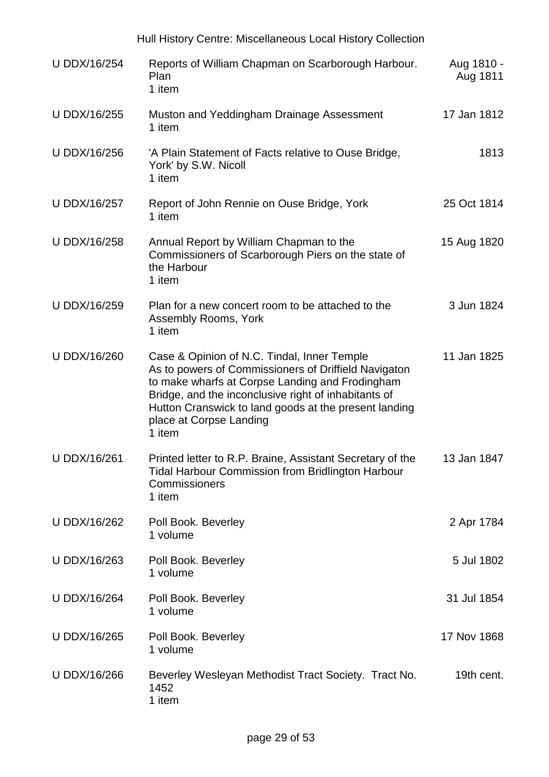|                     | Hull History Centre: Miscellaneous Local History Collection                                                                                                                                                                                                                                                  |                        |
|---------------------|--------------------------------------------------------------------------------------------------------------------------------------------------------------------------------------------------------------------------------------------------------------------------------------------------------------|------------------------|
| <b>U DDX/16/254</b> | Reports of William Chapman on Scarborough Harbour.<br>Plan<br>1 item                                                                                                                                                                                                                                         | Aug 1810 -<br>Aug 1811 |
| U DDX/16/255        | Muston and Yeddingham Drainage Assessment<br>1 item                                                                                                                                                                                                                                                          | 17 Jan 1812            |
| U DDX/16/256        | 'A Plain Statement of Facts relative to Ouse Bridge,<br>York' by S.W. Nicoll<br>1 item                                                                                                                                                                                                                       | 1813                   |
| U DDX/16/257        | Report of John Rennie on Ouse Bridge, York<br>1 item                                                                                                                                                                                                                                                         | 25 Oct 1814            |
| U DDX/16/258        | Annual Report by William Chapman to the<br>Commissioners of Scarborough Piers on the state of<br>the Harbour<br>1 item                                                                                                                                                                                       | 15 Aug 1820            |
| U DDX/16/259        | Plan for a new concert room to be attached to the<br>Assembly Rooms, York<br>1 item                                                                                                                                                                                                                          | 3 Jun 1824             |
| U DDX/16/260        | Case & Opinion of N.C. Tindal, Inner Temple<br>As to powers of Commissioners of Driffield Navigaton<br>to make wharfs at Corpse Landing and Frodingham<br>Bridge, and the inconclusive right of inhabitants of<br>Hutton Cranswick to land goods at the present landing<br>place at Corpse Landing<br>1 item | 11 Jan 1825            |
| U DDX/16/261        | Printed letter to R.P. Braine, Assistant Secretary of the<br><b>Tidal Harbour Commission from Bridlington Harbour</b><br>Commissioners<br>1 item                                                                                                                                                             | 13 Jan 1847            |
| U DDX/16/262        | Poll Book. Beverley<br>1 volume                                                                                                                                                                                                                                                                              | 2 Apr 1784             |
| U DDX/16/263        | Poll Book. Beverley<br>1 volume                                                                                                                                                                                                                                                                              | 5 Jul 1802             |
| <b>U DDX/16/264</b> | Poll Book. Beverley<br>1 volume                                                                                                                                                                                                                                                                              | 31 Jul 1854            |
| U DDX/16/265        | Poll Book. Beverley<br>1 volume                                                                                                                                                                                                                                                                              | 17 Nov 1868            |
| U DDX/16/266        | Beverley Wesleyan Methodist Tract Society. Tract No.<br>1452<br>1 item                                                                                                                                                                                                                                       | 19th cent.             |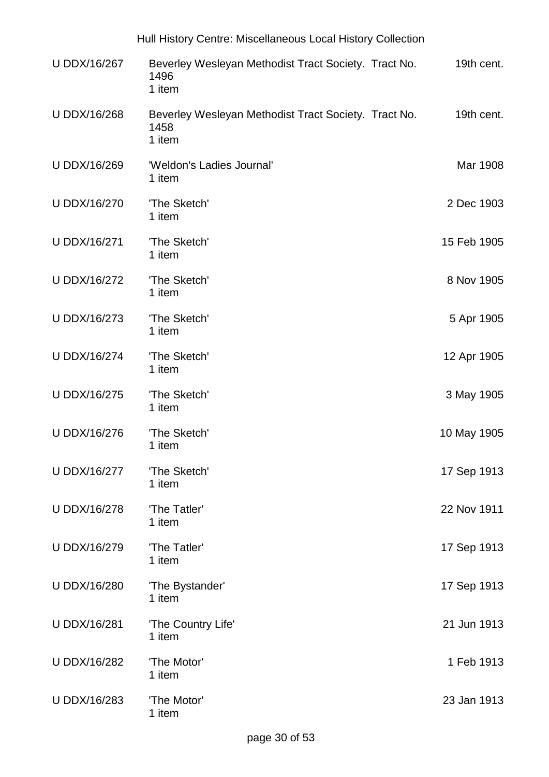|                     | Hull History Centre: Miscellaneous Local History Collection            |             |
|---------------------|------------------------------------------------------------------------|-------------|
| U DDX/16/267        | Beverley Wesleyan Methodist Tract Society. Tract No.<br>1496<br>1 item | 19th cent.  |
| U DDX/16/268        | Beverley Wesleyan Methodist Tract Society. Tract No.<br>1458<br>1 item | 19th cent.  |
| U DDX/16/269        | 'Weldon's Ladies Journal'<br>1 item                                    | Mar 1908    |
| U DDX/16/270        | 'The Sketch'<br>1 item                                                 | 2 Dec 1903  |
| U DDX/16/271        | 'The Sketch'<br>1 item                                                 | 15 Feb 1905 |
| <b>U DDX/16/272</b> | 'The Sketch'<br>1 item                                                 | 8 Nov 1905  |
| U DDX/16/273        | 'The Sketch'<br>1 item                                                 | 5 Apr 1905  |
| U DDX/16/274        | 'The Sketch'<br>1 item                                                 | 12 Apr 1905 |
| U DDX/16/275        | 'The Sketch'<br>1 item                                                 | 3 May 1905  |
| U DDX/16/276        | 'The Sketch'<br>1 item                                                 | 10 May 1905 |
| U DDX/16/277        | 'The Sketch'<br>1 item                                                 | 17 Sep 1913 |
| <b>U DDX/16/278</b> | 'The Tatler'<br>1 item                                                 | 22 Nov 1911 |
| <b>U DDX/16/279</b> | 'The Tatler'<br>1 item                                                 | 17 Sep 1913 |
| U DDX/16/280        | 'The Bystander'<br>1 item                                              | 17 Sep 1913 |
| U DDX/16/281        | 'The Country Life'<br>1 item                                           | 21 Jun 1913 |
| U DDX/16/282        | 'The Motor'<br>1 item                                                  | 1 Feb 1913  |
| U DDX/16/283        | 'The Motor'<br>1 item                                                  | 23 Jan 1913 |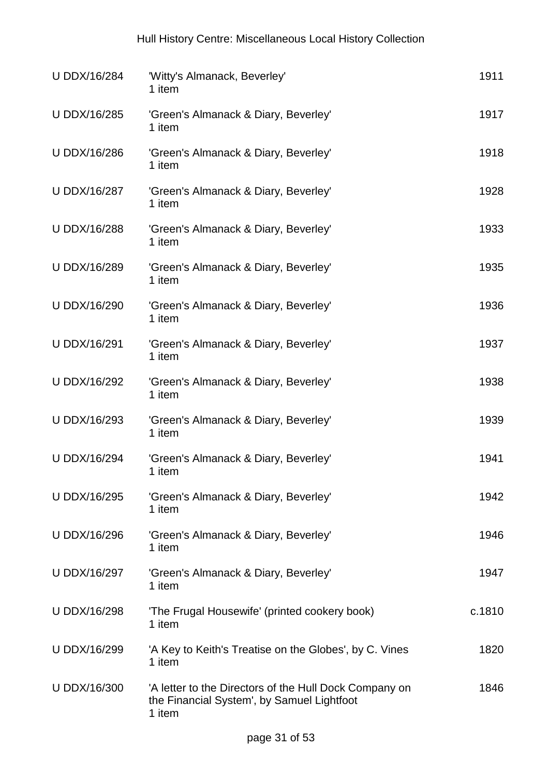| <b>U DDX/16/284</b> | 'Witty's Almanack, Beverley'<br>1 item                                                                         | 1911   |
|---------------------|----------------------------------------------------------------------------------------------------------------|--------|
| U DDX/16/285        | 'Green's Almanack & Diary, Beverley'<br>1 item                                                                 | 1917   |
| <b>U DDX/16/286</b> | 'Green's Almanack & Diary, Beverley'<br>1 item                                                                 | 1918   |
| U DDX/16/287        | 'Green's Almanack & Diary, Beverley'<br>1 item                                                                 | 1928   |
| U DDX/16/288        | 'Green's Almanack & Diary, Beverley'<br>1 item                                                                 | 1933   |
| U DDX/16/289        | 'Green's Almanack & Diary, Beverley'<br>1 item                                                                 | 1935   |
| <b>U DDX/16/290</b> | 'Green's Almanack & Diary, Beverley'<br>1 item                                                                 | 1936   |
| U DDX/16/291        | 'Green's Almanack & Diary, Beverley'<br>1 item                                                                 | 1937   |
| U DDX/16/292        | 'Green's Almanack & Diary, Beverley'<br>1 item                                                                 | 1938   |
| U DDX/16/293        | 'Green's Almanack & Diary, Beverley'<br>1 item                                                                 | 1939   |
| U DDX/16/294        | 'Green's Almanack & Diary, Beverley'<br>1 item                                                                 | 1941   |
| U DDX/16/295        | 'Green's Almanack & Diary, Beverley'<br>1 item                                                                 | 1942   |
| <b>U DDX/16/296</b> | 'Green's Almanack & Diary, Beverley'<br>1 item                                                                 | 1946   |
| U DDX/16/297        | 'Green's Almanack & Diary, Beverley'<br>1 item                                                                 | 1947   |
| <b>U DDX/16/298</b> | 'The Frugal Housewife' (printed cookery book)<br>1 item                                                        | c.1810 |
| U DDX/16/299        | 'A Key to Keith's Treatise on the Globes', by C. Vines<br>1 item                                               | 1820   |
| U DDX/16/300        | 'A letter to the Directors of the Hull Dock Company on<br>the Financial System', by Samuel Lightfoot<br>1 item | 1846   |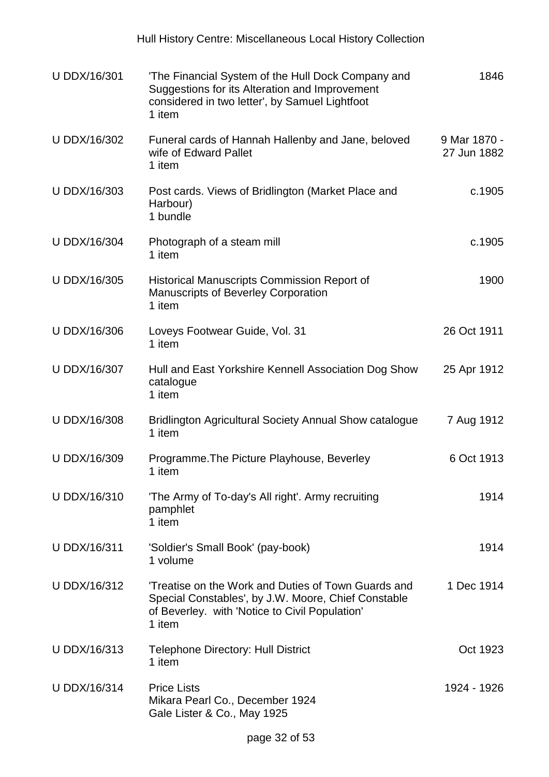| U DDX/16/301        | 'The Financial System of the Hull Dock Company and<br>Suggestions for its Alteration and Improvement<br>considered in two letter', by Samuel Lightfoot<br>1 item      | 1846                        |
|---------------------|-----------------------------------------------------------------------------------------------------------------------------------------------------------------------|-----------------------------|
| U DDX/16/302        | Funeral cards of Hannah Hallenby and Jane, beloved<br>wife of Edward Pallet<br>1 item                                                                                 | 9 Mar 1870 -<br>27 Jun 1882 |
| U DDX/16/303        | Post cards. Views of Bridlington (Market Place and<br>Harbour)<br>1 bundle                                                                                            | c.1905                      |
| <b>U DDX/16/304</b> | Photograph of a steam mill<br>1 item                                                                                                                                  | c.1905                      |
| U DDX/16/305        | <b>Historical Manuscripts Commission Report of</b><br><b>Manuscripts of Beverley Corporation</b><br>1 item                                                            | 1900                        |
| <b>U DDX/16/306</b> | Loveys Footwear Guide, Vol. 31<br>1 item                                                                                                                              | 26 Oct 1911                 |
| U DDX/16/307        | Hull and East Yorkshire Kennell Association Dog Show<br>catalogue<br>1 item                                                                                           | 25 Apr 1912                 |
| U DDX/16/308        | <b>Bridlington Agricultural Society Annual Show catalogue</b><br>1 item                                                                                               | 7 Aug 1912                  |
| U DDX/16/309        | Programme. The Picture Playhouse, Beverley<br>1 item                                                                                                                  | 6 Oct 1913                  |
| U DDX/16/310        | 'The Army of To-day's All right'. Army recruiting<br>pamphlet<br>1 item                                                                                               | 1914                        |
| U DDX/16/311        | 'Soldier's Small Book' (pay-book)<br>1 volume                                                                                                                         | 1914                        |
| U DDX/16/312        | Treatise on the Work and Duties of Town Guards and<br>Special Constables', by J.W. Moore, Chief Constable<br>of Beverley. with 'Notice to Civil Population'<br>1 item | 1 Dec 1914                  |
| U DDX/16/313        | <b>Telephone Directory: Hull District</b><br>1 item                                                                                                                   | Oct 1923                    |
| U DDX/16/314        | <b>Price Lists</b><br>Mikara Pearl Co., December 1924<br>Gale Lister & Co., May 1925                                                                                  | 1924 - 1926                 |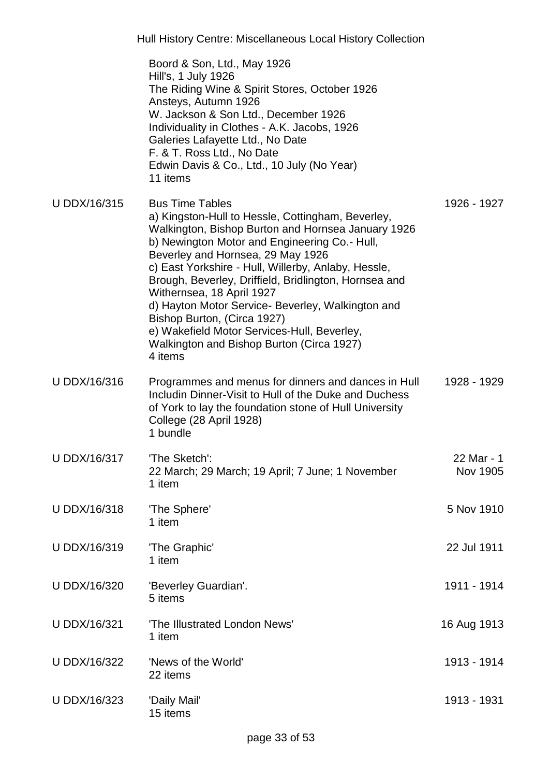|              | Boord & Son, Ltd., May 1926<br>Hill's, 1 July 1926<br>The Riding Wine & Spirit Stores, October 1926<br>Ansteys, Autumn 1926<br>W. Jackson & Son Ltd., December 1926<br>Individuality in Clothes - A.K. Jacobs, 1926<br>Galeries Lafayette Ltd., No Date<br>F. & T. Ross Ltd., No Date<br>Edwin Davis & Co., Ltd., 10 July (No Year)<br>11 items                                                                                                                                                                                                                 |                        |
|--------------|-----------------------------------------------------------------------------------------------------------------------------------------------------------------------------------------------------------------------------------------------------------------------------------------------------------------------------------------------------------------------------------------------------------------------------------------------------------------------------------------------------------------------------------------------------------------|------------------------|
| U DDX/16/315 | <b>Bus Time Tables</b><br>a) Kingston-Hull to Hessle, Cottingham, Beverley,<br>Walkington, Bishop Burton and Hornsea January 1926<br>b) Newington Motor and Engineering Co.- Hull,<br>Beverley and Hornsea, 29 May 1926<br>c) East Yorkshire - Hull, Willerby, Anlaby, Hessle,<br>Brough, Beverley, Driffield, Bridlington, Hornsea and<br>Withernsea, 18 April 1927<br>d) Hayton Motor Service- Beverley, Walkington and<br>Bishop Burton, (Circa 1927)<br>e) Wakefield Motor Services-Hull, Beverley,<br>Walkington and Bishop Burton (Circa 1927)<br>4 items | 1926 - 1927            |
| U DDX/16/316 | Programmes and menus for dinners and dances in Hull<br>Includin Dinner-Visit to Hull of the Duke and Duchess<br>of York to lay the foundation stone of Hull University<br>College (28 April 1928)<br>1 bundle                                                                                                                                                                                                                                                                                                                                                   | 1928 - 1929            |
| U DDX/16/317 | 'The Sketch':<br>22 March; 29 March; 19 April; 7 June; 1 November<br>1 item                                                                                                                                                                                                                                                                                                                                                                                                                                                                                     | 22 Mar - 1<br>Nov 1905 |
| U DDX/16/318 | 'The Sphere'<br>1 item                                                                                                                                                                                                                                                                                                                                                                                                                                                                                                                                          | 5 Nov 1910             |
| U DDX/16/319 | 'The Graphic'<br>1 item                                                                                                                                                                                                                                                                                                                                                                                                                                                                                                                                         | 22 Jul 1911            |
| U DDX/16/320 | 'Beverley Guardian'.<br>5 items                                                                                                                                                                                                                                                                                                                                                                                                                                                                                                                                 | 1911 - 1914            |
| U DDX/16/321 | 'The Illustrated London News'<br>1 item                                                                                                                                                                                                                                                                                                                                                                                                                                                                                                                         | 16 Aug 1913            |
| U DDX/16/322 | 'News of the World'<br>22 items                                                                                                                                                                                                                                                                                                                                                                                                                                                                                                                                 | 1913 - 1914            |
| U DDX/16/323 | 'Daily Mail'<br>15 items                                                                                                                                                                                                                                                                                                                                                                                                                                                                                                                                        | 1913 - 1931            |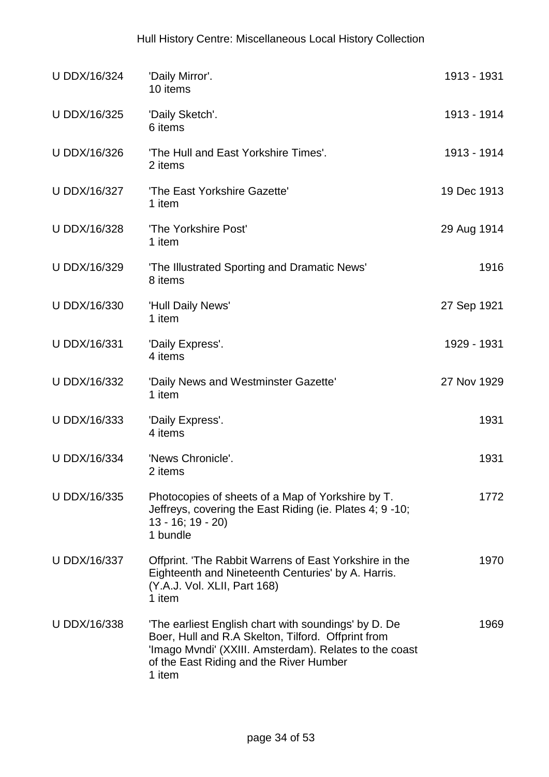| U DDX/16/324 | 'Daily Mirror'.<br>10 items                                                                                                                                                                                               | 1913 - 1931 |
|--------------|---------------------------------------------------------------------------------------------------------------------------------------------------------------------------------------------------------------------------|-------------|
| U DDX/16/325 | 'Daily Sketch'.<br>6 items                                                                                                                                                                                                | 1913 - 1914 |
| U DDX/16/326 | 'The Hull and East Yorkshire Times'.<br>2 items                                                                                                                                                                           | 1913 - 1914 |
| U DDX/16/327 | 'The East Yorkshire Gazette'<br>1 item                                                                                                                                                                                    | 19 Dec 1913 |
| U DDX/16/328 | 'The Yorkshire Post'<br>1 item                                                                                                                                                                                            | 29 Aug 1914 |
| U DDX/16/329 | 'The Illustrated Sporting and Dramatic News'<br>8 items                                                                                                                                                                   | 1916        |
| U DDX/16/330 | 'Hull Daily News'<br>1 item                                                                                                                                                                                               | 27 Sep 1921 |
| U DDX/16/331 | 'Daily Express'.<br>4 items                                                                                                                                                                                               | 1929 - 1931 |
| U DDX/16/332 | 'Daily News and Westminster Gazette'<br>1 item                                                                                                                                                                            | 27 Nov 1929 |
| U DDX/16/333 | 'Daily Express'.<br>4 items                                                                                                                                                                                               | 1931        |
| U DDX/16/334 | 'News Chronicle'.<br>2 items                                                                                                                                                                                              | 1931        |
| U DDX/16/335 | Photocopies of sheets of a Map of Yorkshire by T.<br>Jeffreys, covering the East Riding (ie. Plates 4; 9 -10;<br>$13 - 16$ ; $19 - 20$ )<br>1 bundle                                                                      | 1772        |
| U DDX/16/337 | Offprint. 'The Rabbit Warrens of East Yorkshire in the<br>Eighteenth and Nineteenth Centuries' by A. Harris.<br>(Y.A.J. Vol. XLII, Part 168)<br>1 item                                                                    | 1970        |
| U DDX/16/338 | 'The earliest English chart with soundings' by D. De<br>Boer, Hull and R.A Skelton, Tilford. Offprint from<br>'Imago Mvndi' (XXIII. Amsterdam). Relates to the coast<br>of the East Riding and the River Humber<br>1 item | 1969        |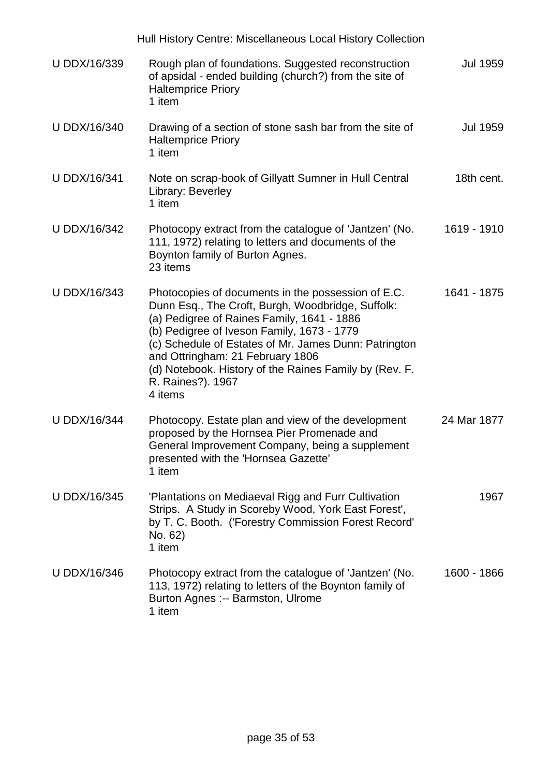|                     | Hull History Centre: Miscellaneous Local History Collection                                                                                                                                                                                                                                                                                                                                |                 |
|---------------------|--------------------------------------------------------------------------------------------------------------------------------------------------------------------------------------------------------------------------------------------------------------------------------------------------------------------------------------------------------------------------------------------|-----------------|
| U DDX/16/339        | Rough plan of foundations. Suggested reconstruction<br>of apsidal - ended building (church?) from the site of<br><b>Haltemprice Priory</b><br>1 item                                                                                                                                                                                                                                       | <b>Jul 1959</b> |
| U DDX/16/340        | Drawing of a section of stone sash bar from the site of<br><b>Haltemprice Priory</b><br>1 item                                                                                                                                                                                                                                                                                             | Jul 1959        |
| <b>U DDX/16/341</b> | Note on scrap-book of Gillyatt Sumner in Hull Central<br>Library: Beverley<br>1 item                                                                                                                                                                                                                                                                                                       | 18th cent.      |
| U DDX/16/342        | Photocopy extract from the catalogue of 'Jantzen' (No.<br>111, 1972) relating to letters and documents of the<br>Boynton family of Burton Agnes.<br>23 items                                                                                                                                                                                                                               | 1619 - 1910     |
| U DDX/16/343        | Photocopies of documents in the possession of E.C.<br>Dunn Esq., The Croft, Burgh, Woodbridge, Suffolk:<br>(a) Pedigree of Raines Family, 1641 - 1886<br>(b) Pedigree of Iveson Family, 1673 - 1779<br>(c) Schedule of Estates of Mr. James Dunn: Patrington<br>and Ottringham: 21 February 1806<br>(d) Notebook. History of the Raines Family by (Rev. F.<br>R. Raines?). 1967<br>4 items | 1641 - 1875     |
| <b>U DDX/16/344</b> | Photocopy. Estate plan and view of the development<br>proposed by the Hornsea Pier Promenade and<br>General Improvement Company, being a supplement<br>presented with the 'Hornsea Gazette'<br>1 item                                                                                                                                                                                      | 24 Mar 1877     |
| U DDX/16/345        | 'Plantations on Mediaeval Rigg and Furr Cultivation<br>Strips. A Study in Scoreby Wood, York East Forest',<br>by T. C. Booth. ('Forestry Commission Forest Record'<br>No. 62)<br>1 item                                                                                                                                                                                                    | 1967            |
| U DDX/16/346        | Photocopy extract from the catalogue of 'Jantzen' (No.<br>113, 1972) relating to letters of the Boynton family of<br>Burton Agnes :-- Barmston, Ulrome<br>1 item                                                                                                                                                                                                                           | 1600 - 1866     |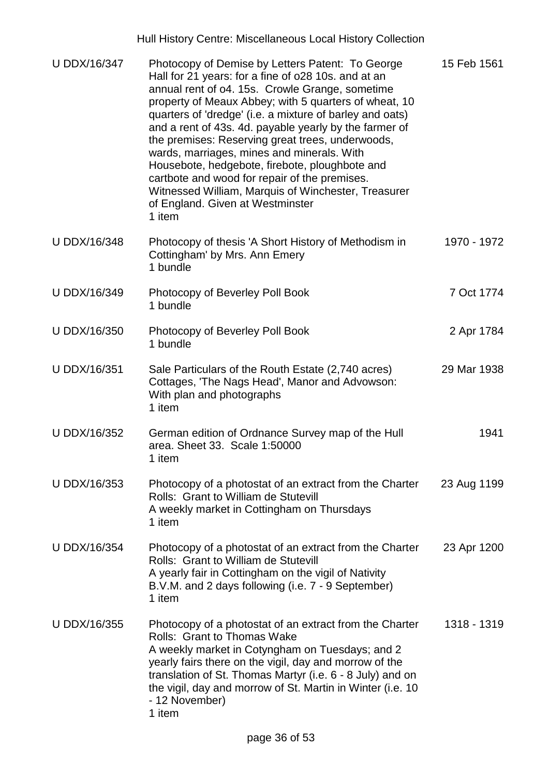| U DDX/16/347        | Photocopy of Demise by Letters Patent: To George<br>Hall for 21 years: for a fine of 028 10s. and at an<br>annual rent of o4. 15s. Crowle Grange, sometime<br>property of Meaux Abbey; with 5 quarters of wheat, 10<br>quarters of 'dredge' (i.e. a mixture of barley and oats)<br>and a rent of 43s. 4d. payable yearly by the farmer of<br>the premises: Reserving great trees, underwoods,<br>wards, marriages, mines and minerals. With<br>Housebote, hedgebote, firebote, ploughbote and<br>cartbote and wood for repair of the premises.<br>Witnessed William, Marquis of Winchester, Treasurer<br>of England. Given at Westminster<br>1 item | 15 Feb 1561 |
|---------------------|-----------------------------------------------------------------------------------------------------------------------------------------------------------------------------------------------------------------------------------------------------------------------------------------------------------------------------------------------------------------------------------------------------------------------------------------------------------------------------------------------------------------------------------------------------------------------------------------------------------------------------------------------------|-------------|
| U DDX/16/348        | Photocopy of thesis 'A Short History of Methodism in<br>Cottingham' by Mrs. Ann Emery<br>1 bundle                                                                                                                                                                                                                                                                                                                                                                                                                                                                                                                                                   | 1970 - 1972 |
| U DDX/16/349        | Photocopy of Beverley Poll Book<br>1 bundle                                                                                                                                                                                                                                                                                                                                                                                                                                                                                                                                                                                                         | 7 Oct 1774  |
| U DDX/16/350        | Photocopy of Beverley Poll Book<br>1 bundle                                                                                                                                                                                                                                                                                                                                                                                                                                                                                                                                                                                                         | 2 Apr 1784  |
| U DDX/16/351        | Sale Particulars of the Routh Estate (2,740 acres)<br>Cottages, 'The Nags Head', Manor and Advowson:<br>With plan and photographs<br>1 item                                                                                                                                                                                                                                                                                                                                                                                                                                                                                                         | 29 Mar 1938 |
| U DDX/16/352        | German edition of Ordnance Survey map of the Hull<br>area. Sheet 33. Scale 1:50000<br>1 item                                                                                                                                                                                                                                                                                                                                                                                                                                                                                                                                                        | 1941        |
| U DDX/16/353        | Photocopy of a photostat of an extract from the Charter<br>Rolls: Grant to William de Stutevill<br>A weekly market in Cottingham on Thursdays<br>1 item                                                                                                                                                                                                                                                                                                                                                                                                                                                                                             | 23 Aug 1199 |
| <b>U DDX/16/354</b> | Photocopy of a photostat of an extract from the Charter<br>Rolls: Grant to William de Stutevill<br>A yearly fair in Cottingham on the vigil of Nativity<br>B.V.M. and 2 days following (i.e. 7 - 9 September)<br>1 item                                                                                                                                                                                                                                                                                                                                                                                                                             | 23 Apr 1200 |
| U DDX/16/355        | Photocopy of a photostat of an extract from the Charter<br><b>Rolls: Grant to Thomas Wake</b><br>A weekly market in Cotyngham on Tuesdays; and 2<br>yearly fairs there on the vigil, day and morrow of the<br>translation of St. Thomas Martyr (i.e. 6 - 8 July) and on<br>the vigil, day and morrow of St. Martin in Winter (i.e. 10<br>- 12 November)<br>1 item                                                                                                                                                                                                                                                                                   | 1318 - 1319 |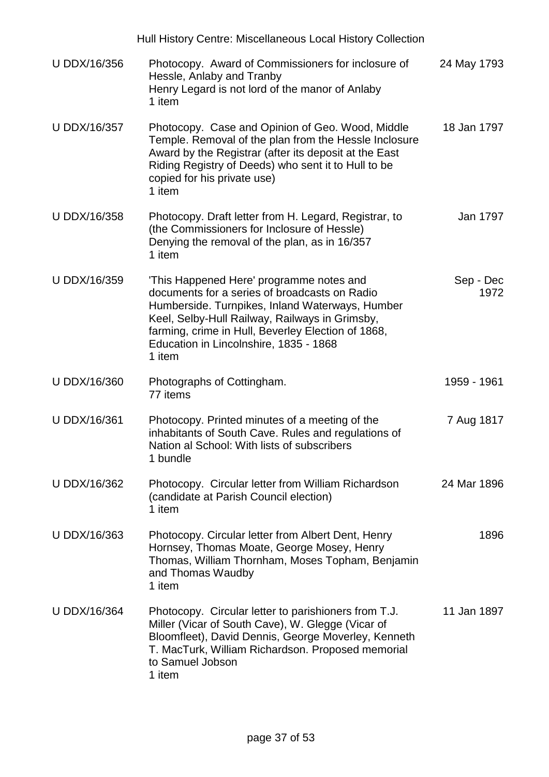|              | Hull History Centre: Miscellaneous Local History Collection                                                                                                                                                                                                                                              |                   |
|--------------|----------------------------------------------------------------------------------------------------------------------------------------------------------------------------------------------------------------------------------------------------------------------------------------------------------|-------------------|
| U DDX/16/356 | Photocopy. Award of Commissioners for inclosure of<br>Hessle, Anlaby and Tranby<br>Henry Legard is not lord of the manor of Anlaby<br>1 item                                                                                                                                                             | 24 May 1793       |
| U DDX/16/357 | Photocopy. Case and Opinion of Geo. Wood, Middle<br>Temple. Removal of the plan from the Hessle Inclosure<br>Award by the Registrar (after its deposit at the East<br>Riding Registry of Deeds) who sent it to Hull to be<br>copied for his private use)<br>1 item                                       | 18 Jan 1797       |
| U DDX/16/358 | Photocopy. Draft letter from H. Legard, Registrar, to<br>(the Commissioners for Inclosure of Hessle)<br>Denying the removal of the plan, as in 16/357<br>1 item                                                                                                                                          | Jan 1797          |
| U DDX/16/359 | 'This Happened Here' programme notes and<br>documents for a series of broadcasts on Radio<br>Humberside. Turnpikes, Inland Waterways, Humber<br>Keel, Selby-Hull Railway, Railways in Grimsby,<br>farming, crime in Hull, Beverley Election of 1868,<br>Education in Lincolnshire, 1835 - 1868<br>1 item | Sep - Dec<br>1972 |
| U DDX/16/360 | Photographs of Cottingham.<br>77 items                                                                                                                                                                                                                                                                   | 1959 - 1961       |
| U DDX/16/361 | Photocopy. Printed minutes of a meeting of the<br>inhabitants of South Cave. Rules and regulations of<br>Nation al School: With lists of subscribers<br>1 bundle                                                                                                                                         | 7 Aug 1817        |
| U DDX/16/362 | Photocopy. Circular letter from William Richardson<br>(candidate at Parish Council election)<br>1 item                                                                                                                                                                                                   | 24 Mar 1896       |
| U DDX/16/363 | Photocopy. Circular letter from Albert Dent, Henry<br>Hornsey, Thomas Moate, George Mosey, Henry<br>Thomas, William Thornham, Moses Topham, Benjamin<br>and Thomas Waudby<br>1 item                                                                                                                      | 1896              |
| U DDX/16/364 | Photocopy. Circular letter to parishioners from T.J.<br>Miller (Vicar of South Cave), W. Glegge (Vicar of<br>Bloomfleet), David Dennis, George Moverley, Kenneth<br>T. MacTurk, William Richardson. Proposed memorial<br>to Samuel Jobson<br>1 item                                                      | 11 Jan 1897       |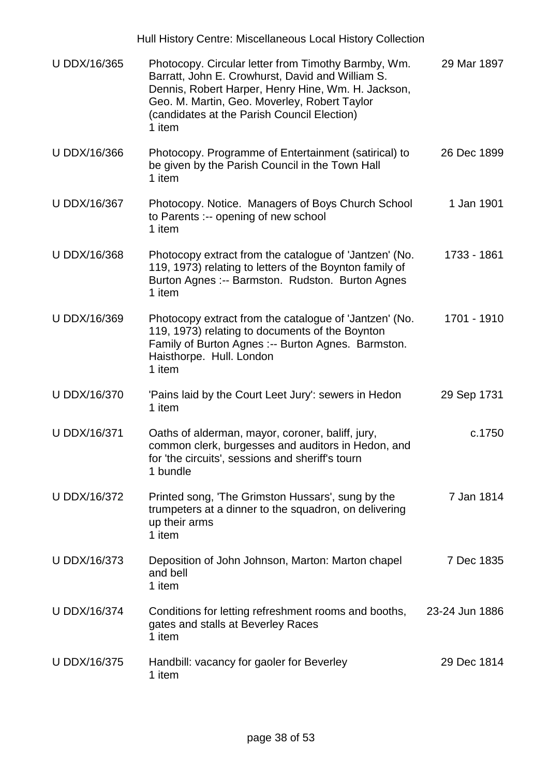|                     | Hull History Centre: Miscellaneous Local History Collection                                                                                                                                                                                                            |                |
|---------------------|------------------------------------------------------------------------------------------------------------------------------------------------------------------------------------------------------------------------------------------------------------------------|----------------|
| U DDX/16/365        | Photocopy. Circular letter from Timothy Barmby, Wm.<br>Barratt, John E. Crowhurst, David and William S.<br>Dennis, Robert Harper, Henry Hine, Wm. H. Jackson,<br>Geo. M. Martin, Geo. Moverley, Robert Taylor<br>(candidates at the Parish Council Election)<br>1 item | 29 Mar 1897    |
| U DDX/16/366        | Photocopy. Programme of Entertainment (satirical) to<br>be given by the Parish Council in the Town Hall<br>1 item                                                                                                                                                      | 26 Dec 1899    |
| U DDX/16/367        | Photocopy. Notice. Managers of Boys Church School<br>to Parents :-- opening of new school<br>1 item                                                                                                                                                                    | 1 Jan 1901     |
| U DDX/16/368        | Photocopy extract from the catalogue of 'Jantzen' (No.<br>119, 1973) relating to letters of the Boynton family of<br>Burton Agnes :-- Barmston. Rudston. Burton Agnes<br>1 item                                                                                        | 1733 - 1861    |
| U DDX/16/369        | Photocopy extract from the catalogue of 'Jantzen' (No.<br>119, 1973) relating to documents of the Boynton<br>Family of Burton Agnes :-- Burton Agnes. Barmston.<br>Haisthorpe. Hull. London<br>1 item                                                                  | 1701 - 1910    |
| U DDX/16/370        | 'Pains laid by the Court Leet Jury': sewers in Hedon<br>1 item                                                                                                                                                                                                         | 29 Sep 1731    |
| <b>U DDX/16/371</b> | Oaths of alderman, mayor, coroner, baliff, jury,<br>common clerk, burgesses and auditors in Hedon, and<br>for 'the circuits', sessions and sheriff's tourn<br>1 bundle                                                                                                 | c.1750         |
| U DDX/16/372        | Printed song, 'The Grimston Hussars', sung by the<br>trumpeters at a dinner to the squadron, on delivering<br>up their arms<br>1 item                                                                                                                                  | 7 Jan 1814     |
| U DDX/16/373        | Deposition of John Johnson, Marton: Marton chapel<br>and bell<br>1 item                                                                                                                                                                                                | 7 Dec 1835     |
| <b>U DDX/16/374</b> | Conditions for letting refreshment rooms and booths,<br>gates and stalls at Beverley Races<br>1 item                                                                                                                                                                   | 23-24 Jun 1886 |
| U DDX/16/375        | Handbill: vacancy for gaoler for Beverley<br>1 item                                                                                                                                                                                                                    | 29 Dec 1814    |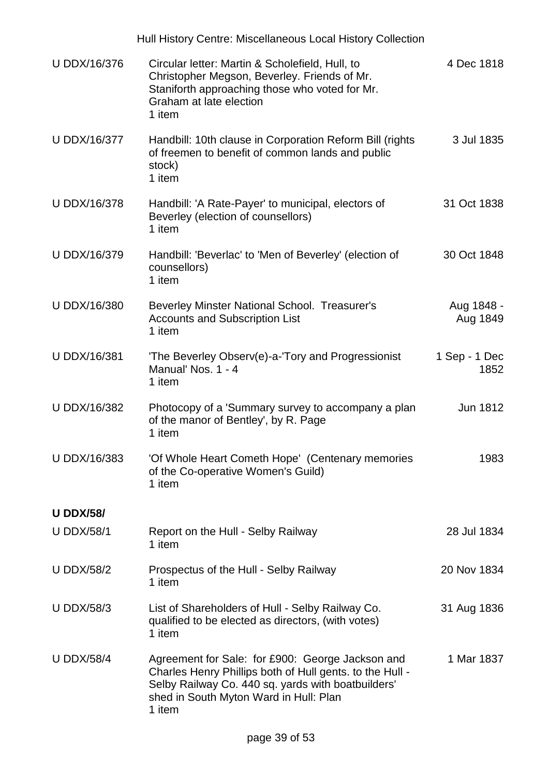|                     | Hull History Centre: Miscellaneous Local History Collection                                                                                                                                                            |                        |
|---------------------|------------------------------------------------------------------------------------------------------------------------------------------------------------------------------------------------------------------------|------------------------|
| U DDX/16/376        | Circular letter: Martin & Scholefield, Hull, to<br>Christopher Megson, Beverley. Friends of Mr.<br>Staniforth approaching those who voted for Mr.<br>Graham at late election<br>1 item                                 | 4 Dec 1818             |
| U DDX/16/377        | Handbill: 10th clause in Corporation Reform Bill (rights<br>of freemen to benefit of common lands and public<br>stock)<br>1 item                                                                                       | 3 Jul 1835             |
| <b>U DDX/16/378</b> | Handbill: 'A Rate-Payer' to municipal, electors of<br>Beverley (election of counsellors)<br>1 item                                                                                                                     | 31 Oct 1838            |
| U DDX/16/379        | Handbill: 'Beverlac' to 'Men of Beverley' (election of<br>counsellors)<br>1 item                                                                                                                                       | 30 Oct 1848            |
| U DDX/16/380        | Beverley Minster National School. Treasurer's<br><b>Accounts and Subscription List</b><br>1 item                                                                                                                       | Aug 1848 -<br>Aug 1849 |
| U DDX/16/381        | The Beverley Observ(e)-a-'Tory and Progressionist<br>Manual' Nos. 1 - 4<br>1 item                                                                                                                                      | 1 Sep - 1 Dec<br>1852  |
| U DDX/16/382        | Photocopy of a 'Summary survey to accompany a plan<br>of the manor of Bentley', by R. Page<br>1 item                                                                                                                   | Jun 1812               |
| U DDX/16/383        | 'Of Whole Heart Cometh Hope' (Centenary memories<br>of the Co-operative Women's Guild)<br>1 item                                                                                                                       | 1983                   |
| <b>U DDX/58/</b>    |                                                                                                                                                                                                                        |                        |
| <b>U DDX/58/1</b>   | Report on the Hull - Selby Railway<br>1 item                                                                                                                                                                           | 28 Jul 1834            |
| <b>U DDX/58/2</b>   | Prospectus of the Hull - Selby Railway<br>1 item                                                                                                                                                                       | 20 Nov 1834            |
| <b>U DDX/58/3</b>   | List of Shareholders of Hull - Selby Railway Co.<br>qualified to be elected as directors, (with votes)<br>1 item                                                                                                       | 31 Aug 1836            |
| <b>U DDX/58/4</b>   | Agreement for Sale: for £900: George Jackson and<br>Charles Henry Phillips both of Hull gents. to the Hull -<br>Selby Railway Co. 440 sq. yards with boatbuilders'<br>shed in South Myton Ward in Hull: Plan<br>1 item | 1 Mar 1837             |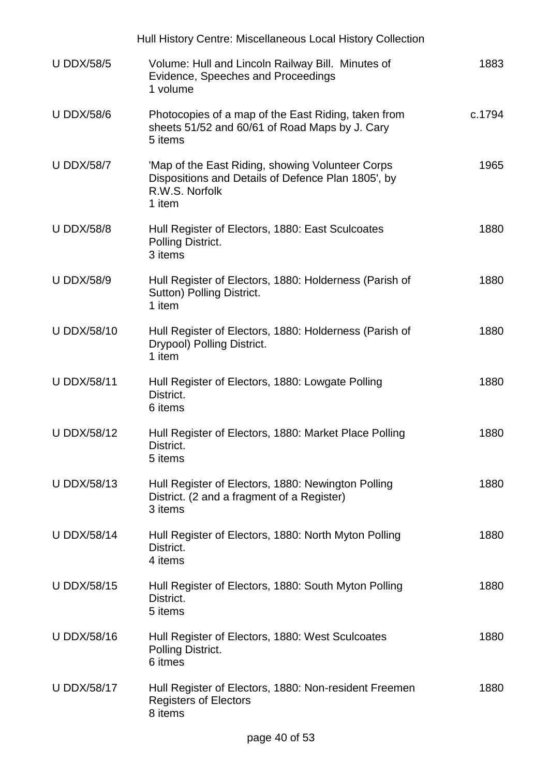|                    | Hull History Centre: Miscellaneous Local History Collection                                                                        |        |
|--------------------|------------------------------------------------------------------------------------------------------------------------------------|--------|
| <b>U DDX/58/5</b>  | Volume: Hull and Lincoln Railway Bill. Minutes of<br>Evidence, Speeches and Proceedings<br>1 volume                                | 1883   |
| <b>U DDX/58/6</b>  | Photocopies of a map of the East Riding, taken from<br>sheets 51/52 and 60/61 of Road Maps by J. Cary<br>5 items                   | c.1794 |
| <b>U DDX/58/7</b>  | 'Map of the East Riding, showing Volunteer Corps<br>Dispositions and Details of Defence Plan 1805', by<br>R.W.S. Norfolk<br>1 item | 1965   |
| <b>U DDX/58/8</b>  | Hull Register of Electors, 1880: East Sculcoates<br>Polling District.<br>3 items                                                   | 1880   |
| <b>U DDX/58/9</b>  | Hull Register of Electors, 1880: Holderness (Parish of<br>Sutton) Polling District.<br>1 item                                      | 1880   |
| <b>U DDX/58/10</b> | Hull Register of Electors, 1880: Holderness (Parish of<br>Drypool) Polling District.<br>1 item                                     | 1880   |
| <b>U DDX/58/11</b> | Hull Register of Electors, 1880: Lowgate Polling<br>District.<br>6 items                                                           | 1880   |
| <b>U DDX/58/12</b> | Hull Register of Electors, 1880: Market Place Polling<br>District.<br>5 items                                                      | 1880   |
| <b>U DDX/58/13</b> | Hull Register of Electors, 1880: Newington Polling<br>District. (2 and a fragment of a Register)<br>3 items                        | 1880   |
| <b>U DDX/58/14</b> | Hull Register of Electors, 1880: North Myton Polling<br>District.<br>4 items                                                       | 1880   |
| <b>U DDX/58/15</b> | Hull Register of Electors, 1880: South Myton Polling<br>District.<br>5 items                                                       | 1880   |
| <b>U DDX/58/16</b> | Hull Register of Electors, 1880: West Sculcoates<br>Polling District.<br>6 itmes                                                   | 1880   |
| <b>U DDX/58/17</b> | Hull Register of Electors, 1880: Non-resident Freemen<br><b>Registers of Electors</b><br>8 items                                   | 1880   |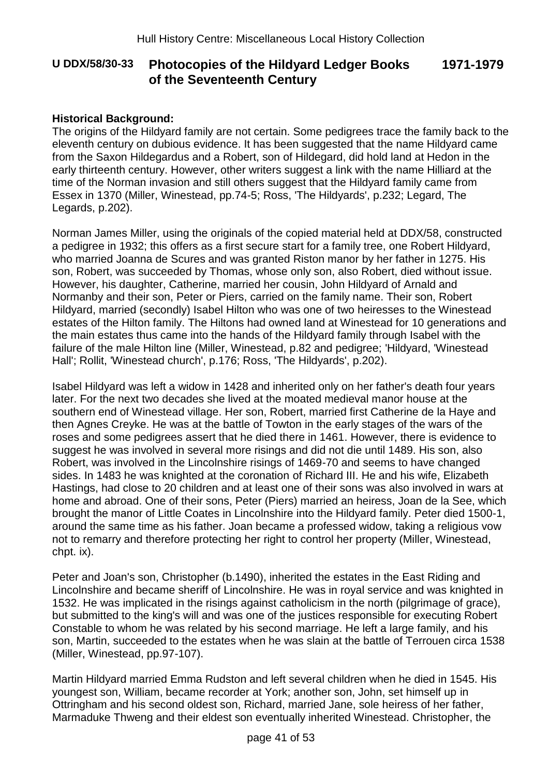## **U DDX/58/30-33 Photocopies of the Hildyard Ledger Books of the Seventeenth Century**

### **Historical Background:**

The origins of the Hildyard family are not certain. Some pedigrees trace the family back to the eleventh century on dubious evidence. It has been suggested that the name Hildyard came from the Saxon Hildegardus and a Robert, son of Hildegard, did hold land at Hedon in the early thirteenth century. However, other writers suggest a link with the name Hilliard at the time of the Norman invasion and still others suggest that the Hildyard family came from Essex in 1370 (Miller, Winestead, pp.74-5; Ross, 'The Hildyards', p.232; Legard, The Legards, p.202).

Norman James Miller, using the originals of the copied material held at DDX/58, constructed a pedigree in 1932; this offers as a first secure start for a family tree, one Robert Hildyard, who married Joanna de Scures and was granted Riston manor by her father in 1275. His son, Robert, was succeeded by Thomas, whose only son, also Robert, died without issue. However, his daughter, Catherine, married her cousin, John Hildyard of Arnald and Normanby and their son, Peter or Piers, carried on the family name. Their son, Robert Hildyard, married (secondly) Isabel Hilton who was one of two heiresses to the Winestead estates of the Hilton family. The Hiltons had owned land at Winestead for 10 generations and the main estates thus came into the hands of the Hildyard family through Isabel with the failure of the male Hilton line (Miller, Winestead, p.82 and pedigree; 'Hildyard, 'Winestead Hall'; Rollit, 'Winestead church', p.176; Ross, 'The Hildyards', p.202).

Isabel Hildyard was left a widow in 1428 and inherited only on her father's death four years later. For the next two decades she lived at the moated medieval manor house at the southern end of Winestead village. Her son, Robert, married first Catherine de la Haye and then Agnes Creyke. He was at the battle of Towton in the early stages of the wars of the roses and some pedigrees assert that he died there in 1461. However, there is evidence to suggest he was involved in several more risings and did not die until 1489. His son, also Robert, was involved in the Lincolnshire risings of 1469-70 and seems to have changed sides. In 1483 he was knighted at the coronation of Richard III. He and his wife, Elizabeth Hastings, had close to 20 children and at least one of their sons was also involved in wars at home and abroad. One of their sons, Peter (Piers) married an heiress, Joan de la See, which brought the manor of Little Coates in Lincolnshire into the Hildyard family. Peter died 1500-1, around the same time as his father. Joan became a professed widow, taking a religious vow not to remarry and therefore protecting her right to control her property (Miller, Winestead, chpt. ix).

Peter and Joan's son, Christopher (b.1490), inherited the estates in the East Riding and Lincolnshire and became sheriff of Lincolnshire. He was in royal service and was knighted in 1532. He was implicated in the risings against catholicism in the north (pilgrimage of grace), but submitted to the king's will and was one of the justices responsible for executing Robert Constable to whom he was related by his second marriage. He left a large family, and his son, Martin, succeeded to the estates when he was slain at the battle of Terrouen circa 1538 (Miller, Winestead, pp.97-107).

Martin Hildyard married Emma Rudston and left several children when he died in 1545. His youngest son, William, became recorder at York; another son, John, set himself up in Ottringham and his second oldest son, Richard, married Jane, sole heiress of her father, Marmaduke Thweng and their eldest son eventually inherited Winestead. Christopher, the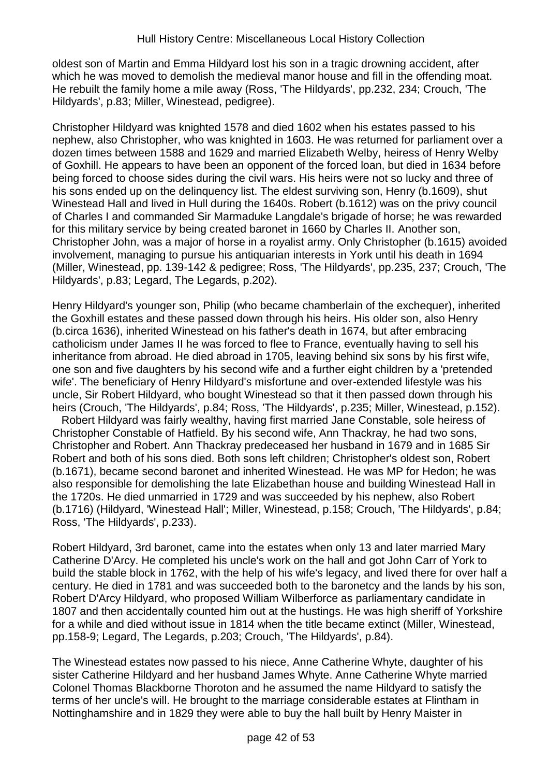oldest son of Martin and Emma Hildyard lost his son in a tragic drowning accident, after which he was moved to demolish the medieval manor house and fill in the offending moat. He rebuilt the family home a mile away (Ross, 'The Hildyards', pp.232, 234; Crouch, 'The Hildyards', p.83; Miller, Winestead, pedigree).

Christopher Hildyard was knighted 1578 and died 1602 when his estates passed to his nephew, also Christopher, who was knighted in 1603. He was returned for parliament over a dozen times between 1588 and 1629 and married Elizabeth Welby, heiress of Henry Welby of Goxhill. He appears to have been an opponent of the forced loan, but died in 1634 before being forced to choose sides during the civil wars. His heirs were not so lucky and three of his sons ended up on the delinquency list. The eldest surviving son, Henry (b.1609), shut Winestead Hall and lived in Hull during the 1640s. Robert (b.1612) was on the privy council of Charles I and commanded Sir Marmaduke Langdale's brigade of horse; he was rewarded for this military service by being created baronet in 1660 by Charles II. Another son, Christopher John, was a major of horse in a royalist army. Only Christopher (b.1615) avoided involvement, managing to pursue his antiquarian interests in York until his death in 1694 (Miller, Winestead, pp. 139-142 & pedigree; Ross, 'The Hildyards', pp.235, 237; Crouch, 'The Hildyards', p.83; Legard, The Legards, p.202).

Henry Hildyard's younger son, Philip (who became chamberlain of the exchequer), inherited the Goxhill estates and these passed down through his heirs. His older son, also Henry (b.circa 1636), inherited Winestead on his father's death in 1674, but after embracing catholicism under James II he was forced to flee to France, eventually having to sell his inheritance from abroad. He died abroad in 1705, leaving behind six sons by his first wife, one son and five daughters by his second wife and a further eight children by a 'pretended wife'. The beneficiary of Henry Hildyard's misfortune and over-extended lifestyle was his uncle, Sir Robert Hildyard, who bought Winestead so that it then passed down through his heirs (Crouch, 'The Hildyards', p.84; Ross, 'The Hildyards', p.235; Miller, Winestead, p.152).

 Robert Hildyard was fairly wealthy, having first married Jane Constable, sole heiress of Christopher Constable of Hatfield. By his second wife, Ann Thackray, he had two sons, Christopher and Robert. Ann Thackray predeceased her husband in 1679 and in 1685 Sir Robert and both of his sons died. Both sons left children; Christopher's oldest son, Robert (b.1671), became second baronet and inherited Winestead. He was MP for Hedon; he was also responsible for demolishing the late Elizabethan house and building Winestead Hall in the 1720s. He died unmarried in 1729 and was succeeded by his nephew, also Robert (b.1716) (Hildyard, 'Winestead Hall'; Miller, Winestead, p.158; Crouch, 'The Hildyards', p.84; Ross, 'The Hildyards', p.233).

Robert Hildyard, 3rd baronet, came into the estates when only 13 and later married Mary Catherine D'Arcy. He completed his uncle's work on the hall and got John Carr of York to build the stable block in 1762, with the help of his wife's legacy, and lived there for over half a century. He died in 1781 and was succeeded both to the baronetcy and the lands by his son, Robert D'Arcy Hildyard, who proposed William Wilberforce as parliamentary candidate in 1807 and then accidentally counted him out at the hustings. He was high sheriff of Yorkshire for a while and died without issue in 1814 when the title became extinct (Miller, Winestead, pp.158-9; Legard, The Legards, p.203; Crouch, 'The Hildyards', p.84).

The Winestead estates now passed to his niece, Anne Catherine Whyte, daughter of his sister Catherine Hildyard and her husband James Whyte. Anne Catherine Whyte married Colonel Thomas Blackborne Thoroton and he assumed the name Hildyard to satisfy the terms of her uncle's will. He brought to the marriage considerable estates at Flintham in Nottinghamshire and in 1829 they were able to buy the hall built by Henry Maister in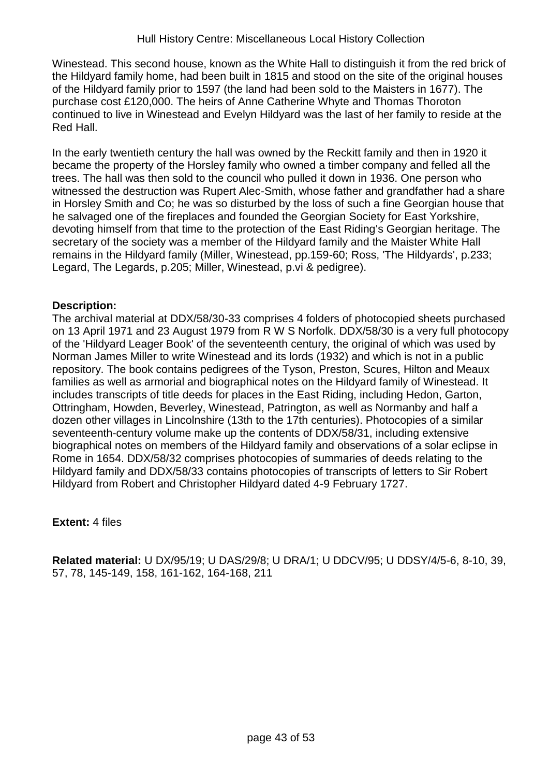Winestead. This second house, known as the White Hall to distinguish it from the red brick of the Hildyard family home, had been built in 1815 and stood on the site of the original houses of the Hildyard family prior to 1597 (the land had been sold to the Maisters in 1677). The purchase cost £120,000. The heirs of Anne Catherine Whyte and Thomas Thoroton continued to live in Winestead and Evelyn Hildyard was the last of her family to reside at the Red Hall.

In the early twentieth century the hall was owned by the Reckitt family and then in 1920 it became the property of the Horsley family who owned a timber company and felled all the trees. The hall was then sold to the council who pulled it down in 1936. One person who witnessed the destruction was Rupert Alec-Smith, whose father and grandfather had a share in Horsley Smith and Co; he was so disturbed by the loss of such a fine Georgian house that he salvaged one of the fireplaces and founded the Georgian Society for East Yorkshire, devoting himself from that time to the protection of the East Riding's Georgian heritage. The secretary of the society was a member of the Hildyard family and the Maister White Hall remains in the Hildyard family (Miller, Winestead, pp.159-60; Ross, 'The Hildyards', p.233; Legard, The Legards, p.205; Miller, Winestead, p.vi & pedigree).

### **Description:**

The archival material at DDX/58/30-33 comprises 4 folders of photocopied sheets purchased on 13 April 1971 and 23 August 1979 from R W S Norfolk. DDX/58/30 is a very full photocopy of the 'Hildyard Leager Book' of the seventeenth century, the original of which was used by Norman James Miller to write Winestead and its lords (1932) and which is not in a public repository. The book contains pedigrees of the Tyson, Preston, Scures, Hilton and Meaux families as well as armorial and biographical notes on the Hildyard family of Winestead. It includes transcripts of title deeds for places in the East Riding, including Hedon, Garton, Ottringham, Howden, Beverley, Winestead, Patrington, as well as Normanby and half a dozen other villages in Lincolnshire (13th to the 17th centuries). Photocopies of a similar seventeenth-century volume make up the contents of DDX/58/31, including extensive biographical notes on members of the Hildyard family and observations of a solar eclipse in Rome in 1654. DDX/58/32 comprises photocopies of summaries of deeds relating to the Hildyard family and DDX/58/33 contains photocopies of transcripts of letters to Sir Robert Hildyard from Robert and Christopher Hildyard dated 4-9 February 1727.

### **Extent:** 4 files

**Related material:** U DX/95/19; U DAS/29/8; U DRA/1; U DDCV/95; U DDSY/4/5-6, 8-10, 39, 57, 78, 145-149, 158, 161-162, 164-168, 211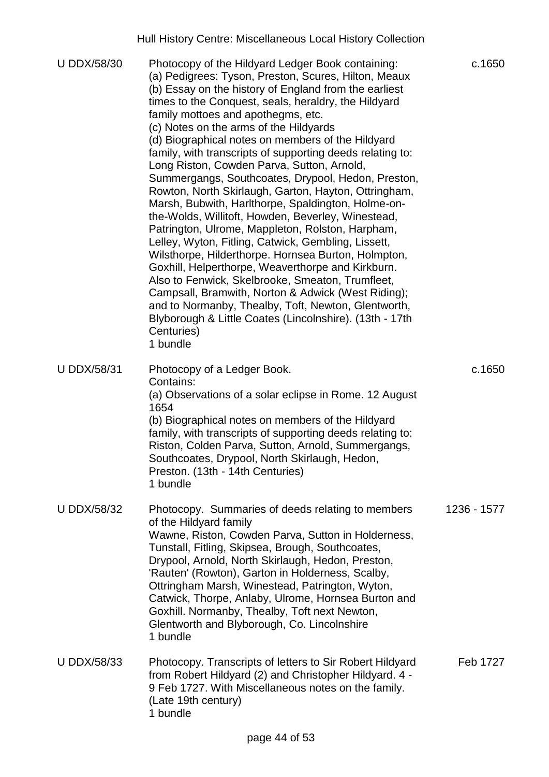|                    | Hull History Centre: Miscellaneous Local History Collection                                                                                                                                                                                                                                                                                                                                                                                                                                                                                                                                                                                                                                                                                                                                                                                                                                                                                                                                                                                                                                                                                                                       |             |
|--------------------|-----------------------------------------------------------------------------------------------------------------------------------------------------------------------------------------------------------------------------------------------------------------------------------------------------------------------------------------------------------------------------------------------------------------------------------------------------------------------------------------------------------------------------------------------------------------------------------------------------------------------------------------------------------------------------------------------------------------------------------------------------------------------------------------------------------------------------------------------------------------------------------------------------------------------------------------------------------------------------------------------------------------------------------------------------------------------------------------------------------------------------------------------------------------------------------|-------------|
| <b>U DDX/58/30</b> | Photocopy of the Hildyard Ledger Book containing:<br>(a) Pedigrees: Tyson, Preston, Scures, Hilton, Meaux<br>(b) Essay on the history of England from the earliest<br>times to the Conquest, seals, heraldry, the Hildyard<br>family mottoes and apothegms, etc.<br>(c) Notes on the arms of the Hildyards<br>(d) Biographical notes on members of the Hildyard<br>family, with transcripts of supporting deeds relating to:<br>Long Riston, Cowden Parva, Sutton, Arnold,<br>Summergangs, Southcoates, Drypool, Hedon, Preston,<br>Rowton, North Skirlaugh, Garton, Hayton, Ottringham,<br>Marsh, Bubwith, Harlthorpe, Spaldington, Holme-on-<br>the-Wolds, Willitoft, Howden, Beverley, Winestead,<br>Patrington, Ulrome, Mappleton, Rolston, Harpham,<br>Lelley, Wyton, Fitling, Catwick, Gembling, Lissett,<br>Wilsthorpe, Hilderthorpe. Hornsea Burton, Holmpton,<br>Goxhill, Helperthorpe, Weaverthorpe and Kirkburn.<br>Also to Fenwick, Skelbrooke, Smeaton, Trumfleet,<br>Campsall, Bramwith, Norton & Adwick (West Riding);<br>and to Normanby, Thealby, Toft, Newton, Glentworth,<br>Blyborough & Little Coates (Lincolnshire). (13th - 17th<br>Centuries)<br>1 bundle | c.1650      |
| <b>U DDX/58/31</b> | Photocopy of a Ledger Book.<br>Contains:<br>(a) Observations of a solar eclipse in Rome. 12 August<br>1654<br>(b) Biographical notes on members of the Hildyard<br>family, with transcripts of supporting deeds relating to:<br>Riston, Colden Parva, Sutton, Arnold, Summergangs,<br>Southcoates, Drypool, North Skirlaugh, Hedon,<br>Preston. (13th - 14th Centuries)<br>1 bundle                                                                                                                                                                                                                                                                                                                                                                                                                                                                                                                                                                                                                                                                                                                                                                                               | c.1650      |
| <b>U DDX/58/32</b> | Photocopy. Summaries of deeds relating to members<br>of the Hildyard family<br>Wawne, Riston, Cowden Parva, Sutton in Holderness,<br>Tunstall, Fitling, Skipsea, Brough, Southcoates,<br>Drypool, Arnold, North Skirlaugh, Hedon, Preston,<br>'Rauten' (Rowton), Garton in Holderness, Scalby,<br>Ottringham Marsh, Winestead, Patrington, Wyton,<br>Catwick, Thorpe, Anlaby, Ulrome, Hornsea Burton and<br>Goxhill. Normanby, Thealby, Toft next Newton,<br>Glentworth and Blyborough, Co. Lincolnshire<br>1 bundle                                                                                                                                                                                                                                                                                                                                                                                                                                                                                                                                                                                                                                                              | 1236 - 1577 |
| <b>U DDX/58/33</b> | Photocopy. Transcripts of letters to Sir Robert Hildyard<br>from Robert Hildyard (2) and Christopher Hildyard. 4 -<br>9 Feb 1727. With Miscellaneous notes on the family.<br>(Late 19th century)<br>1 bundle                                                                                                                                                                                                                                                                                                                                                                                                                                                                                                                                                                                                                                                                                                                                                                                                                                                                                                                                                                      | Feb 1727    |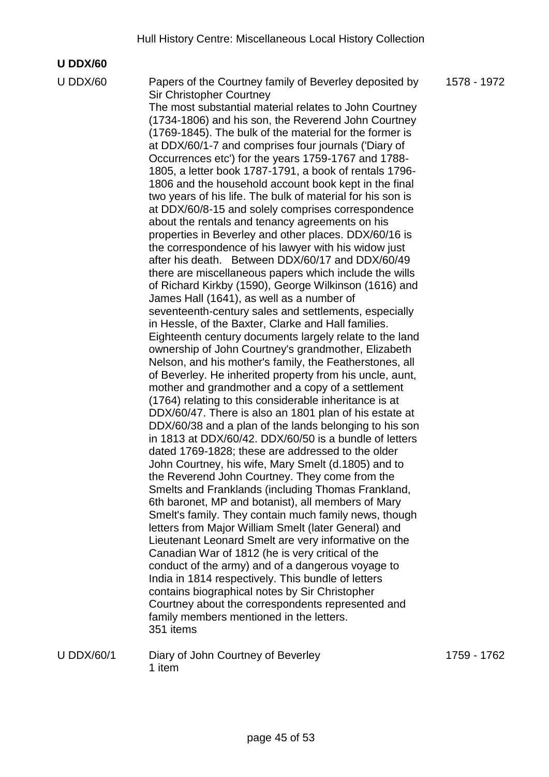#### **U DDX/60**

U DDX/60 Papers of the Courtney family of Beverley deposited by Sir Christopher Courtney The most substantial material relates to John Courtney (1734-1806) and his son, the Reverend John Courtney (1769-1845). The bulk of the material for the former is at DDX/60/1-7 and comprises four journals ('Diary of Occurrences etc') for the years 1759-1767 and 1788- 1805, a letter book 1787-1791, a book of rentals 1796- 1806 and the household account book kept in the final two years of his life. The bulk of material for his son is at DDX/60/8-15 and solely comprises correspondence about the rentals and tenancy agreements on his properties in Beverley and other places. DDX/60/16 is the correspondence of his lawyer with his widow just after his death. Between DDX/60/17 and DDX/60/49 there are miscellaneous papers which include the wills of Richard Kirkby (1590), George Wilkinson (1616) and James Hall (1641), as well as a number of seventeenth-century sales and settlements, especially in Hessle, of the Baxter, Clarke and Hall families. Eighteenth century documents largely relate to the land ownership of John Courtney's grandmother, Elizabeth Nelson, and his mother's family, the Featherstones, all of Beverley. He inherited property from his uncle, aunt, mother and grandmother and a copy of a settlement (1764) relating to this considerable inheritance is at DDX/60/47. There is also an 1801 plan of his estate at DDX/60/38 and a plan of the lands belonging to his son in 1813 at DDX/60/42. DDX/60/50 is a bundle of letters dated 1769-1828; these are addressed to the older John Courtney, his wife, Mary Smelt (d.1805) and to the Reverend John Courtney. They come from the Smelts and Franklands (including Thomas Frankland, 6th baronet, MP and botanist), all members of Mary Smelt's family. They contain much family news, though letters from Major William Smelt (later General) and Lieutenant Leonard Smelt are very informative on the Canadian War of 1812 (he is very critical of the conduct of the army) and of a dangerous voyage to India in 1814 respectively. This bundle of letters contains biographical notes by Sir Christopher Courtney about the correspondents represented and family members mentioned in the letters. 351 items

U DDX/60/1 Diary of John Courtney of Beverley 1 item

1759 - 1762

1578 - 1972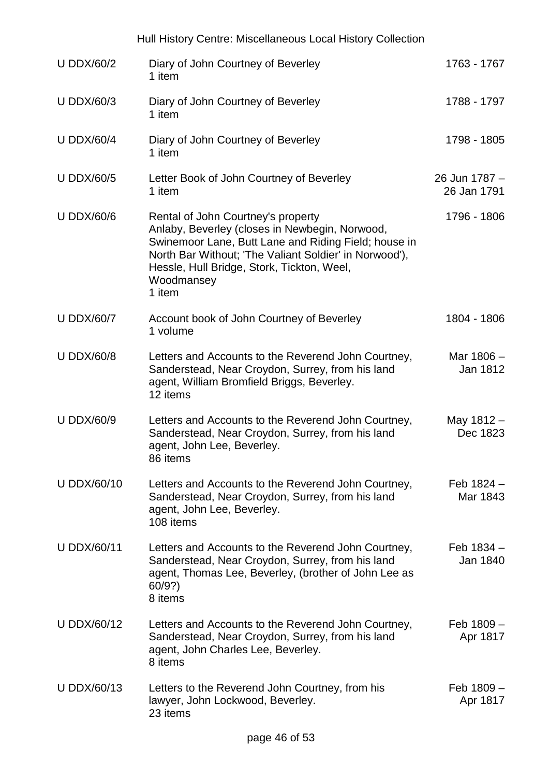|                    | Hull History Centre: Miscellaneous Local History Collection                                                                                                                                                                                                                  |                              |
|--------------------|------------------------------------------------------------------------------------------------------------------------------------------------------------------------------------------------------------------------------------------------------------------------------|------------------------------|
| <b>U DDX/60/2</b>  | Diary of John Courtney of Beverley<br>1 item                                                                                                                                                                                                                                 | 1763 - 1767                  |
| <b>U DDX/60/3</b>  | Diary of John Courtney of Beverley<br>1 item                                                                                                                                                                                                                                 | 1788 - 1797                  |
| <b>U DDX/60/4</b>  | Diary of John Courtney of Beverley<br>1 item                                                                                                                                                                                                                                 | 1798 - 1805                  |
| <b>U DDX/60/5</b>  | Letter Book of John Courtney of Beverley<br>1 item                                                                                                                                                                                                                           | 26 Jun 1787 -<br>26 Jan 1791 |
| <b>U DDX/60/6</b>  | Rental of John Courtney's property<br>Anlaby, Beverley (closes in Newbegin, Norwood,<br>Swinemoor Lane, Butt Lane and Riding Field; house in<br>North Bar Without; 'The Valiant Soldier' in Norwood'),<br>Hessle, Hull Bridge, Stork, Tickton, Weel,<br>Woodmansey<br>1 item | 1796 - 1806                  |
| <b>U DDX/60/7</b>  | Account book of John Courtney of Beverley<br>1 volume                                                                                                                                                                                                                        | 1804 - 1806                  |
| <b>U DDX/60/8</b>  | Letters and Accounts to the Reverend John Courtney,<br>Sanderstead, Near Croydon, Surrey, from his land<br>agent, William Bromfield Briggs, Beverley.<br>12 items                                                                                                            | Mar 1806 -<br>Jan 1812       |
| <b>U DDX/60/9</b>  | Letters and Accounts to the Reverend John Courtney,<br>Sanderstead, Near Croydon, Surrey, from his land<br>agent, John Lee, Beverley.<br>86 items                                                                                                                            | May 1812 -<br>Dec 1823       |
| <b>U DDX/60/10</b> | Letters and Accounts to the Reverend John Courtney,<br>Sanderstead, Near Croydon, Surrey, from his land<br>agent, John Lee, Beverley.<br>108 items                                                                                                                           | Feb $1824 -$<br>Mar 1843     |
| <b>U DDX/60/11</b> | Letters and Accounts to the Reverend John Courtney,<br>Sanderstead, Near Croydon, Surrey, from his land<br>agent, Thomas Lee, Beverley, (brother of John Lee as<br>60/9?<br>8 items                                                                                          | Feb $1834 -$<br>Jan 1840     |
| <b>U DDX/60/12</b> | Letters and Accounts to the Reverend John Courtney,<br>Sanderstead, Near Croydon, Surrey, from his land<br>agent, John Charles Lee, Beverley.<br>8 items                                                                                                                     | Feb 1809 -<br>Apr 1817       |
| <b>U DDX/60/13</b> | Letters to the Reverend John Courtney, from his<br>lawyer, John Lockwood, Beverley.<br>23 items                                                                                                                                                                              | Feb 1809 -<br>Apr 1817       |
|                    |                                                                                                                                                                                                                                                                              |                              |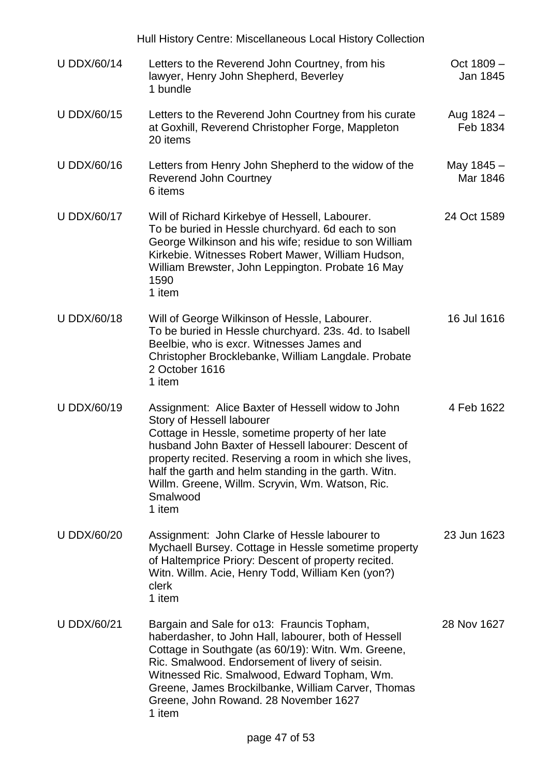Hull History Centre: Miscellaneous Local History Collection U DDX/60/14 Letters to the Reverend John Courtney, from his lawyer, Henry John Shepherd, Beverley 1 bundle Oct 1809 – Jan 1845 U DDX/60/15 Letters to the Reverend John Courtney from his curate at Goxhill, Reverend Christopher Forge, Mappleton 20 items Aug 1824 – Feb 1834 U DDX/60/16 Letters from Henry John Shepherd to the widow of the Reverend John Courtney 6 items May 1845 – Mar 1846 U DDX/60/17 Will of Richard Kirkebye of Hessell, Labourer. To be buried in Hessle churchyard. 6d each to son George Wilkinson and his wife; residue to son William Kirkebie. Witnesses Robert Mawer, William Hudson, William Brewster, John Leppington. Probate 16 May 1590 1 item 24 Oct 1589 U DDX/60/18 Will of George Wilkinson of Hessle, Labourer. To be buried in Hessle churchyard. 23s. 4d. to Isabell Beelbie, who is excr. Witnesses James and Christopher Brocklebanke, William Langdale. Probate 2 October 1616 1 item 16 Jul 1616 U DDX/60/19 Assignment: Alice Baxter of Hessell widow to John Story of Hessell labourer Cottage in Hessle, sometime property of her late husband John Baxter of Hessell labourer: Descent of property recited. Reserving a room in which she lives, half the garth and helm standing in the garth. Witn. Willm. Greene, Willm. Scryvin, Wm. Watson, Ric. Smalwood 1 item 4 Feb 1622 U DDX/60/20 Assignment: John Clarke of Hessle labourer to Mychaell Bursey. Cottage in Hessle sometime property of Haltemprice Priory: Descent of property recited. Witn. Willm. Acie, Henry Todd, William Ken (yon?) clerk 1 item 23 Jun 1623 U DDX/60/21 Bargain and Sale for o13: Frauncis Topham, haberdasher, to John Hall, labourer, both of Hessell Cottage in Southgate (as 60/19): Witn. Wm. Greene, Ric. Smalwood. Endorsement of livery of seisin. Witnessed Ric. Smalwood, Edward Topham, Wm. Greene, James Brockilbanke, William Carver, Thomas Greene, John Rowand. 28 November 1627 1 item 28 Nov 1627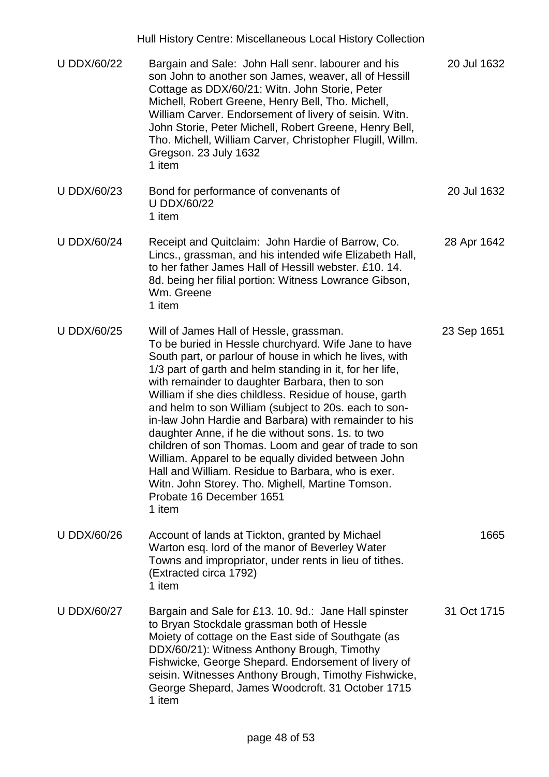|                    | Hull History Centre: Miscellaneous Local History Collection                                                                                                                                                                                                                                                                                                                                                                                                                                                                                                                                                                                                                                                                                                                |             |
|--------------------|----------------------------------------------------------------------------------------------------------------------------------------------------------------------------------------------------------------------------------------------------------------------------------------------------------------------------------------------------------------------------------------------------------------------------------------------------------------------------------------------------------------------------------------------------------------------------------------------------------------------------------------------------------------------------------------------------------------------------------------------------------------------------|-------------|
| <b>U DDX/60/22</b> | Bargain and Sale: John Hall senr. labourer and his<br>son John to another son James, weaver, all of Hessill<br>Cottage as DDX/60/21: Witn. John Storie, Peter<br>Michell, Robert Greene, Henry Bell, Tho. Michell,<br>William Carver. Endorsement of livery of seisin. Witn.<br>John Storie, Peter Michell, Robert Greene, Henry Bell,<br>Tho. Michell, William Carver, Christopher Flugill, Willm.<br>Gregson. 23 July 1632<br>1 item                                                                                                                                                                                                                                                                                                                                     | 20 Jul 1632 |
| <b>U DDX/60/23</b> | Bond for performance of convenants of<br><b>U DDX/60/22</b><br>1 item                                                                                                                                                                                                                                                                                                                                                                                                                                                                                                                                                                                                                                                                                                      | 20 Jul 1632 |
| <b>U DDX/60/24</b> | Receipt and Quitclaim: John Hardie of Barrow, Co.<br>Lincs., grassman, and his intended wife Elizabeth Hall,<br>to her father James Hall of Hessill webster. £10. 14.<br>8d. being her filial portion: Witness Lowrance Gibson,<br>Wm. Greene<br>1 item                                                                                                                                                                                                                                                                                                                                                                                                                                                                                                                    | 28 Apr 1642 |
| <b>U DDX/60/25</b> | Will of James Hall of Hessle, grassman.<br>To be buried in Hessle churchyard. Wife Jane to have<br>South part, or parlour of house in which he lives, with<br>1/3 part of garth and helm standing in it, for her life,<br>with remainder to daughter Barbara, then to son<br>William if she dies childless. Residue of house, garth<br>and helm to son William (subject to 20s. each to son-<br>in-law John Hardie and Barbara) with remainder to his<br>daughter Anne, if he die without sons. 1s. to two<br>children of son Thomas. Loom and gear of trade to son<br>William. Apparel to be equally divided between John<br>Hall and William. Residue to Barbara, who is exer.<br>Witn. John Storey. Tho. Mighell, Martine Tomson.<br>Probate 16 December 1651<br>1 item | 23 Sep 1651 |
| <b>U DDX/60/26</b> | Account of lands at Tickton, granted by Michael<br>Warton esq. lord of the manor of Beverley Water<br>Towns and impropriator, under rents in lieu of tithes.<br>(Extracted circa 1792)<br>1 item                                                                                                                                                                                                                                                                                                                                                                                                                                                                                                                                                                           | 1665        |
| <b>U DDX/60/27</b> | Bargain and Sale for £13. 10. 9d.: Jane Hall spinster<br>to Bryan Stockdale grassman both of Hessle<br>Moiety of cottage on the East side of Southgate (as<br>DDX/60/21): Witness Anthony Brough, Timothy<br>Fishwicke, George Shepard. Endorsement of livery of<br>seisin. Witnesses Anthony Brough, Timothy Fishwicke,<br>George Shepard, James Woodcroft. 31 October 1715<br>1 item                                                                                                                                                                                                                                                                                                                                                                                     | 31 Oct 1715 |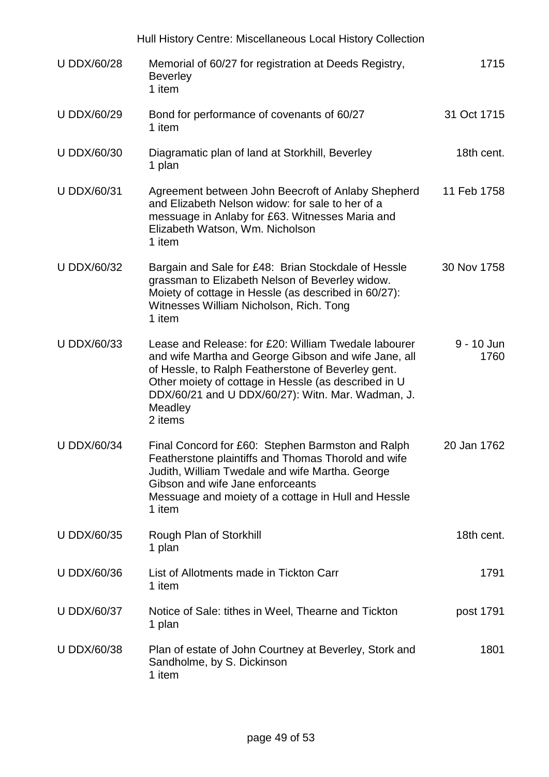|                    | Hull History Centre: Miscellaneous Local History Collection                                                                                                                                                                                                                                           |                    |
|--------------------|-------------------------------------------------------------------------------------------------------------------------------------------------------------------------------------------------------------------------------------------------------------------------------------------------------|--------------------|
| <b>U DDX/60/28</b> | Memorial of 60/27 for registration at Deeds Registry,<br><b>Beverley</b><br>1 item                                                                                                                                                                                                                    | 1715               |
| <b>U DDX/60/29</b> | Bond for performance of covenants of 60/27<br>1 item                                                                                                                                                                                                                                                  | 31 Oct 1715        |
| <b>U DDX/60/30</b> | Diagramatic plan of land at Storkhill, Beverley<br>1 plan                                                                                                                                                                                                                                             | 18th cent.         |
| <b>U DDX/60/31</b> | Agreement between John Beecroft of Anlaby Shepherd<br>and Elizabeth Nelson widow: for sale to her of a<br>messuage in Anlaby for £63. Witnesses Maria and<br>Elizabeth Watson, Wm. Nicholson<br>1 item                                                                                                | 11 Feb 1758        |
| <b>U DDX/60/32</b> | Bargain and Sale for £48: Brian Stockdale of Hessle<br>grassman to Elizabeth Nelson of Beverley widow.<br>Moiety of cottage in Hessle (as described in 60/27):<br>Witnesses William Nicholson, Rich. Tong<br>1 item                                                                                   | 30 Nov 1758        |
| <b>U DDX/60/33</b> | Lease and Release: for £20: William Twedale labourer<br>and wife Martha and George Gibson and wife Jane, all<br>of Hessle, to Ralph Featherstone of Beverley gent.<br>Other moiety of cottage in Hessle (as described in U<br>DDX/60/21 and U DDX/60/27): Witn. Mar. Wadman, J.<br>Meadley<br>2 items | 9 - 10 Jun<br>1760 |
| <b>U DDX/60/34</b> | Final Concord for £60: Stephen Barmston and Ralph<br>Featherstone plaintiffs and Thomas Thorold and wife<br>Judith, William Twedale and wife Martha. George<br>Gibson and wife Jane enforceants<br>Messuage and moiety of a cottage in Hull and Hessle<br>1 item                                      | 20 Jan 1762        |
| <b>U DDX/60/35</b> | Rough Plan of Storkhill<br>1 plan                                                                                                                                                                                                                                                                     | 18th cent.         |
| <b>U DDX/60/36</b> | List of Allotments made in Tickton Carr<br>1 item                                                                                                                                                                                                                                                     | 1791               |
| <b>U DDX/60/37</b> | Notice of Sale: tithes in Weel, Thearne and Tickton<br>1 plan                                                                                                                                                                                                                                         | post 1791          |
| U DDX/60/38        | Plan of estate of John Courtney at Beverley, Stork and<br>Sandholme, by S. Dickinson<br>1 item                                                                                                                                                                                                        | 1801               |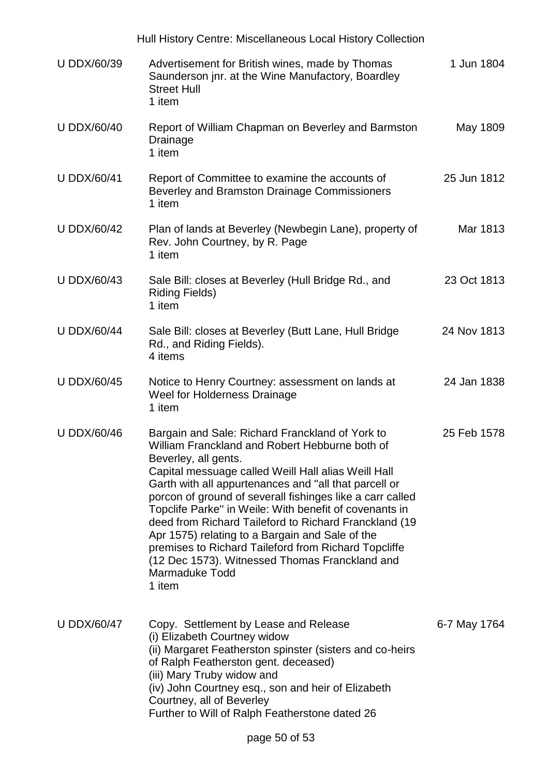|                    | Hull History Centre: Miscellaneous Local History Collection                                                                                                                                                                                                                                                                                                                                                                                                                                                                                                                                                         |              |
|--------------------|---------------------------------------------------------------------------------------------------------------------------------------------------------------------------------------------------------------------------------------------------------------------------------------------------------------------------------------------------------------------------------------------------------------------------------------------------------------------------------------------------------------------------------------------------------------------------------------------------------------------|--------------|
| <b>U DDX/60/39</b> | Advertisement for British wines, made by Thomas<br>Saunderson jnr. at the Wine Manufactory, Boardley<br><b>Street Hull</b><br>1 item                                                                                                                                                                                                                                                                                                                                                                                                                                                                                | 1 Jun 1804   |
| <b>U DDX/60/40</b> | Report of William Chapman on Beverley and Barmston<br>Drainage<br>1 item                                                                                                                                                                                                                                                                                                                                                                                                                                                                                                                                            | May 1809     |
| <b>U DDX/60/41</b> | Report of Committee to examine the accounts of<br>Beverley and Bramston Drainage Commissioners<br>1 item                                                                                                                                                                                                                                                                                                                                                                                                                                                                                                            | 25 Jun 1812  |
| <b>U DDX/60/42</b> | Plan of lands at Beverley (Newbegin Lane), property of<br>Rev. John Courtney, by R. Page<br>1 item                                                                                                                                                                                                                                                                                                                                                                                                                                                                                                                  | Mar 1813     |
| <b>U DDX/60/43</b> | Sale Bill: closes at Beverley (Hull Bridge Rd., and<br><b>Riding Fields)</b><br>1 item                                                                                                                                                                                                                                                                                                                                                                                                                                                                                                                              | 23 Oct 1813  |
| <b>U DDX/60/44</b> | Sale Bill: closes at Beverley (Butt Lane, Hull Bridge<br>Rd., and Riding Fields).<br>4 items                                                                                                                                                                                                                                                                                                                                                                                                                                                                                                                        | 24 Nov 1813  |
| <b>U DDX/60/45</b> | Notice to Henry Courtney: assessment on lands at<br>Weel for Holderness Drainage<br>1 item                                                                                                                                                                                                                                                                                                                                                                                                                                                                                                                          | 24 Jan 1838  |
| <b>U DDX/60/46</b> | Bargain and Sale: Richard Franckland of York to<br>William Franckland and Robert Hebburne both of<br>Beverley, all gents.<br>Capital messuage called Weill Hall alias Weill Hall<br>Garth with all appurtenances and "all that parcell or<br>porcon of ground of severall fishinges like a carr called<br>Topclife Parke" in Weile: With benefit of covenants in<br>deed from Richard Taileford to Richard Franckland (19)<br>Apr 1575) relating to a Bargain and Sale of the<br>premises to Richard Taileford from Richard Topcliffe<br>(12 Dec 1573). Witnessed Thomas Franckland and<br>Marmaduke Todd<br>1 item | 25 Feb 1578  |
| <b>U DDX/60/47</b> | Copy. Settlement by Lease and Release<br>(i) Elizabeth Courtney widow<br>(ii) Margaret Featherston spinster (sisters and co-heirs<br>of Ralph Featherston gent. deceased)<br>(iii) Mary Truby widow and<br>(iv) John Courtney esq., son and heir of Elizabeth<br>Courtney, all of Beverley<br>Further to Will of Ralph Featherstone dated 26                                                                                                                                                                                                                                                                        | 6-7 May 1764 |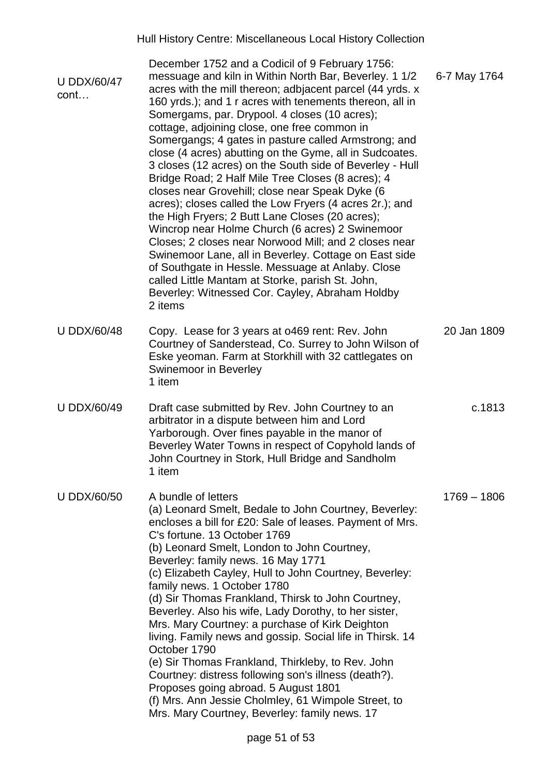| <b>U DDX/60/47</b><br>cont | December 1752 and a Codicil of 9 February 1756:<br>messuage and kiln in Within North Bar, Beverley. 1 1/2<br>acres with the mill thereon; adbiacent parcel (44 yrds. x<br>160 yrds.); and 1 r acres with tenements thereon, all in<br>Somergams, par. Drypool. 4 closes (10 acres);<br>cottage, adjoining close, one free common in<br>Somergangs; 4 gates in pasture called Armstrong; and<br>close (4 acres) abutting on the Gyme, all in Sudcoates.<br>3 closes (12 acres) on the South side of Beverley - Hull<br>Bridge Road; 2 Half Mile Tree Closes (8 acres); 4<br>closes near Grovehill; close near Speak Dyke (6<br>acres); closes called the Low Fryers (4 acres 2r.); and<br>the High Fryers; 2 Butt Lane Closes (20 acres);<br>Wincrop near Holme Church (6 acres) 2 Swinemoor<br>Closes; 2 closes near Norwood Mill; and 2 closes near<br>Swinemoor Lane, all in Beverley. Cottage on East side<br>of Southgate in Hessle. Messuage at Anlaby. Close<br>called Little Mantam at Storke, parish St. John,<br>Beverley: Witnessed Cor. Cayley, Abraham Holdby<br>2 items | 6-7 May 1764  |
|----------------------------|--------------------------------------------------------------------------------------------------------------------------------------------------------------------------------------------------------------------------------------------------------------------------------------------------------------------------------------------------------------------------------------------------------------------------------------------------------------------------------------------------------------------------------------------------------------------------------------------------------------------------------------------------------------------------------------------------------------------------------------------------------------------------------------------------------------------------------------------------------------------------------------------------------------------------------------------------------------------------------------------------------------------------------------------------------------------------------------|---------------|
| <b>U DDX/60/48</b>         | Copy. Lease for 3 years at 0469 rent: Rev. John<br>Courtney of Sanderstead, Co. Surrey to John Wilson of<br>Eske yeoman. Farm at Storkhill with 32 cattlegates on<br>Swinemoor in Beverley<br>1 item                                                                                                                                                                                                                                                                                                                                                                                                                                                                                                                                                                                                                                                                                                                                                                                                                                                                                 | 20 Jan 1809   |
| <b>U DDX/60/49</b>         | Draft case submitted by Rev. John Courtney to an<br>arbitrator in a dispute between him and Lord<br>Yarborough. Over fines payable in the manor of<br>Beverley Water Towns in respect of Copyhold lands of<br>John Courtney in Stork, Hull Bridge and Sandholm<br>1 item                                                                                                                                                                                                                                                                                                                                                                                                                                                                                                                                                                                                                                                                                                                                                                                                             | c.1813        |
| <b>U DDX/60/50</b>         | A bundle of letters<br>(a) Leonard Smelt, Bedale to John Courtney, Beverley:<br>encloses a bill for £20: Sale of leases. Payment of Mrs.<br>C's fortune. 13 October 1769<br>(b) Leonard Smelt, London to John Courtney,<br>Beverley: family news. 16 May 1771<br>(c) Elizabeth Cayley, Hull to John Courtney, Beverley:<br>family news. 1 October 1780<br>(d) Sir Thomas Frankland, Thirsk to John Courtney,<br>Beverley. Also his wife, Lady Dorothy, to her sister,<br>Mrs. Mary Courtney: a purchase of Kirk Deighton<br>living. Family news and gossip. Social life in Thirsk. 14<br>October 1790<br>(e) Sir Thomas Frankland, Thirkleby, to Rev. John<br>Courtney: distress following son's illness (death?).<br>Proposes going abroad. 5 August 1801<br>(f) Mrs. Ann Jessie Cholmley, 61 Wimpole Street, to<br>Mrs. Mary Courtney, Beverley: family news. 17                                                                                                                                                                                                                   | $1769 - 1806$ |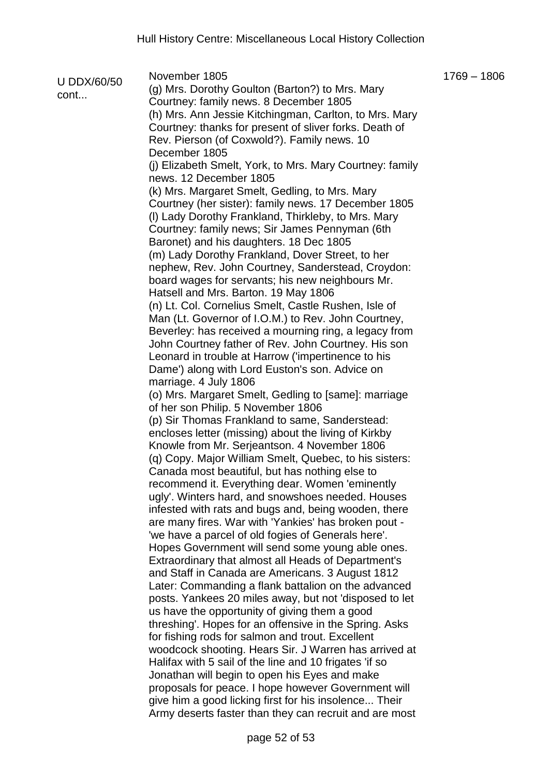| U DDX/60/50 | November 1805<br>(g) Mrs. Dorothy Goulton (Barton?) to Mrs. Mary                                        | $1769 - 1806$ |
|-------------|---------------------------------------------------------------------------------------------------------|---------------|
| cont        | Courtney: family news. 8 December 1805                                                                  |               |
|             | (h) Mrs. Ann Jessie Kitchingman, Carlton, to Mrs. Mary                                                  |               |
|             | Courtney: thanks for present of sliver forks. Death of                                                  |               |
|             | Rev. Pierson (of Coxwold?). Family news. 10                                                             |               |
|             | December 1805                                                                                           |               |
|             | (j) Elizabeth Smelt, York, to Mrs. Mary Courtney: family                                                |               |
|             | news. 12 December 1805                                                                                  |               |
|             | (k) Mrs. Margaret Smelt, Gedling, to Mrs. Mary                                                          |               |
|             | Courtney (her sister): family news. 17 December 1805                                                    |               |
|             | (I) Lady Dorothy Frankland, Thirkleby, to Mrs. Mary                                                     |               |
|             | Courtney: family news; Sir James Pennyman (6th                                                          |               |
|             | Baronet) and his daughters. 18 Dec 1805                                                                 |               |
|             | (m) Lady Dorothy Frankland, Dover Street, to her                                                        |               |
|             | nephew, Rev. John Courtney, Sanderstead, Croydon:                                                       |               |
|             | board wages for servants; his new neighbours Mr.                                                        |               |
|             | Hatsell and Mrs. Barton. 19 May 1806                                                                    |               |
|             | (n) Lt. Col. Cornelius Smelt, Castle Rushen, Isle of                                                    |               |
|             | Man (Lt. Governor of I.O.M.) to Rev. John Courtney,                                                     |               |
|             | Beverley: has received a mourning ring, a legacy from                                                   |               |
|             | John Courtney father of Rev. John Courtney. His son                                                     |               |
|             | Leonard in trouble at Harrow ('impertinence to his                                                      |               |
|             | Dame') along with Lord Euston's son. Advice on                                                          |               |
|             | marriage. 4 July 1806                                                                                   |               |
|             | (o) Mrs. Margaret Smelt, Gedling to [same]: marriage                                                    |               |
|             | of her son Philip. 5 November 1806                                                                      |               |
|             | (p) Sir Thomas Frankland to same, Sanderstead:                                                          |               |
|             | encloses letter (missing) about the living of Kirkby                                                    |               |
|             | Knowle from Mr. Serjeantson. 4 November 1806                                                            |               |
|             | (q) Copy. Major William Smelt, Quebec, to his sisters:                                                  |               |
|             | Canada most beautiful, but has nothing else to                                                          |               |
|             | recommend it. Everything dear. Women 'eminently                                                         |               |
|             | ugly'. Winters hard, and snowshoes needed. Houses                                                       |               |
|             | infested with rats and bugs and, being wooden, there                                                    |               |
|             | are many fires. War with 'Yankies' has broken pout -                                                    |               |
|             | 'we have a parcel of old fogies of Generals here'.                                                      |               |
|             | Hopes Government will send some young able ones.                                                        |               |
|             | Extraordinary that almost all Heads of Department's                                                     |               |
|             | and Staff in Canada are Americans. 3 August 1812<br>Later: Commanding a flank battalion on the advanced |               |
|             | posts. Yankees 20 miles away, but not 'disposed to let                                                  |               |
|             | us have the opportunity of giving them a good                                                           |               |
|             | threshing'. Hopes for an offensive in the Spring. Asks                                                  |               |
|             | for fishing rods for salmon and trout. Excellent                                                        |               |
|             | woodcock shooting. Hears Sir. J Warren has arrived at                                                   |               |
|             | Halifax with 5 sail of the line and 10 frigates 'if so                                                  |               |
|             | Jonathan will begin to open his Eyes and make                                                           |               |
|             | proposals for peace. I hope however Government will                                                     |               |
|             | give him a good licking first for his insolence Their                                                   |               |
|             | Army deserts faster than they can recruit and are most                                                  |               |